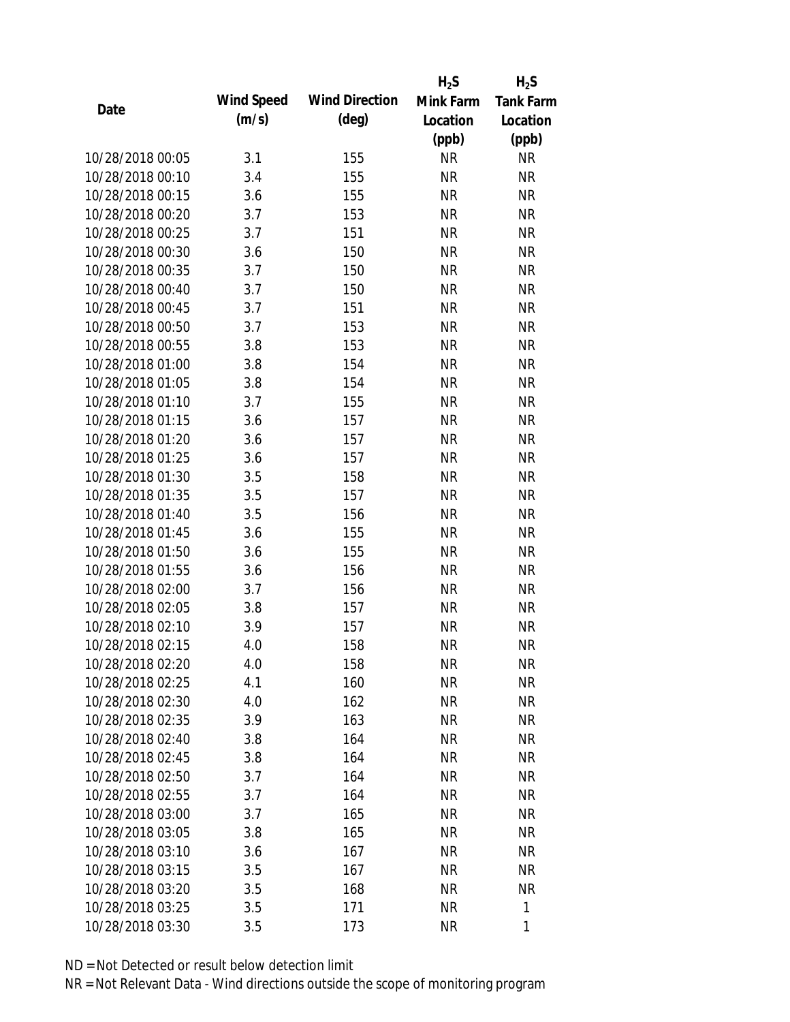|                  |            |                       | $H_2S$    | $H_2S$           |
|------------------|------------|-----------------------|-----------|------------------|
|                  | Wind Speed | <b>Wind Direction</b> | Mink Farm | <b>Tank Farm</b> |
| Date             | (m/s)      | $(\text{deg})$        | Location  | Location         |
|                  |            |                       | (ppb)     | (ppb)            |
| 10/28/2018 00:05 | 3.1        | 155                   | <b>NR</b> | <b>NR</b>        |
| 10/28/2018 00:10 | 3.4        | 155                   | <b>NR</b> | <b>NR</b>        |
| 10/28/2018 00:15 | 3.6        | 155                   | <b>NR</b> | <b>NR</b>        |
| 10/28/2018 00:20 | 3.7        | 153                   | <b>NR</b> | <b>NR</b>        |
| 10/28/2018 00:25 | 3.7        | 151                   | <b>NR</b> | <b>NR</b>        |
| 10/28/2018 00:30 | 3.6        | 150                   | <b>NR</b> | <b>NR</b>        |
| 10/28/2018 00:35 | 3.7        | 150                   | <b>NR</b> | <b>NR</b>        |
| 10/28/2018 00:40 | 3.7        | 150                   | <b>NR</b> | <b>NR</b>        |
| 10/28/2018 00:45 | 3.7        | 151                   | <b>NR</b> | <b>NR</b>        |
| 10/28/2018 00:50 | 3.7        | 153                   | <b>NR</b> | <b>NR</b>        |
| 10/28/2018 00:55 | 3.8        | 153                   | <b>NR</b> | <b>NR</b>        |
| 10/28/2018 01:00 | 3.8        | 154                   | <b>NR</b> | <b>NR</b>        |
| 10/28/2018 01:05 | 3.8        | 154                   | <b>NR</b> | <b>NR</b>        |
| 10/28/2018 01:10 | 3.7        | 155                   | <b>NR</b> | <b>NR</b>        |
| 10/28/2018 01:15 | 3.6        | 157                   | <b>NR</b> | <b>NR</b>        |
| 10/28/2018 01:20 | 3.6        | 157                   | <b>NR</b> | <b>NR</b>        |
| 10/28/2018 01:25 | 3.6        | 157                   | <b>NR</b> | <b>NR</b>        |
| 10/28/2018 01:30 | 3.5        | 158                   | <b>NR</b> | <b>NR</b>        |
| 10/28/2018 01:35 | 3.5        | 157                   | <b>NR</b> | <b>NR</b>        |
| 10/28/2018 01:40 | 3.5        | 156                   | <b>NR</b> | <b>NR</b>        |
| 10/28/2018 01:45 | 3.6        | 155                   | <b>NR</b> | <b>NR</b>        |
| 10/28/2018 01:50 | 3.6        | 155                   | <b>NR</b> | <b>NR</b>        |
| 10/28/2018 01:55 | 3.6        | 156                   | <b>NR</b> | <b>NR</b>        |
| 10/28/2018 02:00 | 3.7        | 156                   | <b>NR</b> | <b>NR</b>        |
| 10/28/2018 02:05 | 3.8        | 157                   | <b>NR</b> | <b>NR</b>        |
| 10/28/2018 02:10 | 3.9        | 157                   | <b>NR</b> | <b>NR</b>        |
| 10/28/2018 02:15 | 4.0        | 158                   | <b>NR</b> | <b>NR</b>        |
| 10/28/2018 02:20 | 4.0        | 158                   | <b>NR</b> | <b>NR</b>        |
| 10/28/2018 02:25 | 4.1        | 160                   | <b>NR</b> | <b>NR</b>        |
| 10/28/2018 02:30 | 4.0        | 162                   | <b>NR</b> | <b>NR</b>        |
| 10/28/2018 02:35 | 3.9        | 163                   | <b>NR</b> | <b>NR</b>        |
| 10/28/2018 02:40 | 3.8        | 164                   | <b>NR</b> | NR               |
| 10/28/2018 02:45 | 3.8        | 164                   | <b>NR</b> | <b>NR</b>        |
| 10/28/2018 02:50 | 3.7        | 164                   | <b>NR</b> | <b>NR</b>        |
| 10/28/2018 02:55 | 3.7        | 164                   | <b>NR</b> | <b>NR</b>        |
| 10/28/2018 03:00 | 3.7        | 165                   | NR        | <b>NR</b>        |
| 10/28/2018 03:05 | 3.8        | 165                   | <b>NR</b> | <b>NR</b>        |
| 10/28/2018 03:10 | 3.6        | 167                   | <b>NR</b> | <b>NR</b>        |
| 10/28/2018 03:15 | 3.5        | 167                   | <b>NR</b> | <b>NR</b>        |
| 10/28/2018 03:20 | 3.5        | 168                   | <b>NR</b> | <b>NR</b>        |
| 10/28/2018 03:25 | 3.5        | 171                   | <b>NR</b> | 1                |
|                  |            |                       | <b>NR</b> | 1                |
| 10/28/2018 03:30 | 3.5        | 173                   |           |                  |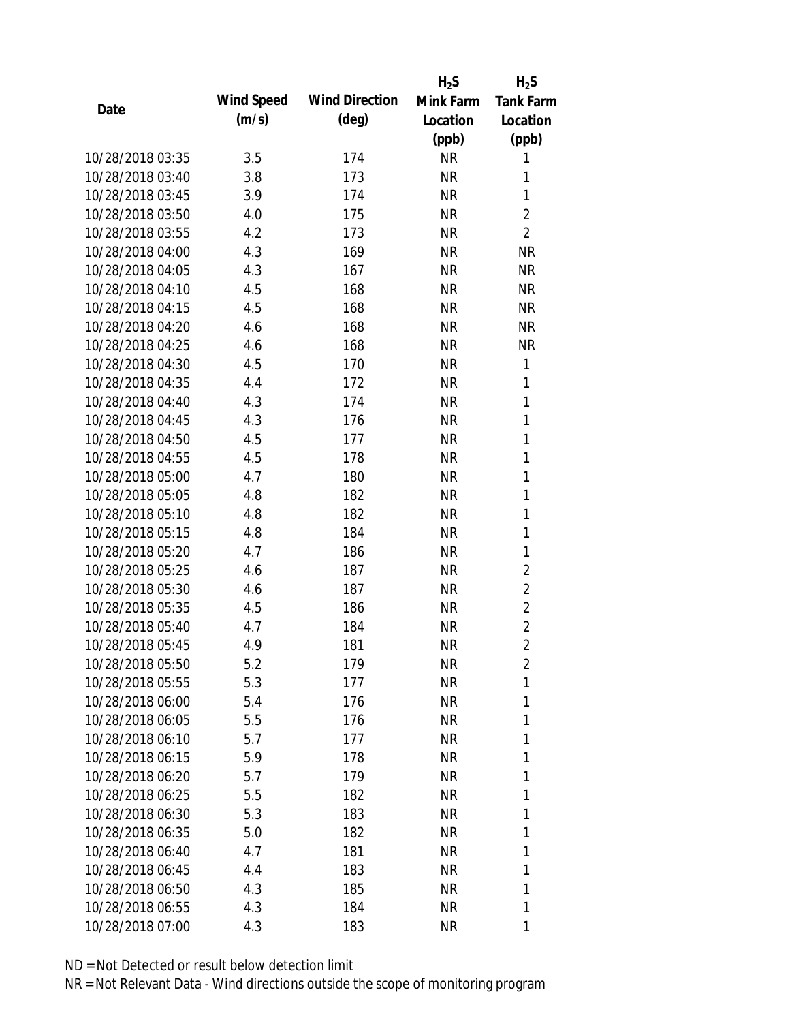|                  |            |                       | $H_2S$    | $H_2S$           |
|------------------|------------|-----------------------|-----------|------------------|
| Date             | Wind Speed | <b>Wind Direction</b> | Mink Farm | <b>Tank Farm</b> |
|                  | (m/s)      | $(\text{deg})$        | Location  | Location         |
|                  |            |                       | (ppb)     | (ppb)            |
| 10/28/2018 03:35 | 3.5        | 174                   | <b>NR</b> | 1                |
| 10/28/2018 03:40 | 3.8        | 173                   | <b>NR</b> | 1                |
| 10/28/2018 03:45 | 3.9        | 174                   | <b>NR</b> | 1                |
| 10/28/2018 03:50 | 4.0        | 175                   | <b>NR</b> | $\overline{2}$   |
| 10/28/2018 03:55 | 4.2        | 173                   | <b>NR</b> | $\overline{2}$   |
| 10/28/2018 04:00 | 4.3        | 169                   | <b>NR</b> | <b>NR</b>        |
| 10/28/2018 04:05 | 4.3        | 167                   | NR        | <b>NR</b>        |
| 10/28/2018 04:10 | 4.5        | 168                   | <b>NR</b> | <b>NR</b>        |
| 10/28/2018 04:15 | 4.5        | 168                   | <b>NR</b> | <b>NR</b>        |
| 10/28/2018 04:20 | 4.6        | 168                   | <b>NR</b> | <b>NR</b>        |
| 10/28/2018 04:25 | 4.6        | 168                   | <b>NR</b> | <b>NR</b>        |
| 10/28/2018 04:30 | 4.5        | 170                   | NR        | 1                |
| 10/28/2018 04:35 | 4.4        | 172                   | <b>NR</b> | 1                |
| 10/28/2018 04:40 | 4.3        | 174                   | <b>NR</b> | 1                |
| 10/28/2018 04:45 | 4.3        | 176                   | <b>NR</b> | 1                |
| 10/28/2018 04:50 | 4.5        | 177                   | <b>NR</b> | 1                |
| 10/28/2018 04:55 | 4.5        | 178                   | <b>NR</b> | 1                |
| 10/28/2018 05:00 | 4.7        | 180                   | <b>NR</b> | 1                |
| 10/28/2018 05:05 | 4.8        | 182                   | <b>NR</b> | 1                |
| 10/28/2018 05:10 | 4.8        | 182                   | <b>NR</b> | 1                |
| 10/28/2018 05:15 | 4.8        | 184                   | <b>NR</b> | 1                |
| 10/28/2018 05:20 | 4.7        | 186                   | NR        | 1                |
| 10/28/2018 05:25 | 4.6        | 187                   | <b>NR</b> | $\overline{2}$   |
| 10/28/2018 05:30 | 4.6        | 187                   | <b>NR</b> | $\overline{2}$   |
| 10/28/2018 05:35 | 4.5        | 186                   | <b>NR</b> | $\overline{2}$   |
| 10/28/2018 05:40 | 4.7        | 184                   | <b>NR</b> | $\overline{2}$   |
| 10/28/2018 05:45 | 4.9        | 181                   | <b>NR</b> | $\overline{2}$   |
| 10/28/2018 05:50 | 5.2        | 179                   | <b>NR</b> | $\overline{2}$   |
| 10/28/2018 05:55 | 5.3        | 177                   | <b>NR</b> | 1                |
| 10/28/2018 06:00 | 5.4        | 176                   | NR        | 1                |
| 10/28/2018 06:05 | 5.5        | 176                   | NR        | 1                |
| 10/28/2018 06:10 | 5.7        | 177                   | NR        | 1                |
| 10/28/2018 06:15 | 5.9        | 178                   | <b>NR</b> | 1                |
| 10/28/2018 06:20 | 5.7        | 179                   | <b>NR</b> | 1                |
| 10/28/2018 06:25 | 5.5        | 182                   | NR        | 1                |
| 10/28/2018 06:30 | 5.3        | 183                   | NR        | 1                |
| 10/28/2018 06:35 | 5.0        | 182                   | NR        | 1                |
| 10/28/2018 06:40 | 4.7        | 181                   | NR        | 1                |
| 10/28/2018 06:45 | 4.4        | 183                   | NR        | 1                |
| 10/28/2018 06:50 | 4.3        | 185                   | <b>NR</b> | 1                |
| 10/28/2018 06:55 | 4.3        | 184                   | NR        | 1                |
| 10/28/2018 07:00 | 4.3        | 183                   | <b>NR</b> | 1                |
|                  |            |                       |           |                  |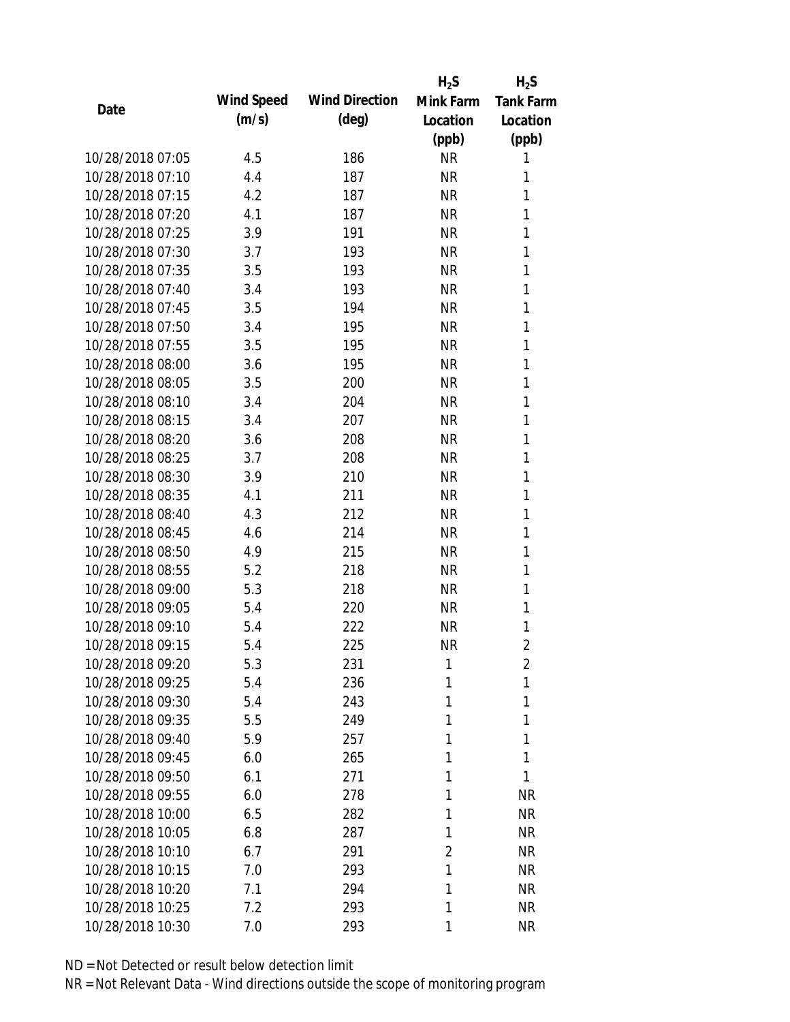|                  |            |                       | $H_2S$    | $H_2S$           |
|------------------|------------|-----------------------|-----------|------------------|
| Date             | Wind Speed | <b>Wind Direction</b> | Mink Farm | <b>Tank Farm</b> |
|                  | (m/s)      | $(\text{deg})$        | Location  | Location         |
|                  |            |                       | (ppb)     | (ppb)            |
| 10/28/2018 07:05 | 4.5        | 186                   | <b>NR</b> | 1                |
| 10/28/2018 07:10 | 4.4        | 187                   | <b>NR</b> | 1                |
| 10/28/2018 07:15 | 4.2        | 187                   | <b>NR</b> | 1                |
| 10/28/2018 07:20 | 4.1        | 187                   | <b>NR</b> | 1                |
| 10/28/2018 07:25 | 3.9        | 191                   | <b>NR</b> | 1                |
| 10/28/2018 07:30 | 3.7        | 193                   | <b>NR</b> | 1                |
| 10/28/2018 07:35 | 3.5        | 193                   | <b>NR</b> | 1                |
| 10/28/2018 07:40 | 3.4        | 193                   | <b>NR</b> | 1                |
| 10/28/2018 07:45 | 3.5        | 194                   | <b>NR</b> | 1                |
| 10/28/2018 07:50 | 3.4        | 195                   | <b>NR</b> | 1                |
| 10/28/2018 07:55 | 3.5        | 195                   | <b>NR</b> | 1                |
| 10/28/2018 08:00 | 3.6        | 195                   | <b>NR</b> | 1                |
| 10/28/2018 08:05 | 3.5        | 200                   | <b>NR</b> | 1                |
| 10/28/2018 08:10 | 3.4        | 204                   | <b>NR</b> | 1                |
| 10/28/2018 08:15 | 3.4        | 207                   | <b>NR</b> | 1                |
| 10/28/2018 08:20 | 3.6        | 208                   | <b>NR</b> | 1                |
| 10/28/2018 08:25 | 3.7        | 208                   | <b>NR</b> | 1                |
| 10/28/2018 08:30 | 3.9        | 210                   | <b>NR</b> | 1                |
| 10/28/2018 08:35 | 4.1        | 211                   | <b>NR</b> | 1                |
| 10/28/2018 08:40 | 4.3        | 212                   | <b>NR</b> | 1                |
| 10/28/2018 08:45 | 4.6        | 214                   | <b>NR</b> | 1                |
| 10/28/2018 08:50 | 4.9        | 215                   | <b>NR</b> | 1                |
| 10/28/2018 08:55 | 5.2        | 218                   | <b>NR</b> | 1                |
| 10/28/2018 09:00 | 5.3        | 218                   | <b>NR</b> | 1                |
| 10/28/2018 09:05 | 5.4        | 220                   | <b>NR</b> | 1                |
| 10/28/2018 09:10 | 5.4        | 222                   | <b>NR</b> | 1                |
| 10/28/2018 09:15 | 5.4        | 225                   | <b>NR</b> | $\overline{2}$   |
| 10/28/2018 09:20 | 5.3        | 231                   | 1         | $\overline{2}$   |
| 10/28/2018 09:25 | 5.4        | 236                   | 1         | 1                |
| 10/28/2018 09:30 | 5.4        | 243                   | 1         | 1                |
| 10/28/2018 09:35 | 5.5        | 249                   | 1         | 1                |
| 10/28/2018 09:40 | 5.9        | 257                   | 1         | 1                |
| 10/28/2018 09:45 | 6.0        | 265                   | 1         | 1                |
| 10/28/2018 09:50 | 6.1        | 271                   | 1         | 1                |
| 10/28/2018 09:55 | 6.0        | 278                   | 1         | <b>NR</b>        |
| 10/28/2018 10:00 | 6.5        | 282                   | 1         | <b>NR</b>        |
| 10/28/2018 10:05 | 6.8        | 287                   | 1         | <b>NR</b>        |
| 10/28/2018 10:10 | 6.7        | 291                   | 2         | <b>NR</b>        |
| 10/28/2018 10:15 | 7.0        | 293                   | 1         | <b>NR</b>        |
| 10/28/2018 10:20 | 7.1        | 294                   | 1         | <b>NR</b>        |
| 10/28/2018 10:25 | 7.2        | 293                   | 1         | <b>NR</b>        |
| 10/28/2018 10:30 | 7.0        | 293                   | 1         | <b>NR</b>        |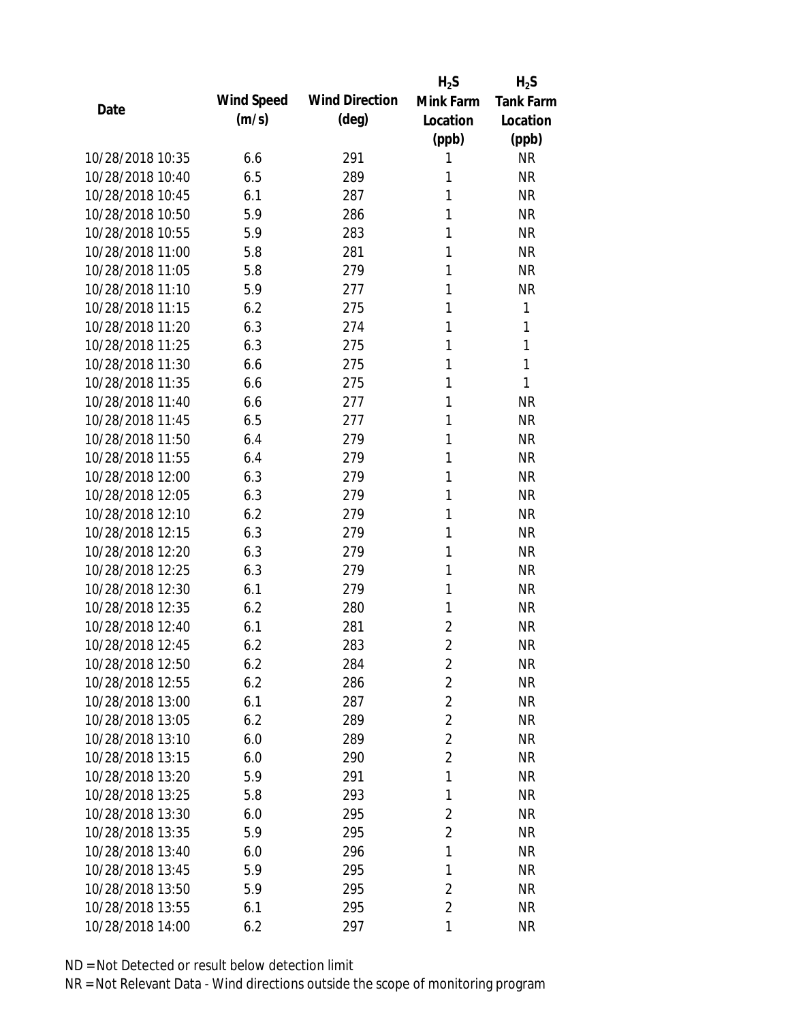|                  |            |                       | $H_2S$         | $H_2S$           |
|------------------|------------|-----------------------|----------------|------------------|
| Date             | Wind Speed | <b>Wind Direction</b> | Mink Farm      | <b>Tank Farm</b> |
|                  | (m/s)      | $(\text{deg})$        | Location       | Location         |
|                  |            |                       | (ppb)          | (ppb)            |
| 10/28/2018 10:35 | 6.6        | 291                   | 1              | <b>NR</b>        |
| 10/28/2018 10:40 | 6.5        | 289                   | 1              | <b>NR</b>        |
| 10/28/2018 10:45 | 6.1        | 287                   | 1              | <b>NR</b>        |
| 10/28/2018 10:50 | 5.9        | 286                   | 1              | <b>NR</b>        |
| 10/28/2018 10:55 | 5.9        | 283                   | 1              | <b>NR</b>        |
| 10/28/2018 11:00 | 5.8        | 281                   | 1              | <b>NR</b>        |
| 10/28/2018 11:05 | 5.8        | 279                   | 1              | <b>NR</b>        |
| 10/28/2018 11:10 | 5.9        | 277                   | 1              | <b>NR</b>        |
| 10/28/2018 11:15 | 6.2        | 275                   | 1              | 1                |
| 10/28/2018 11:20 | 6.3        | 274                   | 1              | 1                |
| 10/28/2018 11:25 | 6.3        | 275                   | 1              | 1                |
| 10/28/2018 11:30 | 6.6        | 275                   | 1              | 1                |
| 10/28/2018 11:35 | 6.6        | 275                   | 1              | 1                |
| 10/28/2018 11:40 | 6.6        | 277                   | 1              | <b>NR</b>        |
| 10/28/2018 11:45 | 6.5        | 277                   | 1              | <b>NR</b>        |
| 10/28/2018 11:50 | 6.4        | 279                   | 1              | <b>NR</b>        |
| 10/28/2018 11:55 | 6.4        | 279                   | 1              | <b>NR</b>        |
| 10/28/2018 12:00 | 6.3        | 279                   | 1              | <b>NR</b>        |
| 10/28/2018 12:05 | 6.3        | 279                   | 1              | <b>NR</b>        |
| 10/28/2018 12:10 | 6.2        | 279                   | 1              | <b>NR</b>        |
| 10/28/2018 12:15 | 6.3        | 279                   | 1              | <b>NR</b>        |
| 10/28/2018 12:20 | 6.3        | 279                   | 1              | <b>NR</b>        |
| 10/28/2018 12:25 | 6.3        | 279                   | 1              | <b>NR</b>        |
| 10/28/2018 12:30 | 6.1        | 279                   | 1              | <b>NR</b>        |
| 10/28/2018 12:35 | 6.2        | 280                   | 1              | <b>NR</b>        |
| 10/28/2018 12:40 | 6.1        | 281                   | $\overline{2}$ | <b>NR</b>        |
| 10/28/2018 12:45 | 6.2        | 283                   | $\overline{2}$ | <b>NR</b>        |
| 10/28/2018 12:50 | 6.2        | 284                   | $\overline{2}$ | <b>NR</b>        |
| 10/28/2018 12:55 | 6.2        | 286                   | $\overline{2}$ | <b>NR</b>        |
| 10/28/2018 13:00 | 6.1        | 287                   | $\overline{2}$ | <b>NR</b>        |
| 10/28/2018 13:05 | 6.2        | 289                   | $\overline{2}$ | <b>NR</b>        |
| 10/28/2018 13:10 | 6.0        | 289                   | $\overline{2}$ | <b>NR</b>        |
| 10/28/2018 13:15 | 6.0        | 290                   | $\overline{2}$ | <b>NR</b>        |
| 10/28/2018 13:20 | 5.9        | 291                   | 1              | <b>NR</b>        |
| 10/28/2018 13:25 | 5.8        | 293                   | 1              | <b>NR</b>        |
| 10/28/2018 13:30 | 6.0        | 295                   | $\overline{2}$ | <b>NR</b>        |
| 10/28/2018 13:35 | 5.9        | 295                   | $\overline{2}$ | <b>NR</b>        |
| 10/28/2018 13:40 | 6.0        | 296                   | 1              | <b>NR</b>        |
| 10/28/2018 13:45 | 5.9        | 295                   | 1              | <b>NR</b>        |
| 10/28/2018 13:50 | 5.9        | 295                   | $\overline{2}$ | <b>NR</b>        |
| 10/28/2018 13:55 | 6.1        | 295                   | $\overline{2}$ | <b>NR</b>        |
| 10/28/2018 14:00 | 6.2        | 297                   | 1              | <b>NR</b>        |
|                  |            |                       |                |                  |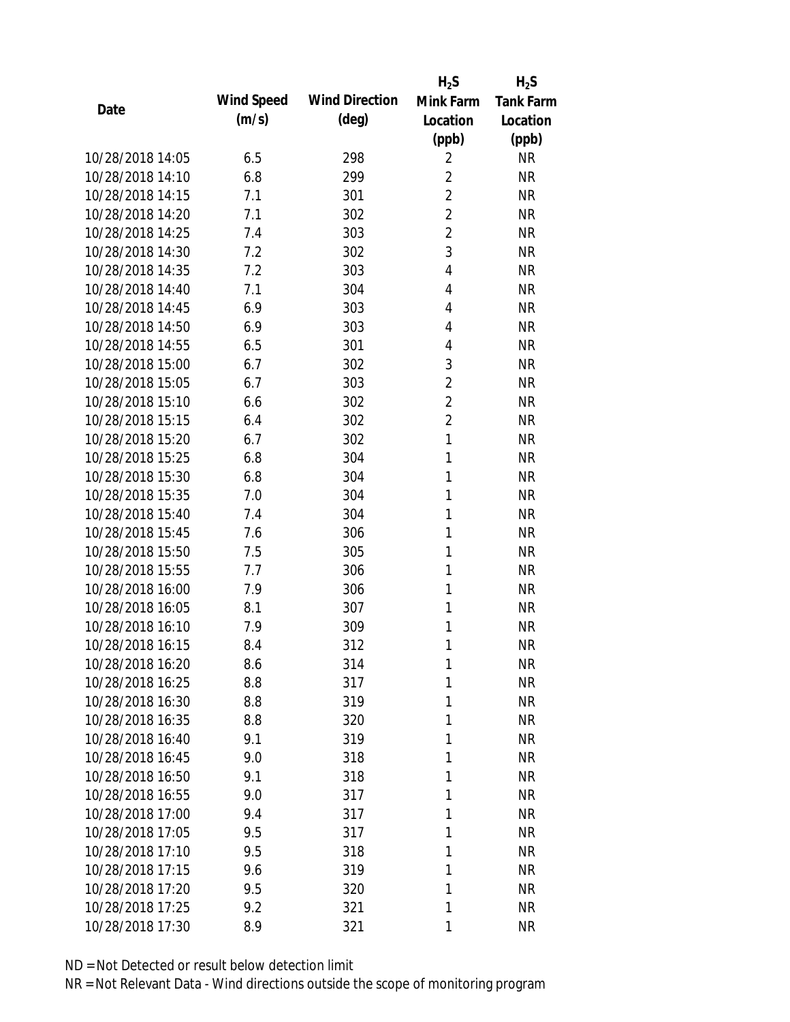|                  |            |                       | $H_2S$         | $H_2S$           |
|------------------|------------|-----------------------|----------------|------------------|
| Date             | Wind Speed | <b>Wind Direction</b> | Mink Farm      | <b>Tank Farm</b> |
|                  | (m/s)      | $(\text{deg})$        | Location       | Location         |
|                  |            |                       | (ppb)          | (ppb)            |
| 10/28/2018 14:05 | 6.5        | 298                   | $\overline{2}$ | <b>NR</b>        |
| 10/28/2018 14:10 | 6.8        | 299                   | $\overline{2}$ | <b>NR</b>        |
| 10/28/2018 14:15 | 7.1        | 301                   | $\overline{2}$ | <b>NR</b>        |
| 10/28/2018 14:20 | 7.1        | 302                   | $\overline{2}$ | <b>NR</b>        |
| 10/28/2018 14:25 | 7.4        | 303                   | $\overline{2}$ | <b>NR</b>        |
| 10/28/2018 14:30 | 7.2        | 302                   | 3              | <b>NR</b>        |
| 10/28/2018 14:35 | 7.2        | 303                   | 4              | <b>NR</b>        |
| 10/28/2018 14:40 | 7.1        | 304                   | $\overline{4}$ | <b>NR</b>        |
| 10/28/2018 14:45 | 6.9        | 303                   | 4              | <b>NR</b>        |
| 10/28/2018 14:50 | 6.9        | 303                   | 4              | <b>NR</b>        |
| 10/28/2018 14:55 | 6.5        | 301                   | 4              | <b>NR</b>        |
| 10/28/2018 15:00 | 6.7        | 302                   | 3              | <b>NR</b>        |
| 10/28/2018 15:05 | 6.7        | 303                   | $\overline{2}$ | <b>NR</b>        |
| 10/28/2018 15:10 | 6.6        | 302                   | $\overline{2}$ | <b>NR</b>        |
| 10/28/2018 15:15 | 6.4        | 302                   | $\overline{2}$ | <b>NR</b>        |
| 10/28/2018 15:20 | 6.7        | 302                   | $\mathbf{1}$   | <b>NR</b>        |
| 10/28/2018 15:25 | 6.8        | 304                   | 1              | <b>NR</b>        |
| 10/28/2018 15:30 | 6.8        | 304                   | 1              | <b>NR</b>        |
| 10/28/2018 15:35 | 7.0        | 304                   | $\mathbf{1}$   | <b>NR</b>        |
| 10/28/2018 15:40 | 7.4        | 304                   | 1              | <b>NR</b>        |
| 10/28/2018 15:45 | 7.6        | 306                   | 1              | <b>NR</b>        |
| 10/28/2018 15:50 | 7.5        | 305                   | 1              | <b>NR</b>        |
| 10/28/2018 15:55 | 7.7        | 306                   | 1              | <b>NR</b>        |
| 10/28/2018 16:00 | 7.9        | 306                   | 1              | <b>NR</b>        |
| 10/28/2018 16:05 | 8.1        | 307                   | 1              | <b>NR</b>        |
| 10/28/2018 16:10 | 7.9        | 309                   | 1              | <b>NR</b>        |
| 10/28/2018 16:15 | 8.4        | 312                   | 1              | <b>NR</b>        |
| 10/28/2018 16:20 | 8.6        | 314                   | 1              | <b>NR</b>        |
| 10/28/2018 16:25 | 8.8        | 317                   | 1              | <b>NR</b>        |
| 10/28/2018 16:30 | 8.8        | 319                   | 1              | <b>NR</b>        |
| 10/28/2018 16:35 | 8.8        | 320                   | 1              | <b>NR</b>        |
| 10/28/2018 16:40 | 9.1        | 319                   | 1              | <b>NR</b>        |
| 10/28/2018 16:45 | 9.0        | 318                   | 1              | <b>NR</b>        |
| 10/28/2018 16:50 | 9.1        | 318                   | 1              | <b>NR</b>        |
| 10/28/2018 16:55 | 9.0        | 317                   | 1              | <b>NR</b>        |
| 10/28/2018 17:00 | 9.4        | 317                   | 1              | <b>NR</b>        |
| 10/28/2018 17:05 | 9.5        | 317                   | 1              | <b>NR</b>        |
| 10/28/2018 17:10 | 9.5        | 318                   | 1              | <b>NR</b>        |
| 10/28/2018 17:15 | 9.6        | 319                   | 1              | <b>NR</b>        |
| 10/28/2018 17:20 | 9.5        | 320                   | 1              | <b>NR</b>        |
| 10/28/2018 17:25 |            |                       | 1              | <b>NR</b>        |
|                  | 9.2        | 321                   |                |                  |
| 10/28/2018 17:30 | 8.9        | 321                   | 1              | <b>NR</b>        |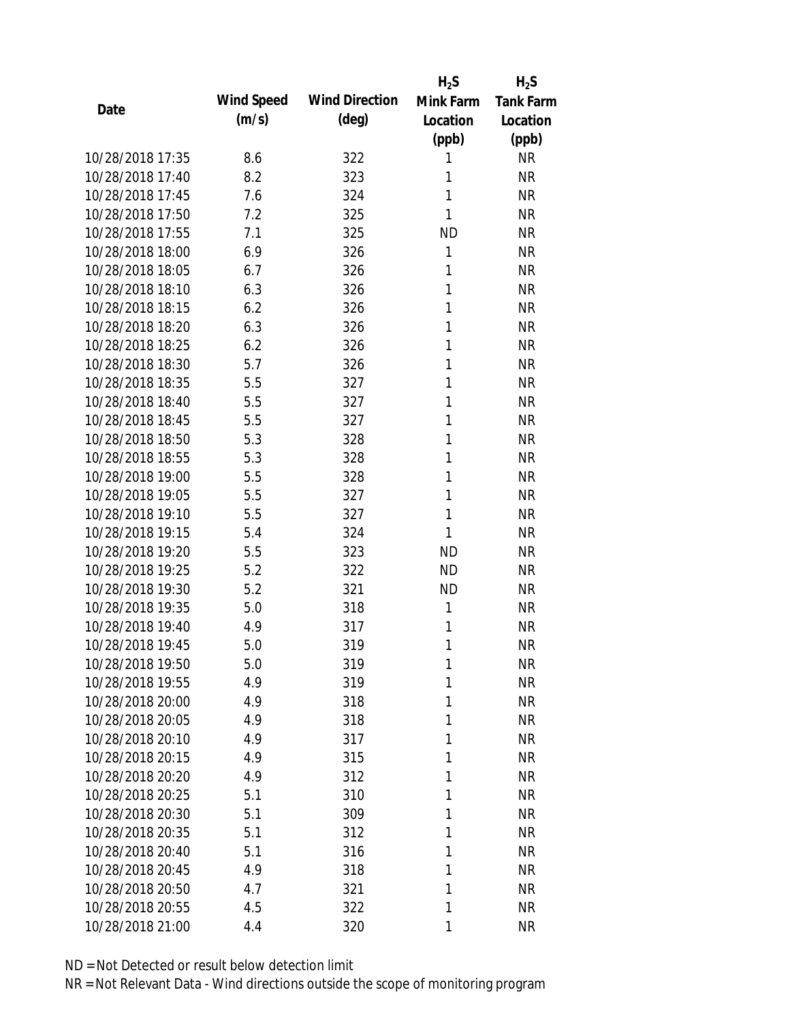|                  |            |                       | $H_2S$    | $H_2S$           |
|------------------|------------|-----------------------|-----------|------------------|
| Date             | Wind Speed | <b>Wind Direction</b> | Mink Farm | <b>Tank Farm</b> |
|                  | (m/s)      | $(\text{deg})$        | Location  | Location         |
|                  |            |                       | (ppb)     | (ppb)            |
| 10/28/2018 17:35 | 8.6        | 322                   | 1         | <b>NR</b>        |
| 10/28/2018 17:40 | 8.2        | 323                   | 1         | <b>NR</b>        |
| 10/28/2018 17:45 | 7.6        | 324                   | 1         | <b>NR</b>        |
| 10/28/2018 17:50 | 7.2        | 325                   | 1         | <b>NR</b>        |
| 10/28/2018 17:55 | 7.1        | 325                   | <b>ND</b> | <b>NR</b>        |
| 10/28/2018 18:00 | 6.9        | 326                   | 1         | <b>NR</b>        |
| 10/28/2018 18:05 | 6.7        | 326                   | 1         | <b>NR</b>        |
| 10/28/2018 18:10 | 6.3        | 326                   | 1         | <b>NR</b>        |
| 10/28/2018 18:15 | 6.2        | 326                   | 1         | <b>NR</b>        |
| 10/28/2018 18:20 | 6.3        | 326                   | 1         | <b>NR</b>        |
| 10/28/2018 18:25 | 6.2        | 326                   | 1         | <b>NR</b>        |
| 10/28/2018 18:30 | 5.7        | 326                   | 1         | <b>NR</b>        |
| 10/28/2018 18:35 | 5.5        | 327                   | 1         | <b>NR</b>        |
| 10/28/2018 18:40 | 5.5        | 327                   | 1         | <b>NR</b>        |
| 10/28/2018 18:45 | 5.5        | 327                   | 1         | <b>NR</b>        |
| 10/28/2018 18:50 | 5.3        | 328                   | 1         | <b>NR</b>        |
| 10/28/2018 18:55 | 5.3        | 328                   | 1         | <b>NR</b>        |
| 10/28/2018 19:00 | 5.5        | 328                   | 1         | <b>NR</b>        |
| 10/28/2018 19:05 | 5.5        | 327                   | 1         | <b>NR</b>        |
| 10/28/2018 19:10 | 5.5        | 327                   | 1         | <b>NR</b>        |
| 10/28/2018 19:15 | 5.4        | 324                   | 1         | <b>NR</b>        |
| 10/28/2018 19:20 | 5.5        | 323                   | <b>ND</b> | <b>NR</b>        |
| 10/28/2018 19:25 | 5.2        | 322                   | <b>ND</b> | <b>NR</b>        |
| 10/28/2018 19:30 | 5.2        | 321                   | <b>ND</b> | <b>NR</b>        |
| 10/28/2018 19:35 | 5.0        | 318                   | 1         | <b>NR</b>        |
| 10/28/2018 19:40 | 4.9        | 317                   | 1         | <b>NR</b>        |
| 10/28/2018 19:45 | 5.0        | 319                   | 1         | <b>NR</b>        |
| 10/28/2018 19:50 | 5.0        | 319                   | 1         | <b>NR</b>        |
| 10/28/2018 19:55 | 4.9        | 319                   | 1         | <b>NR</b>        |
| 10/28/2018 20:00 | 4.9        | 318                   | 1         | <b>NR</b>        |
| 10/28/2018 20:05 | 4.9        | 318                   | 1         | <b>NR</b>        |
| 10/28/2018 20:10 | 4.9        | 317                   | 1         | <b>NR</b>        |
| 10/28/2018 20:15 | 4.9        | 315                   | 1         | <b>NR</b>        |
| 10/28/2018 20:20 | 4.9        | 312                   | 1         | <b>NR</b>        |
| 10/28/2018 20:25 | 5.1        | 310                   | 1         | <b>NR</b>        |
| 10/28/2018 20:30 | 5.1        | 309                   | 1         | <b>NR</b>        |
| 10/28/2018 20:35 | 5.1        | 312                   | 1         | <b>NR</b>        |
| 10/28/2018 20:40 | 5.1        | 316                   | 1         | <b>NR</b>        |
| 10/28/2018 20:45 | 4.9        | 318                   | 1         | <b>NR</b>        |
| 10/28/2018 20:50 | 4.7        | 321                   | 1         | <b>NR</b>        |
| 10/28/2018 20:55 | 4.5        | 322                   | 1         | <b>NR</b>        |
| 10/28/2018 21:00 | 4.4        | 320                   | 1         | <b>NR</b>        |
|                  |            |                       |           |                  |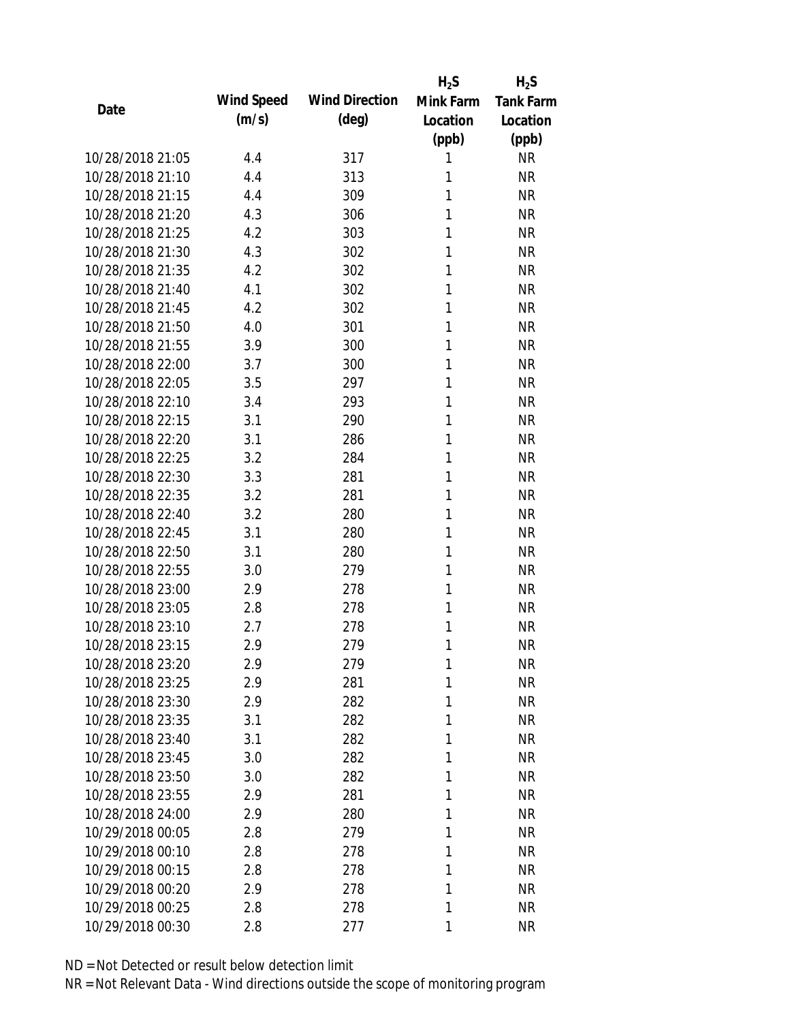|                  |            |                       | $H_2S$    | $H_2S$           |
|------------------|------------|-----------------------|-----------|------------------|
|                  | Wind Speed | <b>Wind Direction</b> | Mink Farm | <b>Tank Farm</b> |
| Date             | (m/s)      | $(\text{deg})$        | Location  | Location         |
|                  |            |                       | (ppb)     | (ppb)            |
| 10/28/2018 21:05 | 4.4        | 317                   | 1         | <b>NR</b>        |
| 10/28/2018 21:10 | 4.4        | 313                   | 1         | <b>NR</b>        |
| 10/28/2018 21:15 | 4.4        | 309                   | 1         | <b>NR</b>        |
| 10/28/2018 21:20 | 4.3        | 306                   | 1         | <b>NR</b>        |
| 10/28/2018 21:25 | 4.2        | 303                   | 1         | <b>NR</b>        |
| 10/28/2018 21:30 | 4.3        | 302                   | 1         | <b>NR</b>        |
| 10/28/2018 21:35 | 4.2        | 302                   | 1         | <b>NR</b>        |
| 10/28/2018 21:40 | 4.1        | 302                   | 1         | <b>NR</b>        |
| 10/28/2018 21:45 | 4.2        | 302                   | 1         | <b>NR</b>        |
| 10/28/2018 21:50 | 4.0        | 301                   | 1         | <b>NR</b>        |
| 10/28/2018 21:55 | 3.9        | 300                   | 1         | <b>NR</b>        |
| 10/28/2018 22:00 | 3.7        | 300                   | 1         | <b>NR</b>        |
| 10/28/2018 22:05 | 3.5        | 297                   | 1         | <b>NR</b>        |
| 10/28/2018 22:10 | 3.4        | 293                   | 1         | <b>NR</b>        |
| 10/28/2018 22:15 | 3.1        | 290                   | 1         | <b>NR</b>        |
| 10/28/2018 22:20 | 3.1        | 286                   | 1         | <b>NR</b>        |
| 10/28/2018 22:25 | 3.2        | 284                   | 1         | <b>NR</b>        |
| 10/28/2018 22:30 | 3.3        | 281                   | 1         | <b>NR</b>        |
| 10/28/2018 22:35 | 3.2        | 281                   | 1         | <b>NR</b>        |
| 10/28/2018 22:40 | 3.2        | 280                   | 1         | <b>NR</b>        |
| 10/28/2018 22:45 | 3.1        | 280                   | 1         | <b>NR</b>        |
| 10/28/2018 22:50 | 3.1        | 280                   | 1         | <b>NR</b>        |
| 10/28/2018 22:55 | 3.0        | 279                   | 1         | <b>NR</b>        |
| 10/28/2018 23:00 | 2.9        | 278                   | 1         | <b>NR</b>        |
| 10/28/2018 23:05 | 2.8        | 278                   | 1         | <b>NR</b>        |
| 10/28/2018 23:10 | 2.7        | 278                   | 1         | <b>NR</b>        |
| 10/28/2018 23:15 | 2.9        | 279                   | 1         | <b>NR</b>        |
| 10/28/2018 23:20 | 2.9        | 279                   | 1         | <b>NR</b>        |
| 10/28/2018 23:25 | 2.9        | 281                   | 1         | <b>NR</b>        |
| 10/28/2018 23:30 | 2.9        | 282                   | 1         | <b>NR</b>        |
| 10/28/2018 23:35 | 3.1        | 282                   | 1         | <b>NR</b>        |
| 10/28/2018 23:40 | 3.1        | 282                   | 1         | <b>NR</b>        |
| 10/28/2018 23:45 | 3.0        | 282                   | 1         | <b>NR</b>        |
| 10/28/2018 23:50 | 3.0        | 282                   | 1         | <b>NR</b>        |
| 10/28/2018 23:55 | 2.9        | 281                   | 1         | <b>NR</b>        |
| 10/28/2018 24:00 | 2.9        | 280                   | 1         | <b>NR</b>        |
| 10/29/2018 00:05 | 2.8        | 279                   | 1         | <b>NR</b>        |
| 10/29/2018 00:10 | 2.8        | 278                   | 1         | <b>NR</b>        |
| 10/29/2018 00:15 | 2.8        | 278                   | 1         | <b>NR</b>        |
| 10/29/2018 00:20 | 2.9        | 278                   | 1         | <b>NR</b>        |
| 10/29/2018 00:25 | 2.8        | 278                   | 1         | <b>NR</b>        |
| 10/29/2018 00:30 | 2.8        | 277                   | 1         | <b>NR</b>        |
|                  |            |                       |           |                  |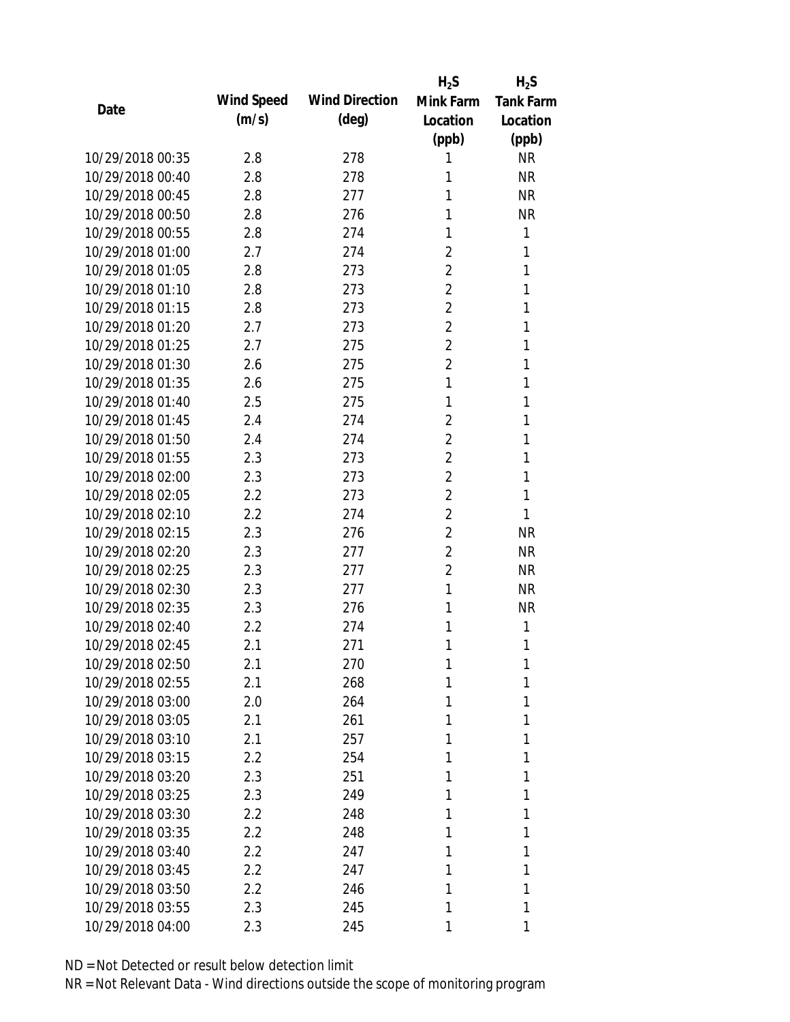|                  |            |                       | $H_2S$         | $H_2S$           |
|------------------|------------|-----------------------|----------------|------------------|
|                  | Wind Speed | <b>Wind Direction</b> | Mink Farm      | <b>Tank Farm</b> |
| Date             | (m/s)      | $(\text{deg})$        | Location       | Location         |
|                  |            |                       | (ppb)          | (ppb)            |
| 10/29/2018 00:35 | 2.8        | 278                   | 1              | <b>NR</b>        |
| 10/29/2018 00:40 | 2.8        | 278                   | 1              | <b>NR</b>        |
| 10/29/2018 00:45 | 2.8        | 277                   | 1              | <b>NR</b>        |
| 10/29/2018 00:50 | 2.8        | 276                   | 1              | <b>NR</b>        |
| 10/29/2018 00:55 | 2.8        | 274                   | 1              | 1                |
| 10/29/2018 01:00 | 2.7        | 274                   | $\overline{2}$ | 1                |
| 10/29/2018 01:05 | 2.8        | 273                   | $\overline{2}$ | 1                |
| 10/29/2018 01:10 | 2.8        | 273                   | $\overline{2}$ | 1                |
| 10/29/2018 01:15 | 2.8        | 273                   | $\overline{2}$ | 1                |
| 10/29/2018 01:20 | 2.7        | 273                   | $\overline{2}$ | 1                |
| 10/29/2018 01:25 | 2.7        | 275                   | $\overline{2}$ | 1                |
| 10/29/2018 01:30 | 2.6        | 275                   | $\overline{2}$ | 1                |
| 10/29/2018 01:35 | 2.6        | 275                   | 1              | 1                |
| 10/29/2018 01:40 | 2.5        | 275                   | 1              | 1                |
| 10/29/2018 01:45 | 2.4        | 274                   | $\overline{2}$ | 1                |
| 10/29/2018 01:50 | 2.4        | 274                   | $\overline{2}$ | 1                |
| 10/29/2018 01:55 | 2.3        | 273                   | $\overline{2}$ | 1                |
| 10/29/2018 02:00 | 2.3        | 273                   | $\overline{2}$ | 1                |
| 10/29/2018 02:05 | 2.2        | 273                   | $\overline{2}$ | 1                |
| 10/29/2018 02:10 | 2.2        | 274                   | $\overline{2}$ | 1                |
| 10/29/2018 02:15 | 2.3        | 276                   | $\overline{2}$ | <b>NR</b>        |
| 10/29/2018 02:20 | 2.3        | 277                   | $\overline{2}$ | <b>NR</b>        |
| 10/29/2018 02:25 | 2.3        | 277                   | $\overline{2}$ | <b>NR</b>        |
| 10/29/2018 02:30 | 2.3        | 277                   | 1              | <b>NR</b>        |
| 10/29/2018 02:35 | 2.3        | 276                   | 1              | <b>NR</b>        |
| 10/29/2018 02:40 | 2.2        | 274                   | 1              | 1                |
| 10/29/2018 02:45 | 2.1        | 271                   | 1              | 1                |
| 10/29/2018 02:50 | 2.1        | 270                   | 1              | 1                |
| 10/29/2018 02:55 | 2.1        | 268                   | 1              | 1                |
| 10/29/2018 03:00 | 2.0        | 264                   | 1              | 1                |
| 10/29/2018 03:05 | 2.1        | 261                   | 1              | 1                |
| 10/29/2018 03:10 | 2.1        | 257                   | 1              | 1                |
| 10/29/2018 03:15 | 2.2        | 254                   | 1              | 1                |
| 10/29/2018 03:20 | 2.3        | 251                   | 1              | 1                |
| 10/29/2018 03:25 | 2.3        | 249                   | 1              | 1                |
| 10/29/2018 03:30 | 2.2        | 248                   | 1              | 1                |
| 10/29/2018 03:35 | 2.2        | 248                   | 1              | 1                |
| 10/29/2018 03:40 | 2.2        | 247                   | 1              | 1                |
| 10/29/2018 03:45 | 2.2        | 247                   | 1              | 1                |
| 10/29/2018 03:50 | 2.2        | 246                   | 1              | 1                |
| 10/29/2018 03:55 | 2.3        | 245                   | 1              | 1                |
| 10/29/2018 04:00 | 2.3        | 245                   | 1              | 1                |
|                  |            |                       |                |                  |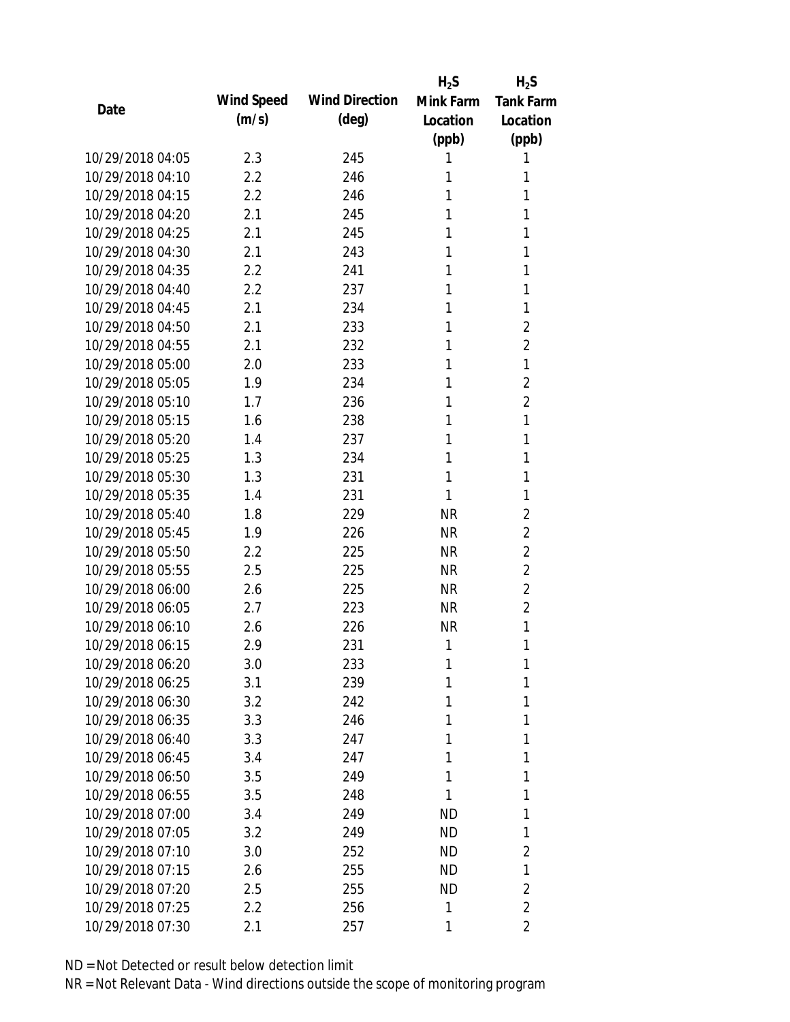|                  |            |                       | $H_2S$    | $H_2S$           |
|------------------|------------|-----------------------|-----------|------------------|
|                  | Wind Speed | <b>Wind Direction</b> | Mink Farm | <b>Tank Farm</b> |
| Date             | (m/s)      | $(\text{deg})$        | Location  | Location         |
|                  |            |                       | (ppb)     | (ppb)            |
| 10/29/2018 04:05 | 2.3        | 245                   | 1         | 1                |
| 10/29/2018 04:10 | 2.2        | 246                   | 1         | 1                |
| 10/29/2018 04:15 | 2.2        | 246                   | 1         | 1                |
| 10/29/2018 04:20 | 2.1        | 245                   | 1         | 1                |
| 10/29/2018 04:25 | 2.1        | 245                   | 1         | 1                |
| 10/29/2018 04:30 | 2.1        | 243                   | 1         | 1                |
| 10/29/2018 04:35 | 2.2        | 241                   | 1         | 1                |
| 10/29/2018 04:40 | 2.2        | 237                   | 1         | 1                |
| 10/29/2018 04:45 | 2.1        | 234                   | 1         | 1                |
| 10/29/2018 04:50 | 2.1        | 233                   | 1         | $\overline{2}$   |
| 10/29/2018 04:55 | 2.1        | 232                   | 1         | $\overline{2}$   |
| 10/29/2018 05:00 | 2.0        | 233                   | 1         | 1                |
| 10/29/2018 05:05 | 1.9        | 234                   | 1         | $\overline{2}$   |
| 10/29/2018 05:10 | 1.7        | 236                   | 1         | $\overline{2}$   |
| 10/29/2018 05:15 | 1.6        | 238                   | 1         | 1                |
| 10/29/2018 05:20 | 1.4        | 237                   | 1         | 1                |
| 10/29/2018 05:25 | 1.3        | 234                   | 1         | 1                |
| 10/29/2018 05:30 | 1.3        | 231                   | 1         | 1                |
| 10/29/2018 05:35 | 1.4        | 231                   | 1         | 1                |
| 10/29/2018 05:40 | 1.8        | 229                   | <b>NR</b> | $\overline{2}$   |
| 10/29/2018 05:45 | 1.9        | 226                   | <b>NR</b> | $\overline{2}$   |
| 10/29/2018 05:50 | 2.2        | 225                   | <b>NR</b> | $\overline{2}$   |
| 10/29/2018 05:55 | 2.5        | 225                   | <b>NR</b> | $\overline{2}$   |
| 10/29/2018 06:00 | 2.6        | 225                   | <b>NR</b> | $\overline{2}$   |
| 10/29/2018 06:05 | 2.7        | 223                   | <b>NR</b> | $\overline{2}$   |
| 10/29/2018 06:10 | 2.6        | 226                   | <b>NR</b> | 1                |
| 10/29/2018 06:15 | 2.9        | 231                   | 1         | 1                |
| 10/29/2018 06:20 | 3.0        | 233                   | 1         | 1                |
| 10/29/2018 06:25 | 3.1        | 239                   | 1         | 1                |
| 10/29/2018 06:30 | 3.2        | 242                   | 1         | 1                |
| 10/29/2018 06:35 | 3.3        | 246                   | 1         | 1                |
| 10/29/2018 06:40 | 3.3        | 247                   | 1         | 1                |
| 10/29/2018 06:45 | 3.4        | 247                   | 1         | 1                |
| 10/29/2018 06:50 | 3.5        | 249                   | 1         | 1                |
| 10/29/2018 06:55 | 3.5        | 248                   | 1         | 1                |
| 10/29/2018 07:00 | 3.4        | 249                   | <b>ND</b> | 1                |
| 10/29/2018 07:05 | 3.2        | 249                   | ND.       | 1                |
| 10/29/2018 07:10 | 3.0        | 252                   | ND.       | 2                |
| 10/29/2018 07:15 | 2.6        | 255                   | <b>ND</b> | 1                |
| 10/29/2018 07:20 | 2.5        | 255                   | <b>ND</b> | $\overline{2}$   |
| 10/29/2018 07:25 | 2.2        | 256                   | 1         | $\overline{2}$   |
| 10/29/2018 07:30 | 2.1        | 257                   | 1         | 2                |
|                  |            |                       |           |                  |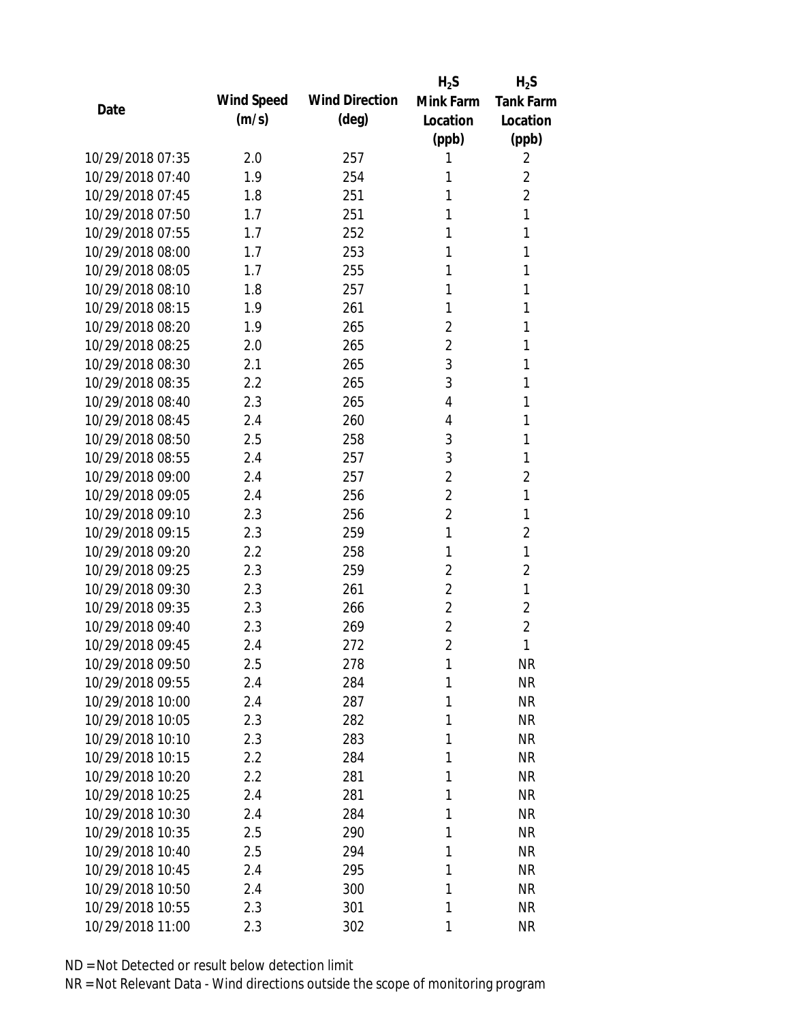|                  |            |                       | $H_2S$         | $H_2S$           |
|------------------|------------|-----------------------|----------------|------------------|
| Date             | Wind Speed | <b>Wind Direction</b> | Mink Farm      | <b>Tank Farm</b> |
|                  | (m/s)      | $(\text{deg})$        | Location       | Location         |
|                  |            |                       | (ppb)          | (ppb)            |
| 10/29/2018 07:35 | 2.0        | 257                   | 1              | 2                |
| 10/29/2018 07:40 | 1.9        | 254                   | 1              | $\overline{2}$   |
| 10/29/2018 07:45 | 1.8        | 251                   | 1              | $\overline{2}$   |
| 10/29/2018 07:50 | 1.7        | 251                   | 1              | 1                |
| 10/29/2018 07:55 | 1.7        | 252                   | 1              | 1                |
| 10/29/2018 08:00 | 1.7        | 253                   | 1              | 1                |
| 10/29/2018 08:05 | 1.7        | 255                   | 1              | 1                |
| 10/29/2018 08:10 | 1.8        | 257                   | 1              | 1                |
| 10/29/2018 08:15 | 1.9        | 261                   | 1              | 1                |
| 10/29/2018 08:20 | 1.9        | 265                   | $\overline{2}$ | 1                |
| 10/29/2018 08:25 | 2.0        | 265                   | $\overline{2}$ | 1                |
| 10/29/2018 08:30 | 2.1        | 265                   | 3              | 1                |
| 10/29/2018 08:35 | 2.2        | 265                   | 3              | 1                |
| 10/29/2018 08:40 | 2.3        | 265                   | 4              | 1                |
| 10/29/2018 08:45 | 2.4        | 260                   | 4              | 1                |
| 10/29/2018 08:50 | 2.5        | 258                   | 3              | 1                |
| 10/29/2018 08:55 | 2.4        | 257                   | 3              | 1                |
| 10/29/2018 09:00 | 2.4        | 257                   | $\overline{2}$ | $\overline{2}$   |
| 10/29/2018 09:05 | 2.4        | 256                   | $\overline{2}$ | 1                |
| 10/29/2018 09:10 | 2.3        | 256                   | $\overline{2}$ | 1                |
| 10/29/2018 09:15 | 2.3        | 259                   | 1              | $\overline{2}$   |
| 10/29/2018 09:20 | 2.2        | 258                   | 1              | 1                |
| 10/29/2018 09:25 | 2.3        | 259                   | $\overline{2}$ | $\overline{2}$   |
| 10/29/2018 09:30 | 2.3        | 261                   | $\overline{2}$ | 1                |
| 10/29/2018 09:35 | 2.3        | 266                   | $\overline{2}$ | $\overline{2}$   |
| 10/29/2018 09:40 | 2.3        | 269                   | $\overline{2}$ | $\overline{2}$   |
| 10/29/2018 09:45 | 2.4        | 272                   | $\overline{2}$ | 1                |
| 10/29/2018 09:50 | 2.5        | 278                   | 1              | <b>NR</b>        |
| 10/29/2018 09:55 | 2.4        | 284                   | 1              | <b>NR</b>        |
| 10/29/2018 10:00 | 2.4        | 287                   | 1              | <b>NR</b>        |
| 10/29/2018 10:05 | 2.3        | 282                   | 1              | <b>NR</b>        |
| 10/29/2018 10:10 | 2.3        | 283                   | 1              | <b>NR</b>        |
| 10/29/2018 10:15 | 2.2        | 284                   | 1              | <b>NR</b>        |
| 10/29/2018 10:20 | 2.2        | 281                   | 1              | <b>NR</b>        |
| 10/29/2018 10:25 | 2.4        | 281                   | 1              | <b>NR</b>        |
| 10/29/2018 10:30 | 2.4        | 284                   | 1              | <b>NR</b>        |
| 10/29/2018 10:35 | 2.5        | 290                   | 1              | <b>NR</b>        |
| 10/29/2018 10:40 | 2.5        | 294                   | 1              | <b>NR</b>        |
| 10/29/2018 10:45 | 2.4        |                       | 1              | <b>NR</b>        |
| 10/29/2018 10:50 |            | 295                   | 1              | <b>NR</b>        |
|                  | 2.4        | 300                   |                |                  |
| 10/29/2018 10:55 | 2.3        | 301                   | 1              | <b>NR</b>        |
| 10/29/2018 11:00 | 2.3        | 302                   | 1              | <b>NR</b>        |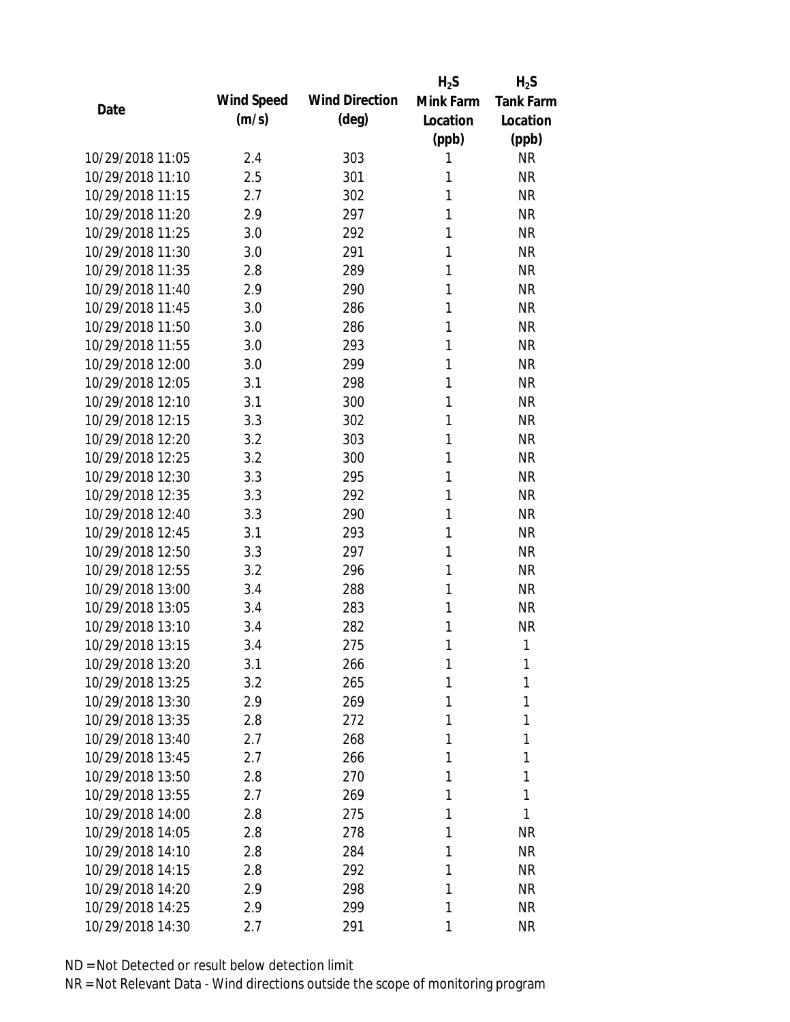|                  |            |                       | $H_2S$    | $H_2S$           |
|------------------|------------|-----------------------|-----------|------------------|
| Date             | Wind Speed | <b>Wind Direction</b> | Mink Farm | <b>Tank Farm</b> |
|                  | (m/s)      | $(\text{deg})$        | Location  | Location         |
|                  |            |                       | (ppb)     | (ppb)            |
| 10/29/2018 11:05 | 2.4        | 303                   | 1         | <b>NR</b>        |
| 10/29/2018 11:10 | 2.5        | 301                   | 1         | <b>NR</b>        |
| 10/29/2018 11:15 | 2.7        | 302                   | 1         | <b>NR</b>        |
| 10/29/2018 11:20 | 2.9        | 297                   | 1         | <b>NR</b>        |
| 10/29/2018 11:25 | 3.0        | 292                   | 1         | <b>NR</b>        |
| 10/29/2018 11:30 | 3.0        | 291                   | 1         | <b>NR</b>        |
| 10/29/2018 11:35 | 2.8        | 289                   | 1         | <b>NR</b>        |
| 10/29/2018 11:40 | 2.9        | 290                   | 1         | <b>NR</b>        |
| 10/29/2018 11:45 | 3.0        | 286                   | 1         | <b>NR</b>        |
| 10/29/2018 11:50 | 3.0        | 286                   | 1         | <b>NR</b>        |
| 10/29/2018 11:55 | 3.0        | 293                   | 1         | <b>NR</b>        |
| 10/29/2018 12:00 | 3.0        | 299                   | 1         | <b>NR</b>        |
| 10/29/2018 12:05 | 3.1        | 298                   | 1         | <b>NR</b>        |
| 10/29/2018 12:10 | 3.1        | 300                   | 1         | <b>NR</b>        |
| 10/29/2018 12:15 | 3.3        | 302                   | 1         | <b>NR</b>        |
| 10/29/2018 12:20 | 3.2        | 303                   | 1         | <b>NR</b>        |
| 10/29/2018 12:25 | 3.2        | 300                   | 1         | <b>NR</b>        |
| 10/29/2018 12:30 | 3.3        | 295                   | 1         | <b>NR</b>        |
| 10/29/2018 12:35 | 3.3        | 292                   | 1         | <b>NR</b>        |
| 10/29/2018 12:40 | 3.3        | 290                   | 1         | <b>NR</b>        |
| 10/29/2018 12:45 | 3.1        | 293                   | 1         | <b>NR</b>        |
| 10/29/2018 12:50 | 3.3        | 297                   | 1         | <b>NR</b>        |
| 10/29/2018 12:55 | 3.2        | 296                   | 1         | <b>NR</b>        |
| 10/29/2018 13:00 | 3.4        | 288                   | 1         | <b>NR</b>        |
| 10/29/2018 13:05 | 3.4        | 283                   | 1         | <b>NR</b>        |
| 10/29/2018 13:10 | 3.4        | 282                   | 1         | <b>NR</b>        |
| 10/29/2018 13:15 | 3.4        | 275                   | 1         | 1                |
| 10/29/2018 13:20 | 3.1        | 266                   | 1         | 1                |
| 10/29/2018 13:25 | 3.2        | 265                   | 1         | 1                |
| 10/29/2018 13:30 | 2.9        | 269                   | 1         | 1                |
| 10/29/2018 13:35 | 2.8        | 272                   | 1         | 1                |
| 10/29/2018 13:40 | 2.7        | 268                   | 1         | 1                |
| 10/29/2018 13:45 | 2.7        | 266                   | 1         | 1                |
| 10/29/2018 13:50 | 2.8        | 270                   | 1         | 1                |
| 10/29/2018 13:55 | 2.7        | 269                   | 1         | 1                |
| 10/29/2018 14:00 | 2.8        | 275                   | 1         | 1                |
| 10/29/2018 14:05 | 2.8        | 278                   | 1         | <b>NR</b>        |
| 10/29/2018 14:10 | 2.8        | 284                   | 1         | <b>NR</b>        |
| 10/29/2018 14:15 | 2.8        | 292                   | 1         | <b>NR</b>        |
| 10/29/2018 14:20 | 2.9        | 298                   | 1         | <b>NR</b>        |
| 10/29/2018 14:25 | 2.9        | 299                   | 1         | <b>NR</b>        |
| 10/29/2018 14:30 | 2.7        | 291                   | 1         | <b>NR</b>        |
|                  |            |                       |           |                  |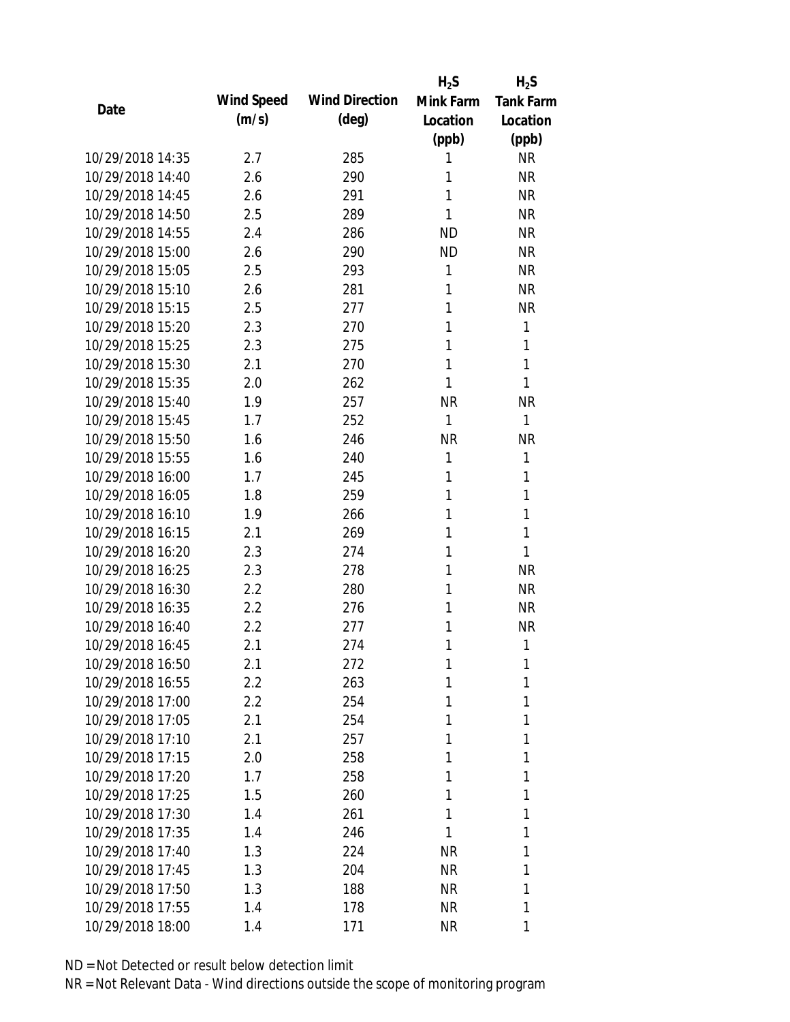|                  |            |                       | $H_2S$    | $H_2S$           |
|------------------|------------|-----------------------|-----------|------------------|
| Date             | Wind Speed | <b>Wind Direction</b> | Mink Farm | <b>Tank Farm</b> |
|                  | (m/s)      | $(\text{deg})$        | Location  | Location         |
|                  |            |                       | (ppb)     | (ppb)            |
| 10/29/2018 14:35 | 2.7        | 285                   | 1         | <b>NR</b>        |
| 10/29/2018 14:40 | 2.6        | 290                   | 1         | <b>NR</b>        |
| 10/29/2018 14:45 | 2.6        | 291                   | 1         | <b>NR</b>        |
| 10/29/2018 14:50 | 2.5        | 289                   | 1         | <b>NR</b>        |
| 10/29/2018 14:55 | 2.4        | 286                   | <b>ND</b> | <b>NR</b>        |
| 10/29/2018 15:00 | 2.6        | 290                   | <b>ND</b> | <b>NR</b>        |
| 10/29/2018 15:05 | 2.5        | 293                   | 1         | <b>NR</b>        |
| 10/29/2018 15:10 | 2.6        | 281                   | 1         | <b>NR</b>        |
| 10/29/2018 15:15 | 2.5        | 277                   | 1         | <b>NR</b>        |
| 10/29/2018 15:20 | 2.3        | 270                   | 1         | 1                |
| 10/29/2018 15:25 | 2.3        | 275                   | 1         | 1                |
| 10/29/2018 15:30 | 2.1        | 270                   | 1         | 1                |
| 10/29/2018 15:35 | 2.0        | 262                   | 1         | 1                |
| 10/29/2018 15:40 | 1.9        | 257                   | <b>NR</b> | <b>NR</b>        |
| 10/29/2018 15:45 | 1.7        | 252                   | 1         | 1                |
| 10/29/2018 15:50 | 1.6        | 246                   | <b>NR</b> | <b>NR</b>        |
| 10/29/2018 15:55 | 1.6        | 240                   | 1         | 1                |
| 10/29/2018 16:00 | 1.7        | 245                   | 1         | 1                |
| 10/29/2018 16:05 | 1.8        | 259                   | 1         | 1                |
| 10/29/2018 16:10 | 1.9        | 266                   | 1         | 1                |
| 10/29/2018 16:15 | 2.1        | 269                   | 1         | 1                |
| 10/29/2018 16:20 | 2.3        | 274                   | 1         | 1                |
| 10/29/2018 16:25 | 2.3        | 278                   | 1         | <b>NR</b>        |
| 10/29/2018 16:30 | 2.2        | 280                   | 1         | <b>NR</b>        |
| 10/29/2018 16:35 | 2.2        | 276                   | 1         | <b>NR</b>        |
| 10/29/2018 16:40 | 2.2        | 277                   | 1         | <b>NR</b>        |
| 10/29/2018 16:45 | 2.1        | 274                   | 1         | 1                |
| 10/29/2018 16:50 | 2.1        | 272                   | 1         | 1                |
| 10/29/2018 16:55 | 2.2        | 263                   | 1         | 1                |
| 10/29/2018 17:00 | 2.2        | 254                   | 1         | 1                |
| 10/29/2018 17:05 | 2.1        | 254                   | 1         | 1                |
| 10/29/2018 17:10 | 2.1        | 257                   | 1         | 1                |
| 10/29/2018 17:15 | 2.0        | 258                   | 1         | 1                |
| 10/29/2018 17:20 | 1.7        | 258                   | 1         | 1                |
| 10/29/2018 17:25 | 1.5        | 260                   | 1         | 1                |
| 10/29/2018 17:30 | 1.4        | 261                   | 1         | 1                |
| 10/29/2018 17:35 | 1.4        | 246                   | 1         | 1                |
| 10/29/2018 17:40 | 1.3        | 224                   | <b>NR</b> | 1                |
| 10/29/2018 17:45 | 1.3        | 204                   | <b>NR</b> | 1                |
| 10/29/2018 17:50 | 1.3        | 188                   | <b>NR</b> | 1                |
| 10/29/2018 17:55 | 1.4        | 178                   | <b>NR</b> | 1                |
| 10/29/2018 18:00 | 1.4        | 171                   | <b>NR</b> | 1                |
|                  |            |                       |           |                  |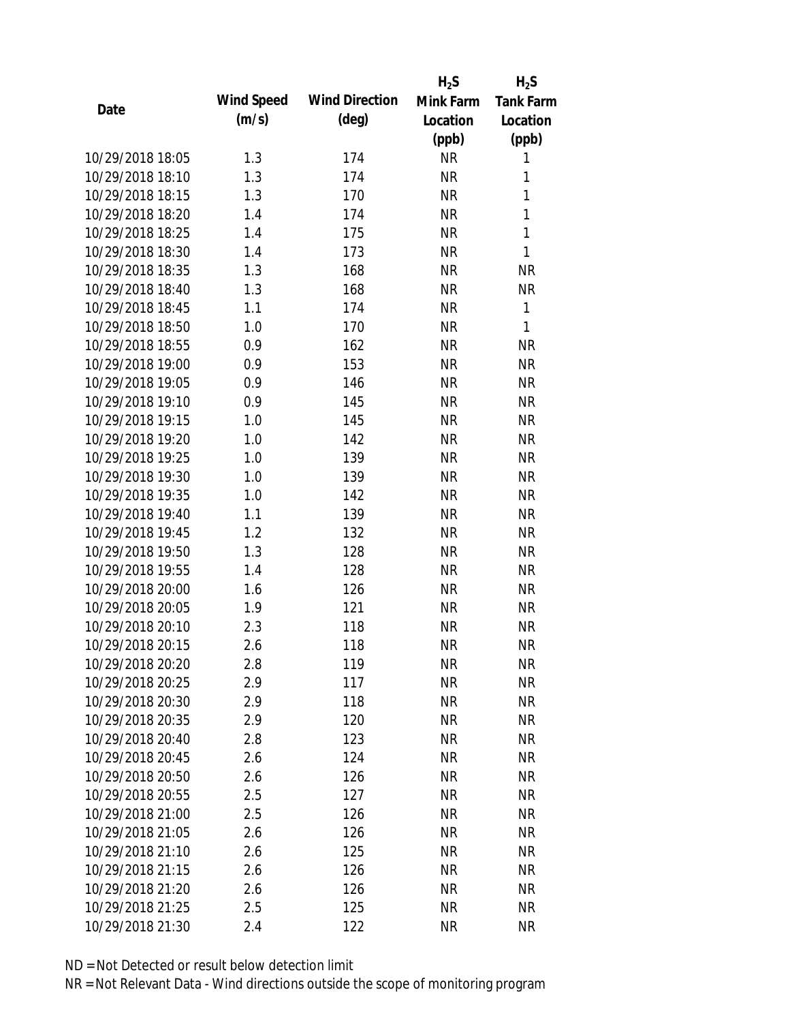|                  |            |                       | $H_2S$    | $H_2S$           |
|------------------|------------|-----------------------|-----------|------------------|
|                  | Wind Speed | <b>Wind Direction</b> | Mink Farm | <b>Tank Farm</b> |
| Date             | (m/s)      | $(\text{deg})$        | Location  | Location         |
|                  |            |                       | (ppb)     | (ppb)            |
| 10/29/2018 18:05 | 1.3        | 174                   | <b>NR</b> | 1                |
| 10/29/2018 18:10 | 1.3        | 174                   | <b>NR</b> | 1                |
| 10/29/2018 18:15 | 1.3        | 170                   | <b>NR</b> | 1                |
| 10/29/2018 18:20 | 1.4        | 174                   | <b>NR</b> | 1                |
| 10/29/2018 18:25 | 1.4        | 175                   | <b>NR</b> | 1                |
| 10/29/2018 18:30 | 1.4        | 173                   | <b>NR</b> | $\mathbf{1}$     |
| 10/29/2018 18:35 | 1.3        | 168                   | <b>NR</b> | <b>NR</b>        |
| 10/29/2018 18:40 | 1.3        | 168                   | <b>NR</b> | <b>NR</b>        |
| 10/29/2018 18:45 | 1.1        | 174                   | <b>NR</b> | $\mathbf{1}$     |
| 10/29/2018 18:50 | 1.0        | 170                   | <b>NR</b> | 1                |
| 10/29/2018 18:55 | 0.9        | 162                   | <b>NR</b> | <b>NR</b>        |
| 10/29/2018 19:00 | 0.9        | 153                   | <b>NR</b> | <b>NR</b>        |
| 10/29/2018 19:05 | 0.9        | 146                   | <b>NR</b> | <b>NR</b>        |
| 10/29/2018 19:10 | 0.9        | 145                   | <b>NR</b> | <b>NR</b>        |
| 10/29/2018 19:15 | 1.0        | 145                   | <b>NR</b> | <b>NR</b>        |
| 10/29/2018 19:20 | 1.0        | 142                   | <b>NR</b> | <b>NR</b>        |
| 10/29/2018 19:25 | 1.0        | 139                   | <b>NR</b> | <b>NR</b>        |
| 10/29/2018 19:30 | 1.0        | 139                   | <b>NR</b> | <b>NR</b>        |
| 10/29/2018 19:35 | 1.0        | 142                   | <b>NR</b> | <b>NR</b>        |
| 10/29/2018 19:40 | 1.1        | 139                   | <b>NR</b> | <b>NR</b>        |
| 10/29/2018 19:45 | 1.2        | 132                   | <b>NR</b> | <b>NR</b>        |
| 10/29/2018 19:50 | 1.3        | 128                   | <b>NR</b> | <b>NR</b>        |
| 10/29/2018 19:55 | 1.4        | 128                   | <b>NR</b> | <b>NR</b>        |
| 10/29/2018 20:00 | 1.6        | 126                   | <b>NR</b> | <b>NR</b>        |
| 10/29/2018 20:05 | 1.9        | 121                   | <b>NR</b> | <b>NR</b>        |
| 10/29/2018 20:10 | 2.3        | 118                   | <b>NR</b> | <b>NR</b>        |
| 10/29/2018 20:15 | 2.6        | 118                   | <b>NR</b> | <b>NR</b>        |
| 10/29/2018 20:20 | 2.8        | 119                   | <b>NR</b> | <b>NR</b>        |
| 10/29/2018 20:25 | 2.9        | 117                   | <b>NR</b> | <b>NR</b>        |
| 10/29/2018 20:30 | 2.9        | 118                   | NR        | <b>NR</b>        |
| 10/29/2018 20:35 | 2.9        | 120                   | <b>NR</b> | <b>NR</b>        |
| 10/29/2018 20:40 | 2.8        | 123                   | <b>NR</b> | <b>NR</b>        |
| 10/29/2018 20:45 | 2.6        | 124                   | <b>NR</b> | <b>NR</b>        |
| 10/29/2018 20:50 | 2.6        | 126                   | <b>NR</b> | <b>NR</b>        |
| 10/29/2018 20:55 | 2.5        | 127                   | <b>NR</b> | <b>NR</b>        |
| 10/29/2018 21:00 | 2.5        | 126                   | <b>NR</b> | <b>NR</b>        |
| 10/29/2018 21:05 | 2.6        | 126                   | <b>NR</b> | <b>NR</b>        |
| 10/29/2018 21:10 | 2.6        | 125                   | <b>NR</b> | <b>NR</b>        |
| 10/29/2018 21:15 | 2.6        | 126                   | <b>NR</b> | <b>NR</b>        |
| 10/29/2018 21:20 | 2.6        | 126                   | <b>NR</b> | <b>NR</b>        |
| 10/29/2018 21:25 | 2.5        | 125                   | <b>NR</b> | <b>NR</b>        |
| 10/29/2018 21:30 | 2.4        | 122                   | <b>NR</b> | <b>NR</b>        |
|                  |            |                       |           |                  |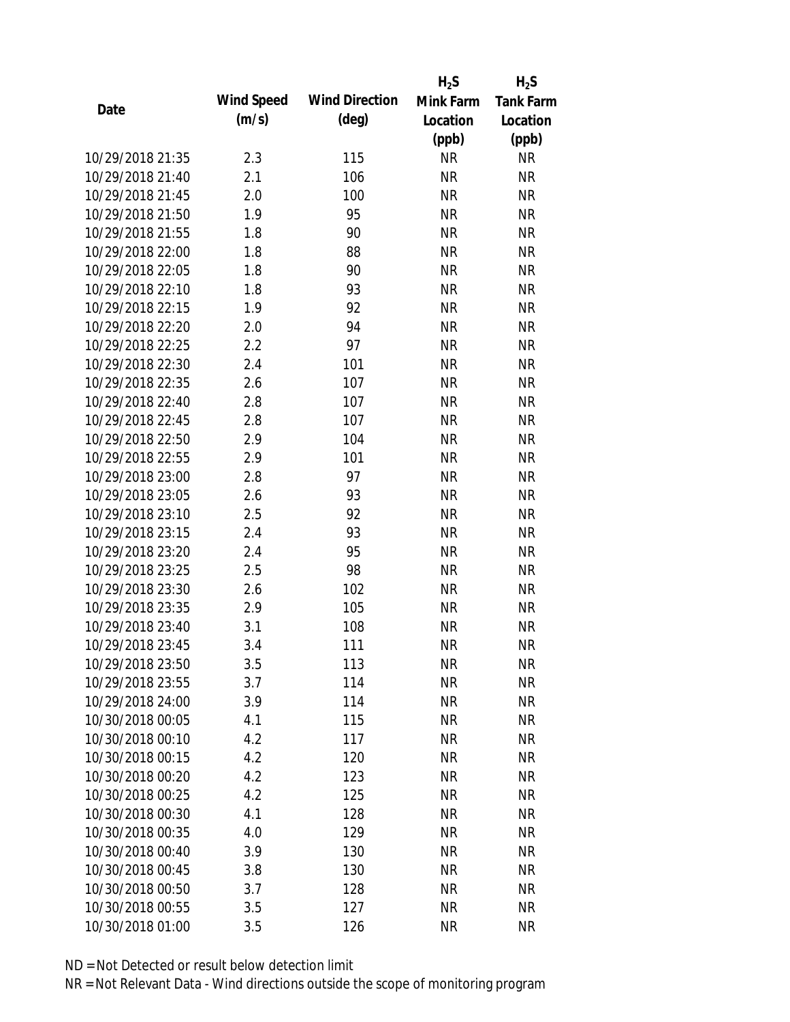|                  |            |                       | $H_2S$    | $H_2S$           |
|------------------|------------|-----------------------|-----------|------------------|
| Date             | Wind Speed | <b>Wind Direction</b> | Mink Farm | <b>Tank Farm</b> |
|                  | (m/s)      | $(\text{deg})$        | Location  | Location         |
|                  |            |                       | (ppb)     | (ppb)            |
| 10/29/2018 21:35 | 2.3        | 115                   | <b>NR</b> | NR               |
| 10/29/2018 21:40 | 2.1        | 106                   | <b>NR</b> | <b>NR</b>        |
| 10/29/2018 21:45 | 2.0        | 100                   | <b>NR</b> | <b>NR</b>        |
| 10/29/2018 21:50 | 1.9        | 95                    | <b>NR</b> | <b>NR</b>        |
| 10/29/2018 21:55 | 1.8        | 90                    | <b>NR</b> | <b>NR</b>        |
| 10/29/2018 22:00 | 1.8        | 88                    | <b>NR</b> | <b>NR</b>        |
| 10/29/2018 22:05 | 1.8        | 90                    | <b>NR</b> | <b>NR</b>        |
| 10/29/2018 22:10 | 1.8        | 93                    | <b>NR</b> | <b>NR</b>        |
| 10/29/2018 22:15 | 1.9        | 92                    | <b>NR</b> | <b>NR</b>        |
| 10/29/2018 22:20 | 2.0        | 94                    | <b>NR</b> | <b>NR</b>        |
| 10/29/2018 22:25 | 2.2        | 97                    | <b>NR</b> | <b>NR</b>        |
| 10/29/2018 22:30 | 2.4        | 101                   | <b>NR</b> | <b>NR</b>        |
| 10/29/2018 22:35 | 2.6        | 107                   | <b>NR</b> | <b>NR</b>        |
| 10/29/2018 22:40 | 2.8        | 107                   | <b>NR</b> | <b>NR</b>        |
| 10/29/2018 22:45 | 2.8        | 107                   | <b>NR</b> | <b>NR</b>        |
| 10/29/2018 22:50 | 2.9        | 104                   | <b>NR</b> | <b>NR</b>        |
| 10/29/2018 22:55 | 2.9        | 101                   | <b>NR</b> | <b>NR</b>        |
| 10/29/2018 23:00 | 2.8        | 97                    | <b>NR</b> | <b>NR</b>        |
| 10/29/2018 23:05 | 2.6        | 93                    | <b>NR</b> | <b>NR</b>        |
| 10/29/2018 23:10 | 2.5        | 92                    | <b>NR</b> | <b>NR</b>        |
| 10/29/2018 23:15 | 2.4        | 93                    | <b>NR</b> | <b>NR</b>        |
| 10/29/2018 23:20 | 2.4        | 95                    | <b>NR</b> | <b>NR</b>        |
| 10/29/2018 23:25 | 2.5        | 98                    | <b>NR</b> | <b>NR</b>        |
| 10/29/2018 23:30 | 2.6        | 102                   | <b>NR</b> | <b>NR</b>        |
| 10/29/2018 23:35 | 2.9        | 105                   | <b>NR</b> | <b>NR</b>        |
| 10/29/2018 23:40 | 3.1        | 108                   | <b>NR</b> | <b>NR</b>        |
| 10/29/2018 23:45 | 3.4        | 111                   | <b>NR</b> | <b>NR</b>        |
| 10/29/2018 23:50 | 3.5        | 113                   | <b>NR</b> | <b>NR</b>        |
| 10/29/2018 23:55 | 3.7        | 114                   | <b>NR</b> | <b>NR</b>        |
| 10/29/2018 24:00 | 3.9        | 114                   | <b>NR</b> | <b>NR</b>        |
| 10/30/2018 00:05 | 4.1        | 115                   | <b>NR</b> | <b>NR</b>        |
| 10/30/2018 00:10 | 4.2        | 117                   | <b>NR</b> | <b>NR</b>        |
| 10/30/2018 00:15 | 4.2        | 120                   | <b>NR</b> | <b>NR</b>        |
| 10/30/2018 00:20 | 4.2        | 123                   | <b>NR</b> | <b>NR</b>        |
| 10/30/2018 00:25 | 4.2        | 125                   | <b>NR</b> | <b>NR</b>        |
| 10/30/2018 00:30 | 4.1        | 128                   | <b>NR</b> | <b>NR</b>        |
| 10/30/2018 00:35 | 4.0        | 129                   | <b>NR</b> | <b>NR</b>        |
| 10/30/2018 00:40 | 3.9        | 130                   | NR        | <b>NR</b>        |
| 10/30/2018 00:45 | 3.8        | 130                   | <b>NR</b> | <b>NR</b>        |
| 10/30/2018 00:50 | 3.7        | 128                   | <b>NR</b> | <b>NR</b>        |
| 10/30/2018 00:55 | 3.5        |                       | <b>NR</b> | <b>NR</b>        |
|                  |            | 127                   |           |                  |
| 10/30/2018 01:00 | 3.5        | 126                   | <b>NR</b> | <b>NR</b>        |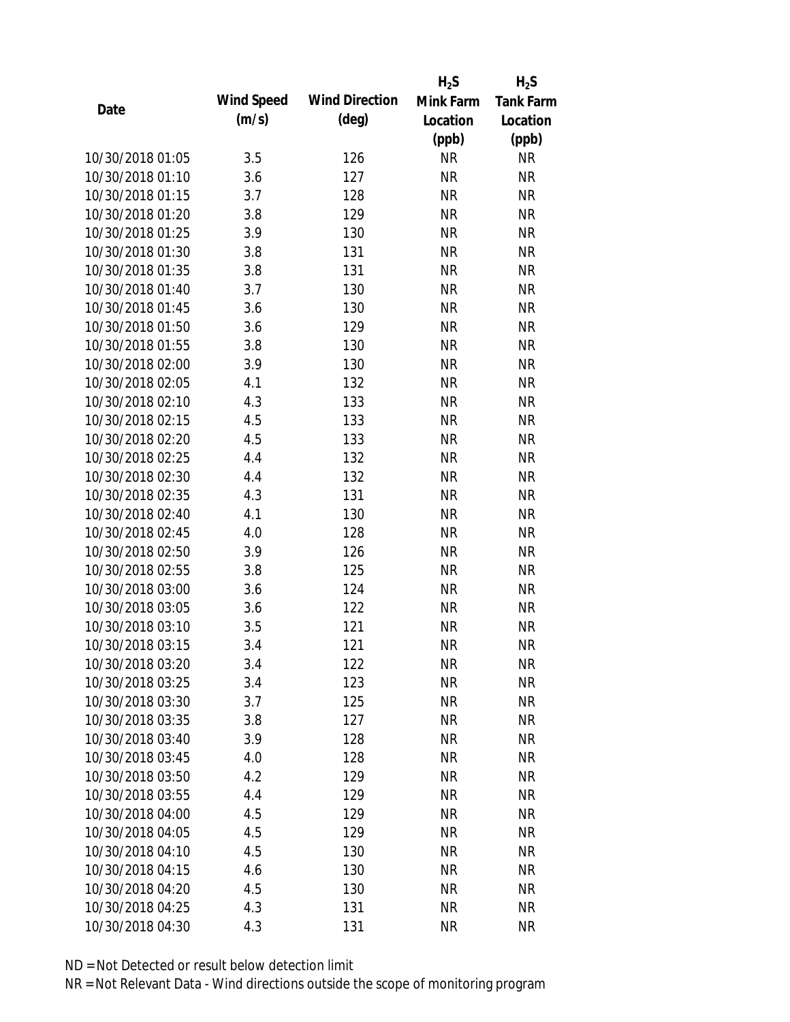|                  |            |                       | $H_2S$    | $H_2S$           |
|------------------|------------|-----------------------|-----------|------------------|
|                  | Wind Speed | <b>Wind Direction</b> | Mink Farm | <b>Tank Farm</b> |
| Date             | (m/s)      | $(\text{deg})$        | Location  | Location         |
|                  |            |                       | (ppb)     | (ppb)            |
| 10/30/2018 01:05 | 3.5        | 126                   | <b>NR</b> | <b>NR</b>        |
| 10/30/2018 01:10 | 3.6        | 127                   | <b>NR</b> | <b>NR</b>        |
| 10/30/2018 01:15 | 3.7        | 128                   | <b>NR</b> | <b>NR</b>        |
| 10/30/2018 01:20 | 3.8        | 129                   | <b>NR</b> | <b>NR</b>        |
| 10/30/2018 01:25 | 3.9        | 130                   | <b>NR</b> | <b>NR</b>        |
| 10/30/2018 01:30 | 3.8        | 131                   | <b>NR</b> | <b>NR</b>        |
| 10/30/2018 01:35 | 3.8        | 131                   | <b>NR</b> | <b>NR</b>        |
| 10/30/2018 01:40 | 3.7        | 130                   | <b>NR</b> | <b>NR</b>        |
| 10/30/2018 01:45 | 3.6        | 130                   | <b>NR</b> | <b>NR</b>        |
| 10/30/2018 01:50 | 3.6        | 129                   | <b>NR</b> | <b>NR</b>        |
| 10/30/2018 01:55 | 3.8        | 130                   | <b>NR</b> | <b>NR</b>        |
| 10/30/2018 02:00 | 3.9        | 130                   | <b>NR</b> | <b>NR</b>        |
| 10/30/2018 02:05 | 4.1        | 132                   | <b>NR</b> | <b>NR</b>        |
| 10/30/2018 02:10 | 4.3        | 133                   | <b>NR</b> | <b>NR</b>        |
| 10/30/2018 02:15 | 4.5        | 133                   | <b>NR</b> | <b>NR</b>        |
| 10/30/2018 02:20 | 4.5        | 133                   | <b>NR</b> | <b>NR</b>        |
| 10/30/2018 02:25 | 4.4        | 132                   | <b>NR</b> | <b>NR</b>        |
| 10/30/2018 02:30 | 4.4        | 132                   | <b>NR</b> | <b>NR</b>        |
| 10/30/2018 02:35 | 4.3        | 131                   | <b>NR</b> | <b>NR</b>        |
| 10/30/2018 02:40 | 4.1        | 130                   | <b>NR</b> | <b>NR</b>        |
| 10/30/2018 02:45 | 4.0        | 128                   | <b>NR</b> | <b>NR</b>        |
| 10/30/2018 02:50 | 3.9        | 126                   | <b>NR</b> | <b>NR</b>        |
| 10/30/2018 02:55 | 3.8        | 125                   | <b>NR</b> | <b>NR</b>        |
| 10/30/2018 03:00 | 3.6        | 124                   | <b>NR</b> | <b>NR</b>        |
| 10/30/2018 03:05 | 3.6        | 122                   | <b>NR</b> | <b>NR</b>        |
| 10/30/2018 03:10 | 3.5        | 121                   | <b>NR</b> | <b>NR</b>        |
| 10/30/2018 03:15 | 3.4        | 121                   | <b>NR</b> | <b>NR</b>        |
| 10/30/2018 03:20 | 3.4        | 122                   | <b>NR</b> | <b>NR</b>        |
| 10/30/2018 03:25 | 3.4        | 123                   | <b>NR</b> | <b>NR</b>        |
| 10/30/2018 03:30 | 3.7        | 125                   | <b>NR</b> | <b>NR</b>        |
| 10/30/2018 03:35 | 3.8        | 127                   | <b>NR</b> | <b>NR</b>        |
| 10/30/2018 03:40 | 3.9        | 128                   | <b>NR</b> | <b>NR</b>        |
| 10/30/2018 03:45 | 4.0        | 128                   | <b>NR</b> | <b>NR</b>        |
| 10/30/2018 03:50 | 4.2        | 129                   | <b>NR</b> | <b>NR</b>        |
| 10/30/2018 03:55 | 4.4        | 129                   | <b>NR</b> | <b>NR</b>        |
| 10/30/2018 04:00 | 4.5        | 129                   | <b>NR</b> | <b>NR</b>        |
| 10/30/2018 04:05 | 4.5        | 129                   | <b>NR</b> | <b>NR</b>        |
| 10/30/2018 04:10 | 4.5        | 130                   | <b>NR</b> | <b>NR</b>        |
| 10/30/2018 04:15 | 4.6        | 130                   | <b>NR</b> | <b>NR</b>        |
| 10/30/2018 04:20 | 4.5        | 130                   | <b>NR</b> | <b>NR</b>        |
| 10/30/2018 04:25 | 4.3        | 131                   | <b>NR</b> | <b>NR</b>        |
| 10/30/2018 04:30 | 4.3        | 131                   | <b>NR</b> | <b>NR</b>        |
|                  |            |                       |           |                  |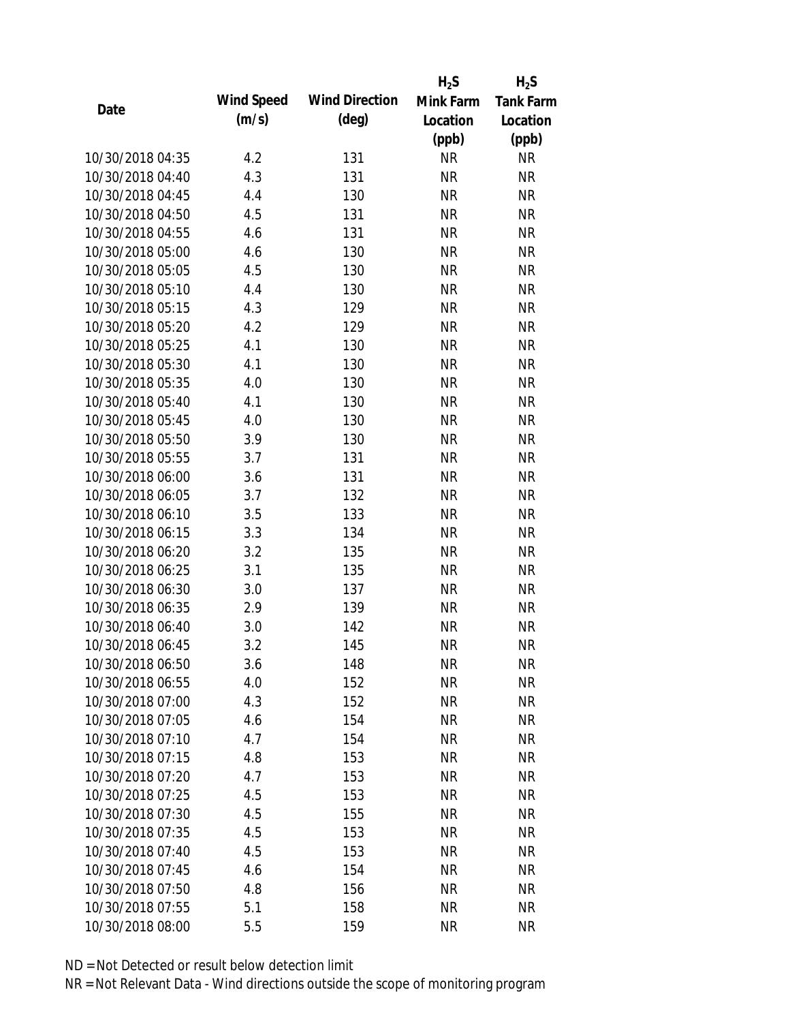|                  |            |                       | $H_2S$    | $H_2S$           |
|------------------|------------|-----------------------|-----------|------------------|
| Date             | Wind Speed | <b>Wind Direction</b> | Mink Farm | <b>Tank Farm</b> |
|                  | (m/s)      | $(\text{deg})$        | Location  | Location         |
|                  |            |                       | (ppb)     | (ppb)            |
| 10/30/2018 04:35 | 4.2        | 131                   | <b>NR</b> | <b>NR</b>        |
| 10/30/2018 04:40 | 4.3        | 131                   | <b>NR</b> | <b>NR</b>        |
| 10/30/2018 04:45 | 4.4        | 130                   | <b>NR</b> | <b>NR</b>        |
| 10/30/2018 04:50 | 4.5        | 131                   | <b>NR</b> | <b>NR</b>        |
| 10/30/2018 04:55 | 4.6        | 131                   | <b>NR</b> | <b>NR</b>        |
| 10/30/2018 05:00 | 4.6        | 130                   | <b>NR</b> | <b>NR</b>        |
| 10/30/2018 05:05 | 4.5        | 130                   | <b>NR</b> | <b>NR</b>        |
| 10/30/2018 05:10 | 4.4        | 130                   | <b>NR</b> | <b>NR</b>        |
| 10/30/2018 05:15 | 4.3        | 129                   | <b>NR</b> | <b>NR</b>        |
| 10/30/2018 05:20 | 4.2        | 129                   | <b>NR</b> | <b>NR</b>        |
| 10/30/2018 05:25 | 4.1        | 130                   | <b>NR</b> | <b>NR</b>        |
| 10/30/2018 05:30 | 4.1        | 130                   | <b>NR</b> | <b>NR</b>        |
| 10/30/2018 05:35 | 4.0        | 130                   | <b>NR</b> | <b>NR</b>        |
| 10/30/2018 05:40 | 4.1        | 130                   | <b>NR</b> | <b>NR</b>        |
| 10/30/2018 05:45 | 4.0        | 130                   | <b>NR</b> | <b>NR</b>        |
| 10/30/2018 05:50 | 3.9        | 130                   | <b>NR</b> | <b>NR</b>        |
| 10/30/2018 05:55 | 3.7        | 131                   | <b>NR</b> | <b>NR</b>        |
| 10/30/2018 06:00 | 3.6        | 131                   | <b>NR</b> | <b>NR</b>        |
| 10/30/2018 06:05 | 3.7        | 132                   | <b>NR</b> | <b>NR</b>        |
| 10/30/2018 06:10 | 3.5        | 133                   | <b>NR</b> | <b>NR</b>        |
| 10/30/2018 06:15 | 3.3        | 134                   | <b>NR</b> | <b>NR</b>        |
| 10/30/2018 06:20 | 3.2        | 135                   | <b>NR</b> | <b>NR</b>        |
| 10/30/2018 06:25 | 3.1        | 135                   | <b>NR</b> | <b>NR</b>        |
| 10/30/2018 06:30 | 3.0        | 137                   | <b>NR</b> | <b>NR</b>        |
| 10/30/2018 06:35 | 2.9        | 139                   | <b>NR</b> | <b>NR</b>        |
| 10/30/2018 06:40 | 3.0        | 142                   | <b>NR</b> | <b>NR</b>        |
| 10/30/2018 06:45 | 3.2        | 145                   | <b>NR</b> | <b>NR</b>        |
| 10/30/2018 06:50 | 3.6        | 148                   | <b>NR</b> | <b>NR</b>        |
| 10/30/2018 06:55 | 4.0        | 152                   | <b>NR</b> | <b>NR</b>        |
| 10/30/2018 07:00 | 4.3        | 152                   | <b>NR</b> | <b>NR</b>        |
| 10/30/2018 07:05 | 4.6        | 154                   | <b>NR</b> | <b>NR</b>        |
| 10/30/2018 07:10 | 4.7        | 154                   | <b>NR</b> | <b>NR</b>        |
| 10/30/2018 07:15 | 4.8        | 153                   | <b>NR</b> | <b>NR</b>        |
| 10/30/2018 07:20 | 4.7        | 153                   | <b>NR</b> | <b>NR</b>        |
| 10/30/2018 07:25 | 4.5        | 153                   | <b>NR</b> | <b>NR</b>        |
| 10/30/2018 07:30 | 4.5        | 155                   | <b>NR</b> | <b>NR</b>        |
| 10/30/2018 07:35 | 4.5        | 153                   | <b>NR</b> | <b>NR</b>        |
| 10/30/2018 07:40 | 4.5        | 153                   | NR        | <b>NR</b>        |
| 10/30/2018 07:45 | 4.6        | 154                   | <b>NR</b> | <b>NR</b>        |
| 10/30/2018 07:50 | 4.8        | 156                   | <b>NR</b> | <b>NR</b>        |
| 10/30/2018 07:55 | 5.1        | 158                   | <b>NR</b> | <b>NR</b>        |
| 10/30/2018 08:00 | 5.5        | 159                   | <b>NR</b> | <b>NR</b>        |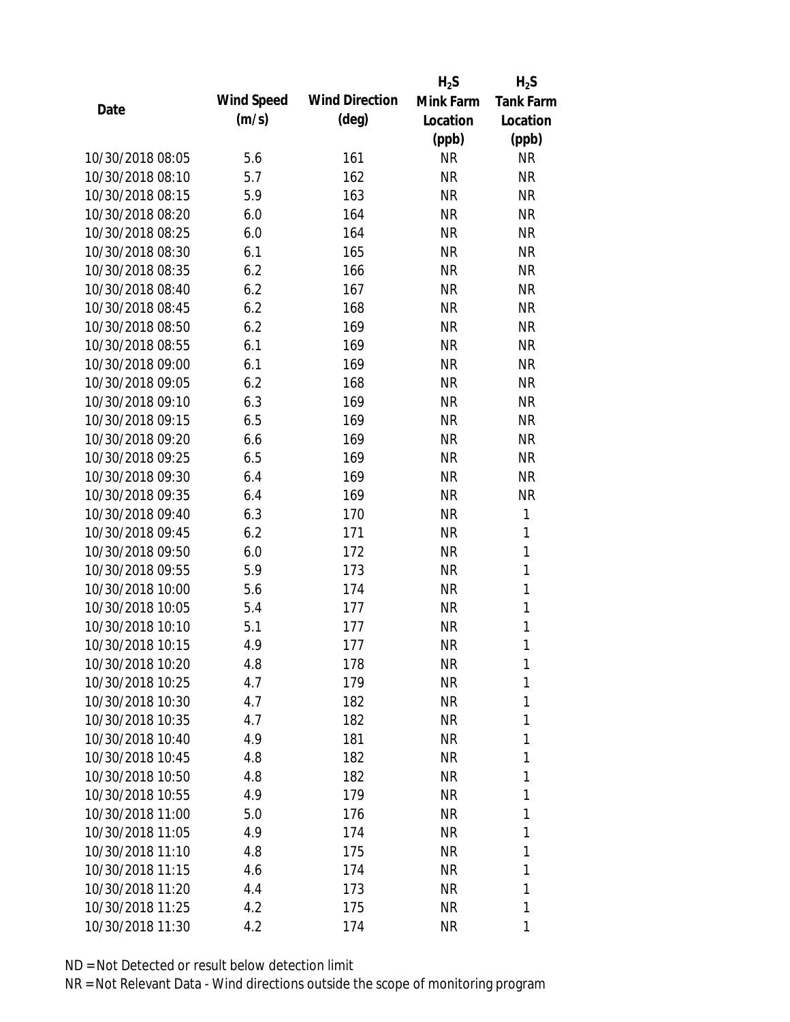|                  |            |                       | $H_2S$    | $H_2S$           |
|------------------|------------|-----------------------|-----------|------------------|
| Date             | Wind Speed | <b>Wind Direction</b> | Mink Farm | <b>Tank Farm</b> |
|                  | (m/s)      | $(\text{deg})$        | Location  | Location         |
|                  |            |                       | (ppb)     | (ppb)            |
| 10/30/2018 08:05 | 5.6        | 161                   | <b>NR</b> | <b>NR</b>        |
| 10/30/2018 08:10 | 5.7        | 162                   | <b>NR</b> | <b>NR</b>        |
| 10/30/2018 08:15 | 5.9        | 163                   | <b>NR</b> | <b>NR</b>        |
| 10/30/2018 08:20 | 6.0        | 164                   | NR        | <b>NR</b>        |
| 10/30/2018 08:25 | 6.0        | 164                   | <b>NR</b> | <b>NR</b>        |
| 10/30/2018 08:30 | 6.1        | 165                   | <b>NR</b> | <b>NR</b>        |
| 10/30/2018 08:35 | 6.2        | 166                   | NR        | <b>NR</b>        |
| 10/30/2018 08:40 | 6.2        | 167                   | <b>NR</b> | <b>NR</b>        |
| 10/30/2018 08:45 | 6.2        | 168                   | <b>NR</b> | <b>NR</b>        |
| 10/30/2018 08:50 | 6.2        | 169                   | <b>NR</b> | <b>NR</b>        |
| 10/30/2018 08:55 | 6.1        | 169                   | <b>NR</b> | <b>NR</b>        |
| 10/30/2018 09:00 | 6.1        | 169                   | NR        | <b>NR</b>        |
| 10/30/2018 09:05 | 6.2        | 168                   | <b>NR</b> | <b>NR</b>        |
| 10/30/2018 09:10 | 6.3        | 169                   | <b>NR</b> | <b>NR</b>        |
| 10/30/2018 09:15 | 6.5        | 169                   | <b>NR</b> | <b>NR</b>        |
| 10/30/2018 09:20 | 6.6        | 169                   | <b>NR</b> | <b>NR</b>        |
| 10/30/2018 09:25 | 6.5        | 169                   | NR        | <b>NR</b>        |
| 10/30/2018 09:30 | 6.4        | 169                   | <b>NR</b> | <b>NR</b>        |
| 10/30/2018 09:35 | 6.4        | 169                   | <b>NR</b> | <b>NR</b>        |
| 10/30/2018 09:40 | 6.3        | 170                   | <b>NR</b> | 1                |
| 10/30/2018 09:45 | 6.2        | 171                   | <b>NR</b> | 1                |
| 10/30/2018 09:50 | 6.0        | 172                   | <b>NR</b> | $\mathbf{1}$     |
| 10/30/2018 09:55 | 5.9        | 173                   | <b>NR</b> | 1                |
| 10/30/2018 10:00 | 5.6        | 174                   | <b>NR</b> | $\mathbf{1}$     |
| 10/30/2018 10:05 | 5.4        | 177                   | <b>NR</b> | 1                |
| 10/30/2018 10:10 | 5.1        | 177                   | <b>NR</b> | $\mathbf{1}$     |
| 10/30/2018 10:15 | 4.9        | 177                   | <b>NR</b> | 1                |
| 10/30/2018 10:20 | 4.8        | 178                   | <b>NR</b> | 1                |
| 10/30/2018 10:25 | 4.7        | 179                   | <b>NR</b> | 1                |
| 10/30/2018 10:30 | 4.7        | 182                   | NR        | 1                |
| 10/30/2018 10:35 | 4.7        | 182                   | NR        | 1                |
| 10/30/2018 10:40 | 4.9        | 181                   | NR        | 1                |
| 10/30/2018 10:45 | 4.8        | 182                   | NR        | 1                |
| 10/30/2018 10:50 | 4.8        | 182                   | <b>NR</b> | 1                |
| 10/30/2018 10:55 | 4.9        | 179                   | <b>NR</b> | 1                |
| 10/30/2018 11:00 | 5.0        | 176                   | NR        | 1                |
| 10/30/2018 11:05 | 4.9        | 174                   | NR        | 1                |
| 10/30/2018 11:10 | 4.8        | 175                   | NR        | 1                |
| 10/30/2018 11:15 | 4.6        | 174                   | NR        | 1                |
| 10/30/2018 11:20 | 4.4        | 173                   | <b>NR</b> | 1                |
| 10/30/2018 11:25 | 4.2        | 175                   | <b>NR</b> | 1                |
| 10/30/2018 11:30 | 4.2        | 174                   | <b>NR</b> | 1                |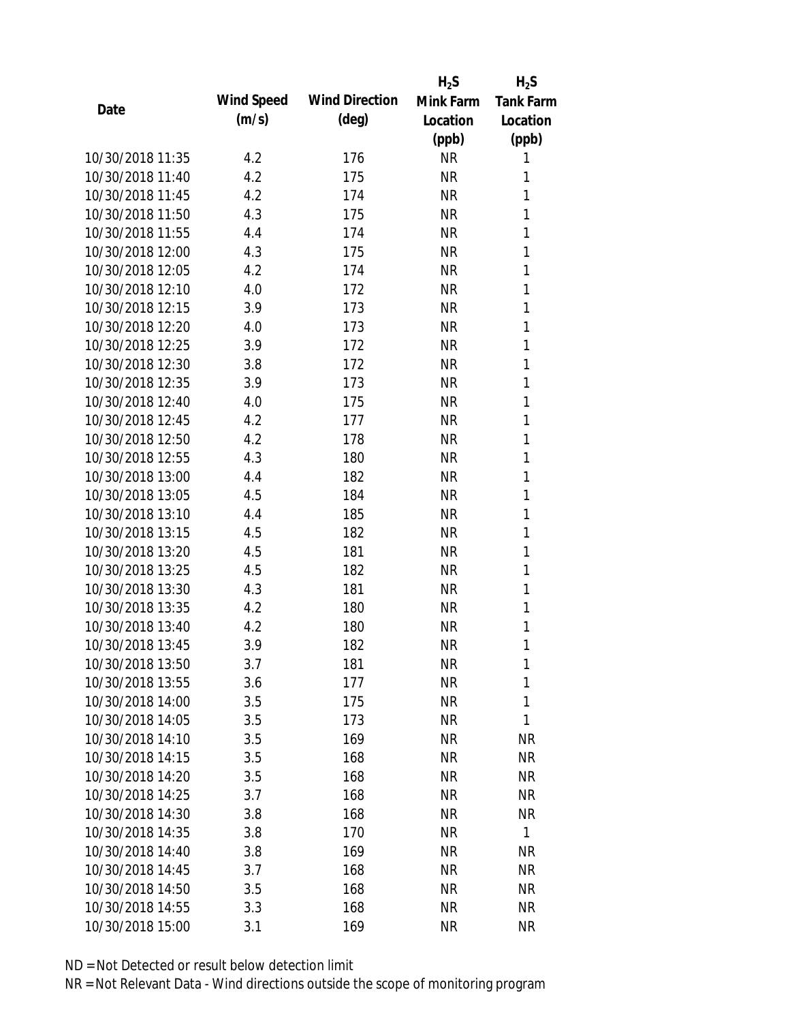|                  |            |                       | $H_2S$    | $H_2S$           |
|------------------|------------|-----------------------|-----------|------------------|
| Date             | Wind Speed | <b>Wind Direction</b> | Mink Farm | <b>Tank Farm</b> |
|                  | (m/s)      | $(\text{deg})$        | Location  | Location         |
|                  |            |                       | (ppb)     | (ppb)            |
| 10/30/2018 11:35 | 4.2        | 176                   | <b>NR</b> | 1                |
| 10/30/2018 11:40 | 4.2        | 175                   | <b>NR</b> | 1                |
| 10/30/2018 11:45 | 4.2        | 174                   | <b>NR</b> | 1                |
| 10/30/2018 11:50 | 4.3        | 175                   | <b>NR</b> | 1                |
| 10/30/2018 11:55 | 4.4        | 174                   | <b>NR</b> | 1                |
| 10/30/2018 12:00 | 4.3        | 175                   | <b>NR</b> | 1                |
| 10/30/2018 12:05 | 4.2        | 174                   | <b>NR</b> | 1                |
| 10/30/2018 12:10 | 4.0        | 172                   | <b>NR</b> | 1                |
| 10/30/2018 12:15 | 3.9        | 173                   | <b>NR</b> | 1                |
| 10/30/2018 12:20 | 4.0        | 173                   | <b>NR</b> | 1                |
| 10/30/2018 12:25 | 3.9        | 172                   | <b>NR</b> | 1                |
| 10/30/2018 12:30 | 3.8        | 172                   | <b>NR</b> | 1                |
| 10/30/2018 12:35 | 3.9        | 173                   | <b>NR</b> | 1                |
| 10/30/2018 12:40 | 4.0        | 175                   | <b>NR</b> | 1                |
| 10/30/2018 12:45 | 4.2        | 177                   | <b>NR</b> | 1                |
| 10/30/2018 12:50 | 4.2        | 178                   | <b>NR</b> | 1                |
| 10/30/2018 12:55 | 4.3        | 180                   | <b>NR</b> | 1                |
| 10/30/2018 13:00 | 4.4        | 182                   | <b>NR</b> | 1                |
| 10/30/2018 13:05 | 4.5        | 184                   | <b>NR</b> | 1                |
| 10/30/2018 13:10 | 4.4        | 185                   | <b>NR</b> | 1                |
| 10/30/2018 13:15 | 4.5        | 182                   | <b>NR</b> | 1                |
| 10/30/2018 13:20 | 4.5        | 181                   | <b>NR</b> | 1                |
| 10/30/2018 13:25 | 4.5        | 182                   | <b>NR</b> | 1                |
| 10/30/2018 13:30 | 4.3        | 181                   | <b>NR</b> | 1                |
| 10/30/2018 13:35 | 4.2        | 180                   | <b>NR</b> | 1                |
| 10/30/2018 13:40 | 4.2        | 180                   | <b>NR</b> | 1                |
| 10/30/2018 13:45 | 3.9        | 182                   | <b>NR</b> | 1                |
| 10/30/2018 13:50 | 3.7        | 181                   | <b>NR</b> | 1                |
| 10/30/2018 13:55 | 3.6        | 177                   | <b>NR</b> | 1                |
| 10/30/2018 14:00 | 3.5        | 175                   | <b>NR</b> | 1                |
| 10/30/2018 14:05 | 3.5        | 173                   | <b>NR</b> | 1                |
| 10/30/2018 14:10 | 3.5        | 169                   | <b>NR</b> | <b>NR</b>        |
| 10/30/2018 14:15 | 3.5        | 168                   | <b>NR</b> | <b>NR</b>        |
| 10/30/2018 14:20 | 3.5        | 168                   | <b>NR</b> | <b>NR</b>        |
| 10/30/2018 14:25 | 3.7        | 168                   | <b>NR</b> | <b>NR</b>        |
| 10/30/2018 14:30 | 3.8        | 168                   | <b>NR</b> | <b>NR</b>        |
| 10/30/2018 14:35 |            |                       | <b>NR</b> | $\mathbf{1}$     |
|                  | 3.8        | 170                   |           |                  |
| 10/30/2018 14:40 | 3.8        | 169                   | <b>NR</b> | <b>NR</b>        |
| 10/30/2018 14:45 | 3.7        | 168                   | <b>NR</b> | <b>NR</b>        |
| 10/30/2018 14:50 | 3.5        | 168                   | <b>NR</b> | NR               |
| 10/30/2018 14:55 | 3.3        | 168                   | <b>NR</b> | <b>NR</b>        |
| 10/30/2018 15:00 | 3.1        | 169                   | <b>NR</b> | <b>NR</b>        |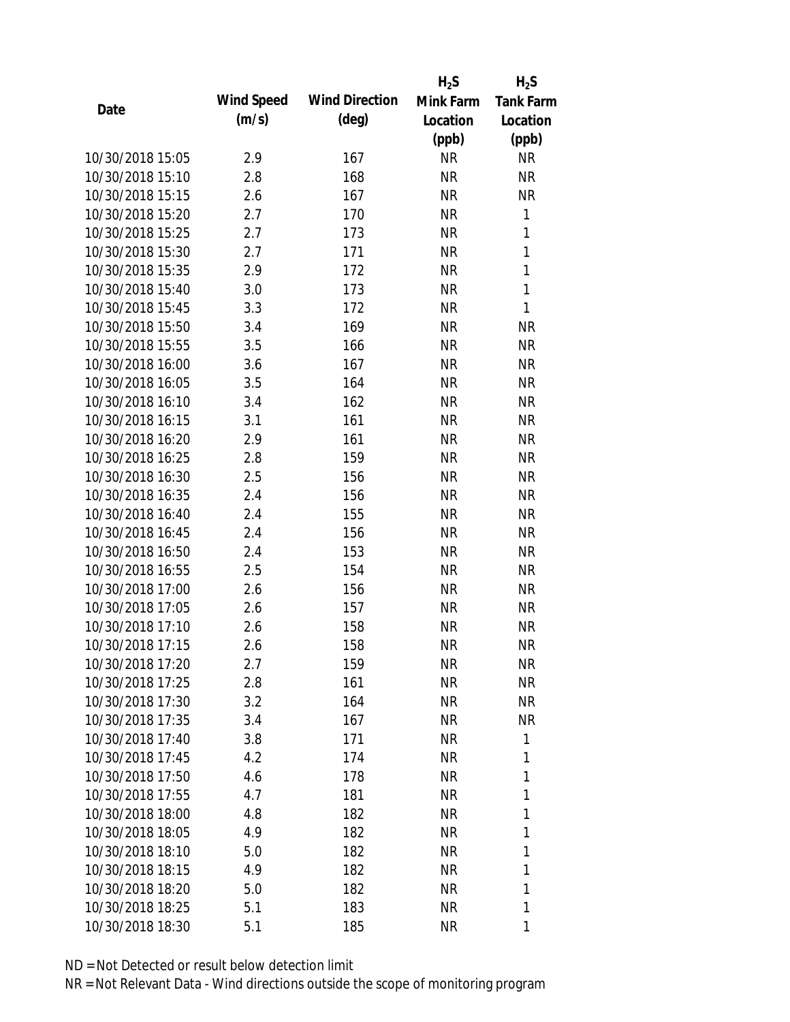|                  |            |                       | $H_2S$    | $H_2S$           |
|------------------|------------|-----------------------|-----------|------------------|
|                  | Wind Speed | <b>Wind Direction</b> | Mink Farm | <b>Tank Farm</b> |
| Date             | (m/s)      | $(\text{deg})$        | Location  | Location         |
|                  |            |                       | (ppb)     | (ppb)            |
| 10/30/2018 15:05 | 2.9        | 167                   | <b>NR</b> | <b>NR</b>        |
| 10/30/2018 15:10 | 2.8        | 168                   | <b>NR</b> | <b>NR</b>        |
| 10/30/2018 15:15 | 2.6        | 167                   | <b>NR</b> | <b>NR</b>        |
| 10/30/2018 15:20 | 2.7        | 170                   | NR        | $\mathbf{1}$     |
| 10/30/2018 15:25 | 2.7        | 173                   | <b>NR</b> | $\mathbf{1}$     |
| 10/30/2018 15:30 | 2.7        | 171                   | <b>NR</b> | 1                |
| 10/30/2018 15:35 | 2.9        | 172                   | NR        | 1                |
| 10/30/2018 15:40 | 3.0        | 173                   | <b>NR</b> | $\mathbf{1}$     |
| 10/30/2018 15:45 | 3.3        | 172                   | <b>NR</b> | 1                |
| 10/30/2018 15:50 | 3.4        | 169                   | <b>NR</b> | <b>NR</b>        |
| 10/30/2018 15:55 | 3.5        | 166                   | <b>NR</b> | <b>NR</b>        |
| 10/30/2018 16:00 | 3.6        | 167                   | NR        | <b>NR</b>        |
| 10/30/2018 16:05 | 3.5        | 164                   | <b>NR</b> | <b>NR</b>        |
| 10/30/2018 16:10 | 3.4        | 162                   | <b>NR</b> | <b>NR</b>        |
| 10/30/2018 16:15 | 3.1        | 161                   | <b>NR</b> | <b>NR</b>        |
| 10/30/2018 16:20 | 2.9        | 161                   | <b>NR</b> | <b>NR</b>        |
| 10/30/2018 16:25 | 2.8        | 159                   | <b>NR</b> | <b>NR</b>        |
| 10/30/2018 16:30 | 2.5        | 156                   | <b>NR</b> | <b>NR</b>        |
| 10/30/2018 16:35 | 2.4        | 156                   | NR        | <b>NR</b>        |
| 10/30/2018 16:40 | 2.4        | 155                   | <b>NR</b> | <b>NR</b>        |
| 10/30/2018 16:45 | 2.4        | 156                   | <b>NR</b> | <b>NR</b>        |
| 10/30/2018 16:50 | 2.4        | 153                   | NR        | <b>NR</b>        |
| 10/30/2018 16:55 | 2.5        | 154                   | <b>NR</b> | <b>NR</b>        |
| 10/30/2018 17:00 | 2.6        | 156                   | <b>NR</b> | <b>NR</b>        |
| 10/30/2018 17:05 | 2.6        | 157                   | <b>NR</b> | <b>NR</b>        |
| 10/30/2018 17:10 | 2.6        | 158                   | <b>NR</b> | <b>NR</b>        |
| 10/30/2018 17:15 | 2.6        | 158                   | <b>NR</b> | <b>NR</b>        |
| 10/30/2018 17:20 | 2.7        | 159                   | <b>NR</b> | <b>NR</b>        |
| 10/30/2018 17:25 | 2.8        | 161                   | <b>NR</b> | <b>NR</b>        |
| 10/30/2018 17:30 | 3.2        | 164                   | NR        | <b>NR</b>        |
| 10/30/2018 17:35 | 3.4        | 167                   | NR        | <b>NR</b>        |
| 10/30/2018 17:40 | 3.8        | 171                   | NR        | 1                |
| 10/30/2018 17:45 | 4.2        | 174                   | NR        | 1                |
| 10/30/2018 17:50 | 4.6        | 178                   | <b>NR</b> | 1                |
| 10/30/2018 17:55 | 4.7        | 181                   | NR        | 1                |
| 10/30/2018 18:00 | 4.8        | 182                   | NR        | 1                |
| 10/30/2018 18:05 | 4.9        | 182                   | NR        | 1                |
| 10/30/2018 18:10 | 5.0        | 182                   | NR        | 1                |
| 10/30/2018 18:15 | 4.9        | 182                   | NR        | 1                |
| 10/30/2018 18:20 | 5.0        | 182                   | NR        | 1                |
| 10/30/2018 18:25 | 5.1        | 183                   | <b>NR</b> | 1                |
| 10/30/2018 18:30 | 5.1        | 185                   | <b>NR</b> | 1                |
|                  |            |                       |           |                  |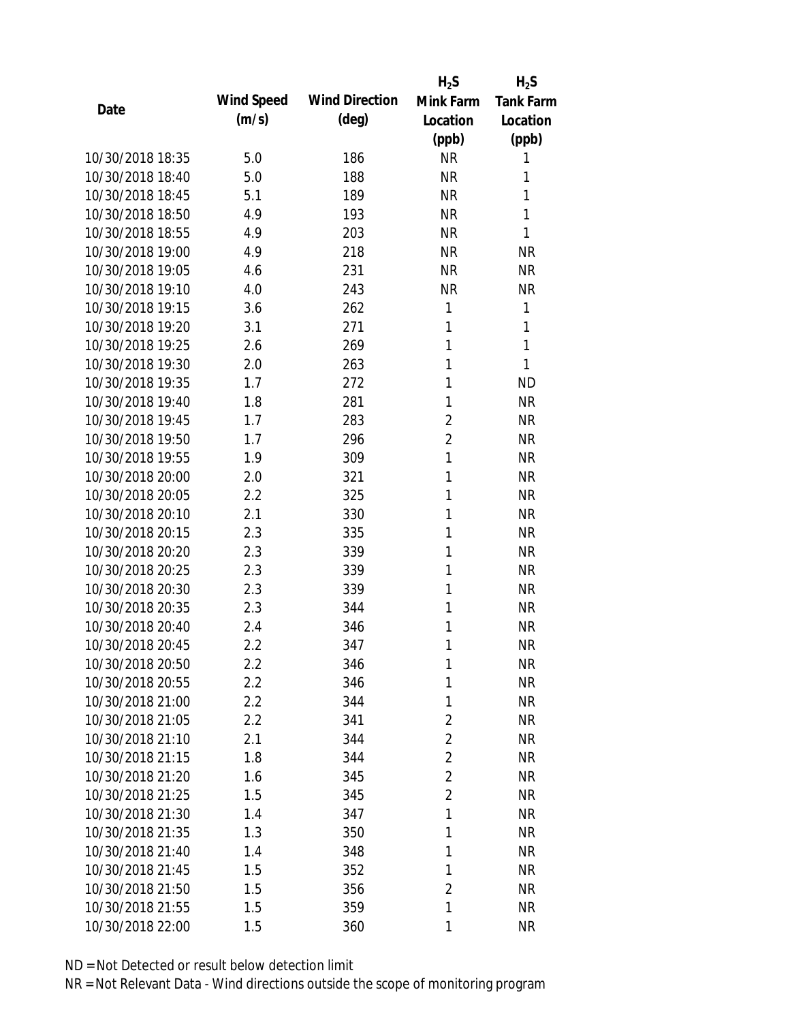|                  |            |                       | $H_2S$         | $H_2S$           |
|------------------|------------|-----------------------|----------------|------------------|
| Date             | Wind Speed | <b>Wind Direction</b> | Mink Farm      | <b>Tank Farm</b> |
|                  | (m/s)      | $(\text{deg})$        | Location       | Location         |
|                  |            |                       | (ppb)          | (ppb)            |
| 10/30/2018 18:35 | 5.0        | 186                   | <b>NR</b>      | 1                |
| 10/30/2018 18:40 | 5.0        | 188                   | <b>NR</b>      | 1                |
| 10/30/2018 18:45 | 5.1        | 189                   | <b>NR</b>      | 1                |
| 10/30/2018 18:50 | 4.9        | 193                   | <b>NR</b>      | 1                |
| 10/30/2018 18:55 | 4.9        | 203                   | <b>NR</b>      | 1                |
| 10/30/2018 19:00 | 4.9        | 218                   | <b>NR</b>      | <b>NR</b>        |
| 10/30/2018 19:05 | 4.6        | 231                   | <b>NR</b>      | <b>NR</b>        |
| 10/30/2018 19:10 | 4.0        | 243                   | <b>NR</b>      | <b>NR</b>        |
| 10/30/2018 19:15 | 3.6        | 262                   | 1              | 1                |
| 10/30/2018 19:20 | 3.1        | 271                   | 1              | 1                |
| 10/30/2018 19:25 | 2.6        | 269                   | 1              | 1                |
| 10/30/2018 19:30 | 2.0        | 263                   | 1              | 1                |
| 10/30/2018 19:35 | 1.7        | 272                   | 1              | <b>ND</b>        |
| 10/30/2018 19:40 | 1.8        | 281                   | 1              | <b>NR</b>        |
| 10/30/2018 19:45 | 1.7        | 283                   | $\overline{2}$ | <b>NR</b>        |
| 10/30/2018 19:50 | 1.7        | 296                   | $\overline{2}$ | <b>NR</b>        |
| 10/30/2018 19:55 | 1.9        | 309                   | 1              | <b>NR</b>        |
| 10/30/2018 20:00 | 2.0        | 321                   | 1              | <b>NR</b>        |
| 10/30/2018 20:05 | 2.2        | 325                   | 1              | <b>NR</b>        |
| 10/30/2018 20:10 | 2.1        | 330                   | 1              | <b>NR</b>        |
| 10/30/2018 20:15 | 2.3        | 335                   | 1              | <b>NR</b>        |
| 10/30/2018 20:20 | 2.3        | 339                   | 1              | <b>NR</b>        |
| 10/30/2018 20:25 | 2.3        | 339                   | 1              | <b>NR</b>        |
| 10/30/2018 20:30 | 2.3        | 339                   | 1              | <b>NR</b>        |
| 10/30/2018 20:35 | 2.3        | 344                   | 1              | <b>NR</b>        |
| 10/30/2018 20:40 | 2.4        | 346                   | 1              | <b>NR</b>        |
| 10/30/2018 20:45 | 2.2        | 347                   | 1              | <b>NR</b>        |
| 10/30/2018 20:50 | 2.2        | 346                   | 1              | <b>NR</b>        |
| 10/30/2018 20:55 | 2.2        | 346                   | 1              | <b>NR</b>        |
| 10/30/2018 21:00 | 2.2        | 344                   | 1              | <b>NR</b>        |
| 10/30/2018 21:05 | $2.2\,$    | 341                   | 2              | <b>NR</b>        |
| 10/30/2018 21:10 | 2.1        | 344                   | $\overline{2}$ | <b>NR</b>        |
| 10/30/2018 21:15 | 1.8        | 344                   | $\overline{2}$ | <b>NR</b>        |
| 10/30/2018 21:20 | 1.6        | 345                   | $\overline{2}$ | <b>NR</b>        |
| 10/30/2018 21:25 | 1.5        | 345                   | $\overline{2}$ | <b>NR</b>        |
| 10/30/2018 21:30 | 1.4        | 347                   | 1              | <b>NR</b>        |
| 10/30/2018 21:35 | 1.3        | 350                   | 1              | <b>NR</b>        |
| 10/30/2018 21:40 | 1.4        | 348                   | 1              | <b>NR</b>        |
| 10/30/2018 21:45 | 1.5        | 352                   | 1              | <b>NR</b>        |
| 10/30/2018 21:50 | 1.5        | 356                   | $\overline{2}$ | <b>NR</b>        |
| 10/30/2018 21:55 | 1.5        | 359                   | 1              | <b>NR</b>        |
| 10/30/2018 22:00 | 1.5        | 360                   | 1              | <b>NR</b>        |
|                  |            |                       |                |                  |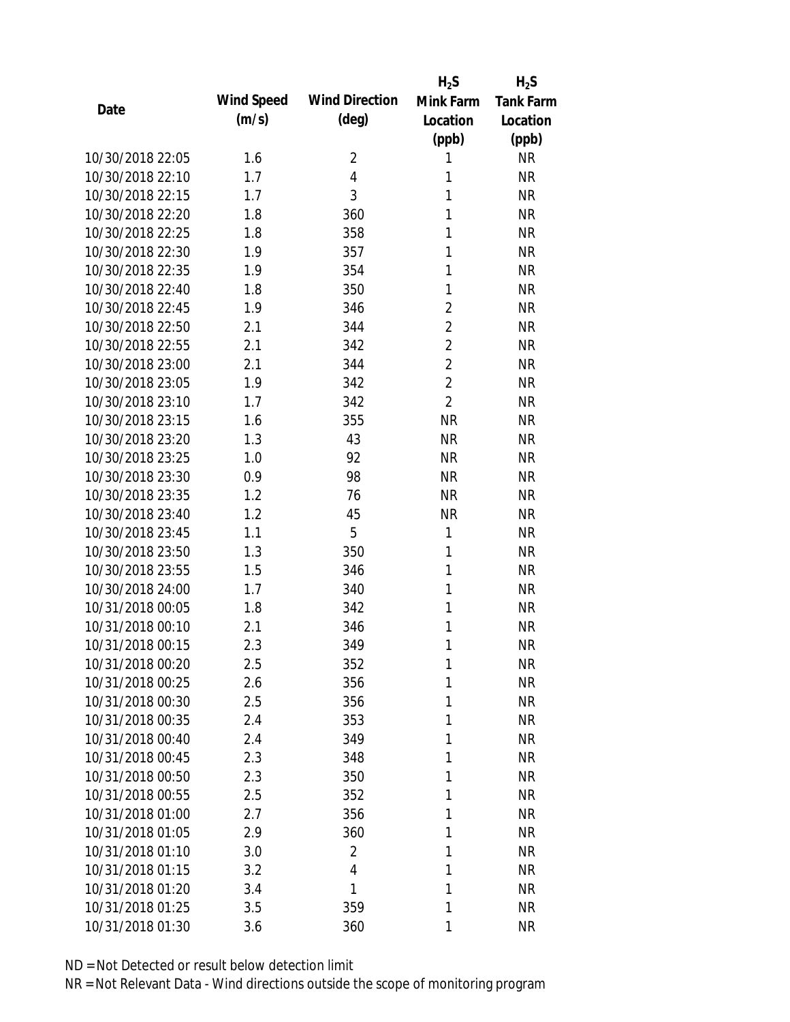|                  |            |                       | $H_2S$         | $H_2S$           |
|------------------|------------|-----------------------|----------------|------------------|
|                  | Wind Speed | <b>Wind Direction</b> | Mink Farm      | <b>Tank Farm</b> |
| Date             | (m/s)      | $(\text{deg})$        | Location       | Location         |
|                  |            |                       | (ppb)          | (ppb)            |
| 10/30/2018 22:05 | 1.6        | $\overline{2}$        | 1              | <b>NR</b>        |
| 10/30/2018 22:10 | 1.7        | 4                     | 1              | <b>NR</b>        |
| 10/30/2018 22:15 | 1.7        | 3                     | 1              | <b>NR</b>        |
| 10/30/2018 22:20 | 1.8        | 360                   | 1              | <b>NR</b>        |
| 10/30/2018 22:25 | 1.8        | 358                   | 1              | <b>NR</b>        |
| 10/30/2018 22:30 | 1.9        | 357                   | 1              | <b>NR</b>        |
| 10/30/2018 22:35 | 1.9        | 354                   | 1              | <b>NR</b>        |
| 10/30/2018 22:40 | 1.8        | 350                   | 1              | <b>NR</b>        |
| 10/30/2018 22:45 | 1.9        | 346                   | $\overline{2}$ | <b>NR</b>        |
| 10/30/2018 22:50 | 2.1        | 344                   | $\overline{2}$ | <b>NR</b>        |
| 10/30/2018 22:55 | 2.1        | 342                   | $\overline{2}$ | <b>NR</b>        |
| 10/30/2018 23:00 | 2.1        | 344                   | $\overline{2}$ | <b>NR</b>        |
| 10/30/2018 23:05 | 1.9        | 342                   | $\overline{2}$ | <b>NR</b>        |
| 10/30/2018 23:10 | 1.7        | 342                   | $\overline{2}$ | <b>NR</b>        |
| 10/30/2018 23:15 | 1.6        | 355                   | <b>NR</b>      | <b>NR</b>        |
| 10/30/2018 23:20 | 1.3        | 43                    | <b>NR</b>      | <b>NR</b>        |
| 10/30/2018 23:25 | 1.0        | 92                    | <b>NR</b>      | <b>NR</b>        |
| 10/30/2018 23:30 | 0.9        | 98                    | <b>NR</b>      | <b>NR</b>        |
| 10/30/2018 23:35 | 1.2        | 76                    | <b>NR</b>      | <b>NR</b>        |
| 10/30/2018 23:40 | 1.2        | 45                    | <b>NR</b>      | <b>NR</b>        |
| 10/30/2018 23:45 | 1.1        | 5                     | $\mathbf{1}$   | <b>NR</b>        |
| 10/30/2018 23:50 | 1.3        | 350                   | $\mathbf{1}$   | <b>NR</b>        |
| 10/30/2018 23:55 | 1.5        | 346                   | 1              | <b>NR</b>        |
| 10/30/2018 24:00 | 1.7        | 340                   | 1              | <b>NR</b>        |
| 10/31/2018 00:05 | 1.8        | 342                   | 1              | <b>NR</b>        |
| 10/31/2018 00:10 | 2.1        | 346                   | 1              | <b>NR</b>        |
| 10/31/2018 00:15 | 2.3        | 349                   | 1              | <b>NR</b>        |
| 10/31/2018 00:20 | 2.5        | 352                   | 1              | <b>NR</b>        |
| 10/31/2018 00:25 | 2.6        | 356                   | 1              | <b>NR</b>        |
| 10/31/2018 00:30 | 2.5        | 356                   | 1              | <b>NR</b>        |
| 10/31/2018 00:35 | 2.4        | 353                   | 1              | <b>NR</b>        |
| 10/31/2018 00:40 | 2.4        | 349                   | 1              | <b>NR</b>        |
| 10/31/2018 00:45 | 2.3        | 348                   | 1              | <b>NR</b>        |
| 10/31/2018 00:50 | 2.3        | 350                   | 1              | <b>NR</b>        |
| 10/31/2018 00:55 | 2.5        | 352                   | 1              | <b>NR</b>        |
| 10/31/2018 01:00 | 2.7        | 356                   | 1              | <b>NR</b>        |
| 10/31/2018 01:05 | 2.9        | 360                   | 1              | <b>NR</b>        |
| 10/31/2018 01:10 | 3.0        | 2                     | 1              | <b>NR</b>        |
| 10/31/2018 01:15 | 3.2        | $\overline{4}$        | 1              | <b>NR</b>        |
| 10/31/2018 01:20 | 3.4        | 1                     | 1              | <b>NR</b>        |
| 10/31/2018 01:25 | 3.5        | 359                   | 1              | <b>NR</b>        |
| 10/31/2018 01:30 |            |                       |                | <b>NR</b>        |
|                  | 3.6        | 360                   | 1              |                  |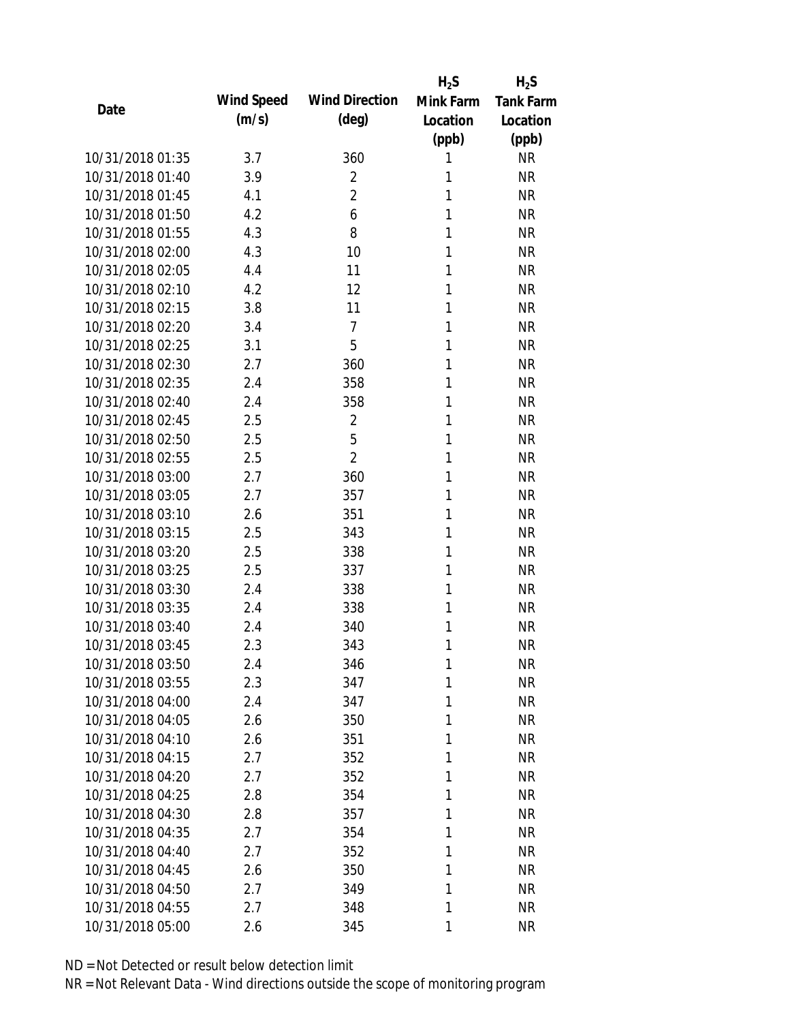|                  |            |                       | $H_2S$    | $H_2S$           |
|------------------|------------|-----------------------|-----------|------------------|
| Date             | Wind Speed | <b>Wind Direction</b> | Mink Farm | <b>Tank Farm</b> |
|                  | (m/s)      | $(\text{deg})$        | Location  | Location         |
|                  |            |                       | (ppb)     | (ppb)            |
| 10/31/2018 01:35 | 3.7        | 360                   | 1         | <b>NR</b>        |
| 10/31/2018 01:40 | 3.9        | $\overline{2}$        | 1         | <b>NR</b>        |
| 10/31/2018 01:45 | 4.1        | $\overline{2}$        | 1         | <b>NR</b>        |
| 10/31/2018 01:50 | 4.2        | 6                     | 1         | <b>NR</b>        |
| 10/31/2018 01:55 | 4.3        | 8                     | 1         | <b>NR</b>        |
| 10/31/2018 02:00 | 4.3        | 10                    | 1         | <b>NR</b>        |
| 10/31/2018 02:05 | 4.4        | 11                    | 1         | <b>NR</b>        |
| 10/31/2018 02:10 | 4.2        | 12                    | 1         | <b>NR</b>        |
| 10/31/2018 02:15 | 3.8        | 11                    | 1         | <b>NR</b>        |
| 10/31/2018 02:20 | 3.4        | $\overline{7}$        | 1         | <b>NR</b>        |
| 10/31/2018 02:25 | 3.1        | 5                     | 1         | <b>NR</b>        |
| 10/31/2018 02:30 | 2.7        | 360                   | 1         | <b>NR</b>        |
| 10/31/2018 02:35 | 2.4        | 358                   | 1         | <b>NR</b>        |
| 10/31/2018 02:40 | 2.4        | 358                   | 1         | <b>NR</b>        |
| 10/31/2018 02:45 | 2.5        | $\overline{2}$        | 1         | <b>NR</b>        |
| 10/31/2018 02:50 | 2.5        | 5                     | 1         | <b>NR</b>        |
| 10/31/2018 02:55 | 2.5        | $\overline{2}$        | 1         | <b>NR</b>        |
| 10/31/2018 03:00 | 2.7        | 360                   | 1         | <b>NR</b>        |
| 10/31/2018 03:05 | 2.7        | 357                   | 1         | <b>NR</b>        |
| 10/31/2018 03:10 | 2.6        | 351                   | 1         | <b>NR</b>        |
| 10/31/2018 03:15 | 2.5        | 343                   | 1         | <b>NR</b>        |
| 10/31/2018 03:20 | 2.5        | 338                   | 1         | <b>NR</b>        |
| 10/31/2018 03:25 | 2.5        | 337                   | 1         | <b>NR</b>        |
| 10/31/2018 03:30 | 2.4        | 338                   | 1         | <b>NR</b>        |
| 10/31/2018 03:35 | 2.4        | 338                   | 1         | <b>NR</b>        |
| 10/31/2018 03:40 | 2.4        | 340                   | 1         | <b>NR</b>        |
| 10/31/2018 03:45 | 2.3        | 343                   | 1         | <b>NR</b>        |
| 10/31/2018 03:50 | 2.4        | 346                   | 1         | <b>NR</b>        |
| 10/31/2018 03:55 | 2.3        | 347                   | 1         | <b>NR</b>        |
| 10/31/2018 04:00 | 2.4        | 347                   | 1         | <b>NR</b>        |
| 10/31/2018 04:05 | 2.6        | 350                   | 1         | <b>NR</b>        |
| 10/31/2018 04:10 | 2.6        | 351                   | 1         | <b>NR</b>        |
| 10/31/2018 04:15 | 2.7        | 352                   | 1         | <b>NR</b>        |
| 10/31/2018 04:20 | 2.7        | 352                   | 1         | <b>NR</b>        |
| 10/31/2018 04:25 | 2.8        | 354                   | 1         | <b>NR</b>        |
| 10/31/2018 04:30 | 2.8        | 357                   | 1         | <b>NR</b>        |
| 10/31/2018 04:35 | 2.7        | 354                   | 1         | <b>NR</b>        |
| 10/31/2018 04:40 | 2.7        | 352                   | 1         | <b>NR</b>        |
| 10/31/2018 04:45 | 2.6        | 350                   | 1         | <b>NR</b>        |
| 10/31/2018 04:50 | 2.7        | 349                   | 1         | <b>NR</b>        |
| 10/31/2018 04:55 |            |                       | 1         | <b>NR</b>        |
|                  | 2.7        | 348                   |           |                  |
| 10/31/2018 05:00 | 2.6        | 345                   | 1         | <b>NR</b>        |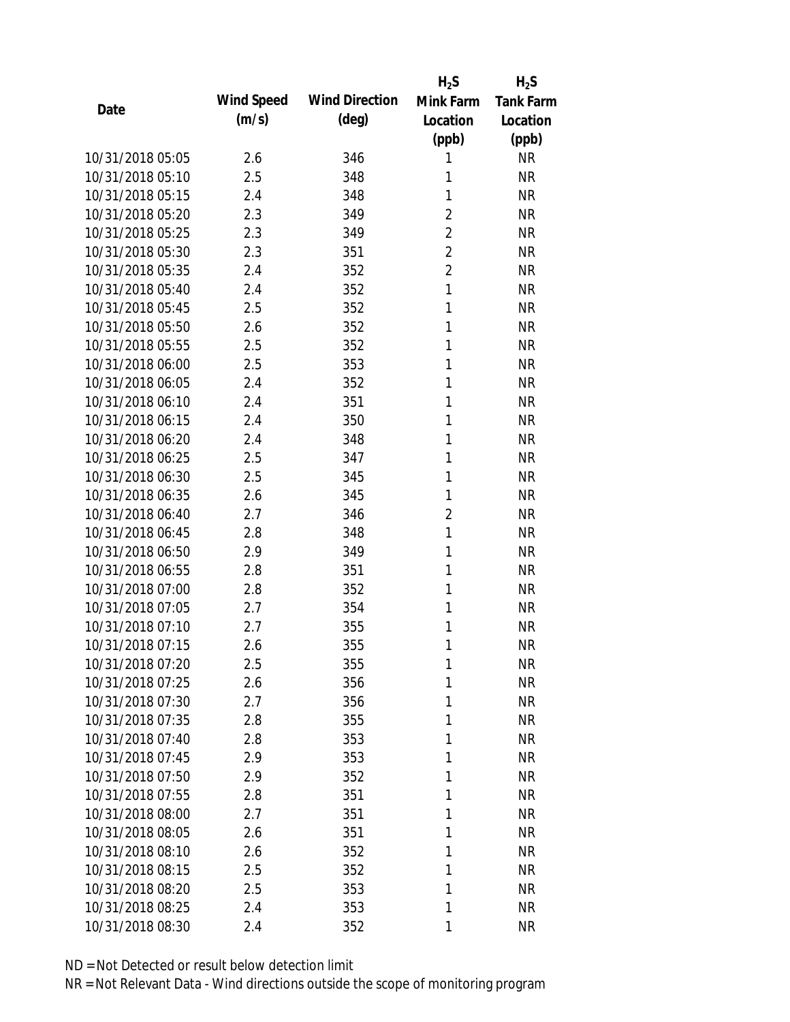|                  |            |                       | $H_2S$         | $H_2S$           |
|------------------|------------|-----------------------|----------------|------------------|
| Date             | Wind Speed | <b>Wind Direction</b> | Mink Farm      | <b>Tank Farm</b> |
|                  | (m/s)      | $(\text{deg})$        | Location       | Location         |
|                  |            |                       | (ppb)          | (ppb)            |
| 10/31/2018 05:05 | 2.6        | 346                   | 1              | <b>NR</b>        |
| 10/31/2018 05:10 | 2.5        | 348                   | 1              | <b>NR</b>        |
| 10/31/2018 05:15 | 2.4        | 348                   | 1              | <b>NR</b>        |
| 10/31/2018 05:20 | 2.3        | 349                   | $\overline{2}$ | <b>NR</b>        |
| 10/31/2018 05:25 | 2.3        | 349                   | $\overline{2}$ | <b>NR</b>        |
| 10/31/2018 05:30 | 2.3        | 351                   | $\overline{2}$ | <b>NR</b>        |
| 10/31/2018 05:35 | 2.4        | 352                   | $\overline{2}$ | <b>NR</b>        |
| 10/31/2018 05:40 | 2.4        | 352                   | $\mathbf{1}$   | <b>NR</b>        |
| 10/31/2018 05:45 | 2.5        | 352                   | 1              | <b>NR</b>        |
| 10/31/2018 05:50 | 2.6        | 352                   | 1              | <b>NR</b>        |
| 10/31/2018 05:55 | 2.5        | 352                   | 1              | <b>NR</b>        |
| 10/31/2018 06:00 | 2.5        | 353                   | 1              | <b>NR</b>        |
| 10/31/2018 06:05 | 2.4        | 352                   | 1              | <b>NR</b>        |
| 10/31/2018 06:10 | 2.4        | 351                   | 1              | <b>NR</b>        |
| 10/31/2018 06:15 | 2.4        | 350                   | 1              | <b>NR</b>        |
| 10/31/2018 06:20 | 2.4        | 348                   | 1              | <b>NR</b>        |
| 10/31/2018 06:25 | 2.5        | 347                   | 1              | <b>NR</b>        |
| 10/31/2018 06:30 | 2.5        | 345                   | 1              | <b>NR</b>        |
| 10/31/2018 06:35 | 2.6        | 345                   | 1              | <b>NR</b>        |
| 10/31/2018 06:40 | 2.7        | 346                   | $\overline{2}$ | <b>NR</b>        |
| 10/31/2018 06:45 | 2.8        | 348                   | $\mathbf{1}$   | <b>NR</b>        |
| 10/31/2018 06:50 | 2.9        | 349                   | 1              | <b>NR</b>        |
| 10/31/2018 06:55 | 2.8        | 351                   | 1              | <b>NR</b>        |
| 10/31/2018 07:00 | 2.8        | 352                   | 1              | <b>NR</b>        |
| 10/31/2018 07:05 | 2.7        | 354                   | 1              | <b>NR</b>        |
| 10/31/2018 07:10 | 2.7        | 355                   | 1              | <b>NR</b>        |
| 10/31/2018 07:15 | 2.6        | 355                   | 1              | <b>NR</b>        |
| 10/31/2018 07:20 | 2.5        | 355                   | 1              | <b>NR</b>        |
| 10/31/2018 07:25 | 2.6        | 356                   | 1              | <b>NR</b>        |
| 10/31/2018 07:30 | 2.7        | 356                   | 1              | <b>NR</b>        |
| 10/31/2018 07:35 | 2.8        | 355                   | 1              | <b>NR</b>        |
| 10/31/2018 07:40 | 2.8        | 353                   | 1              | <b>NR</b>        |
| 10/31/2018 07:45 | 2.9        | 353                   | 1              | <b>NR</b>        |
| 10/31/2018 07:50 | 2.9        | 352                   | 1              | <b>NR</b>        |
| 10/31/2018 07:55 | 2.8        | 351                   | 1              | <b>NR</b>        |
| 10/31/2018 08:00 | 2.7        | 351                   | 1              | <b>NR</b>        |
| 10/31/2018 08:05 | 2.6        | 351                   | 1              | <b>NR</b>        |
| 10/31/2018 08:10 | 2.6        | 352                   | 1              | <b>NR</b>        |
| 10/31/2018 08:15 | 2.5        | 352                   | 1              | <b>NR</b>        |
| 10/31/2018 08:20 | 2.5        | 353                   | 1              | <b>NR</b>        |
| 10/31/2018 08:25 | 2.4        | 353                   | 1              | <b>NR</b>        |
| 10/31/2018 08:30 | 2.4        | 352                   | 1              | <b>NR</b>        |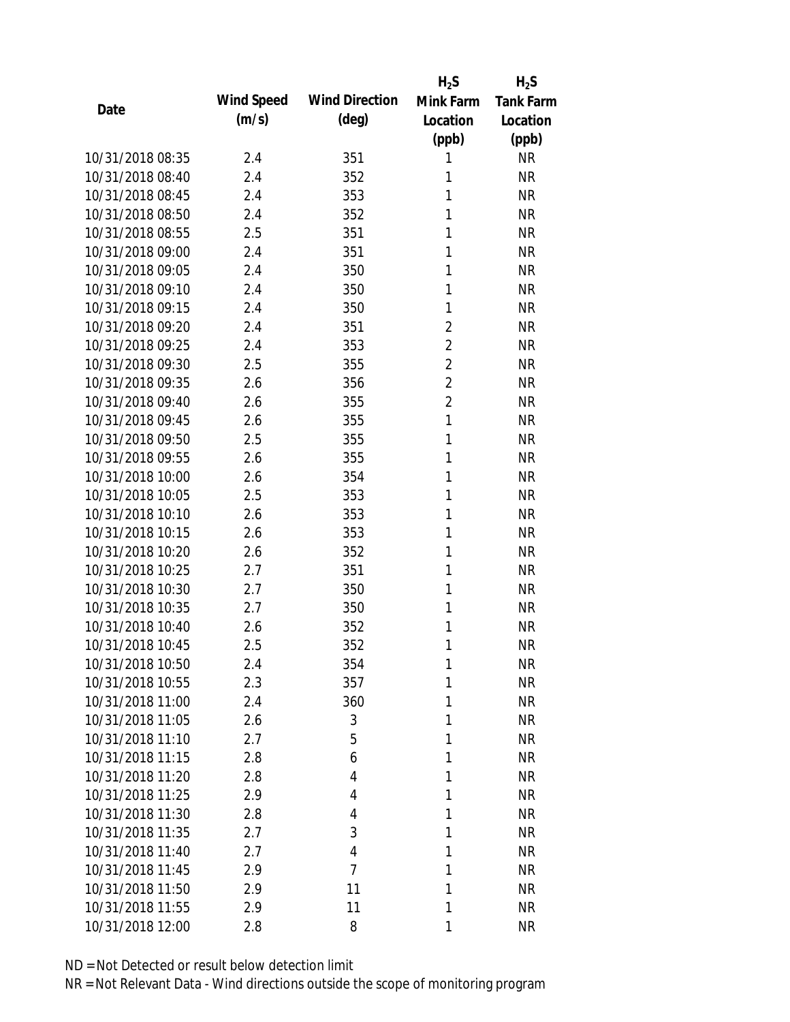|                  |            |                       | $H_2S$         | $H_2S$           |
|------------------|------------|-----------------------|----------------|------------------|
| Date             | Wind Speed | <b>Wind Direction</b> | Mink Farm      | <b>Tank Farm</b> |
|                  | (m/s)      | $(\text{deg})$        | Location       | Location         |
|                  |            |                       | (ppb)          | (ppb)            |
| 10/31/2018 08:35 | 2.4        | 351                   | 1              | <b>NR</b>        |
| 10/31/2018 08:40 | 2.4        | 352                   | 1              | <b>NR</b>        |
| 10/31/2018 08:45 | 2.4        | 353                   | 1              | <b>NR</b>        |
| 10/31/2018 08:50 | 2.4        | 352                   | 1              | <b>NR</b>        |
| 10/31/2018 08:55 | 2.5        | 351                   | 1              | <b>NR</b>        |
| 10/31/2018 09:00 | 2.4        | 351                   | 1              | <b>NR</b>        |
| 10/31/2018 09:05 | 2.4        | 350                   | 1              | <b>NR</b>        |
| 10/31/2018 09:10 | 2.4        | 350                   | 1              | <b>NR</b>        |
| 10/31/2018 09:15 | 2.4        | 350                   | 1              | <b>NR</b>        |
| 10/31/2018 09:20 | 2.4        | 351                   | $\overline{2}$ | <b>NR</b>        |
| 10/31/2018 09:25 | 2.4        | 353                   | $\overline{2}$ | <b>NR</b>        |
| 10/31/2018 09:30 | 2.5        | 355                   | $\overline{2}$ | <b>NR</b>        |
| 10/31/2018 09:35 | 2.6        | 356                   | $\overline{2}$ | <b>NR</b>        |
| 10/31/2018 09:40 | 2.6        | 355                   | $\overline{2}$ | <b>NR</b>        |
| 10/31/2018 09:45 | 2.6        | 355                   | 1              | <b>NR</b>        |
| 10/31/2018 09:50 | 2.5        | 355                   | 1              | <b>NR</b>        |
| 10/31/2018 09:55 | 2.6        | 355                   | 1              | <b>NR</b>        |
| 10/31/2018 10:00 | 2.6        | 354                   | 1              | <b>NR</b>        |
| 10/31/2018 10:05 | 2.5        | 353                   | $\mathbf{1}$   | <b>NR</b>        |
| 10/31/2018 10:10 | 2.6        | 353                   | 1              | <b>NR</b>        |
| 10/31/2018 10:15 | 2.6        | 353                   | 1              | <b>NR</b>        |
| 10/31/2018 10:20 | 2.6        | 352                   | 1              | <b>NR</b>        |
| 10/31/2018 10:25 | 2.7        | 351                   | 1              | <b>NR</b>        |
| 10/31/2018 10:30 | 2.7        | 350                   | 1              | <b>NR</b>        |
| 10/31/2018 10:35 | 2.7        | 350                   | 1              | <b>NR</b>        |
| 10/31/2018 10:40 | 2.6        | 352                   | 1              | <b>NR</b>        |
| 10/31/2018 10:45 | 2.5        | 352                   | $\mathbf{1}$   | <b>NR</b>        |
| 10/31/2018 10:50 | 2.4        | 354                   | 1              | <b>NR</b>        |
| 10/31/2018 10:55 | 2.3        | 357                   | 1              | <b>NR</b>        |
| 10/31/2018 11:00 | 2.4        | 360                   | 1              | <b>NR</b>        |
| 10/31/2018 11:05 | 2.6        | 3                     | 1              | <b>NR</b>        |
| 10/31/2018 11:10 | 2.7        | 5                     | 1              | <b>NR</b>        |
| 10/31/2018 11:15 | 2.8        | 6                     | 1              | <b>NR</b>        |
| 10/31/2018 11:20 | 2.8        | 4                     | 1              | <b>NR</b>        |
| 10/31/2018 11:25 | 2.9        | 4                     | 1              | <b>NR</b>        |
| 10/31/2018 11:30 | 2.8        | 4                     | 1              | <b>NR</b>        |
| 10/31/2018 11:35 | 2.7        | 3                     | 1              | <b>NR</b>        |
| 10/31/2018 11:40 | 2.7        | 4                     | 1              | <b>NR</b>        |
| 10/31/2018 11:45 | 2.9        | $\overline{7}$        | 1              | <b>NR</b>        |
| 10/31/2018 11:50 | 2.9        | 11                    | 1              | <b>NR</b>        |
| 10/31/2018 11:55 | 2.9        | 11                    | 1              | <b>NR</b>        |
| 10/31/2018 12:00 | 2.8        | 8                     | 1              | <b>NR</b>        |
|                  |            |                       |                |                  |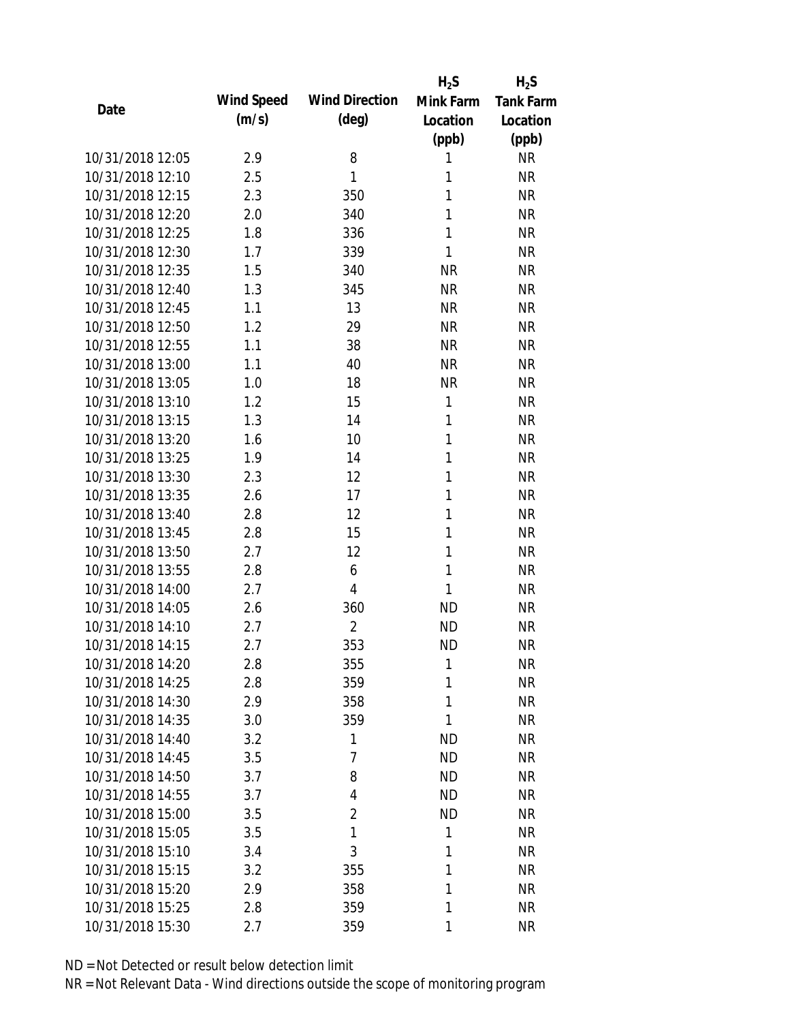|                  |            |                       | $H_2S$       | $H_2S$           |
|------------------|------------|-----------------------|--------------|------------------|
| Date             | Wind Speed | <b>Wind Direction</b> | Mink Farm    | <b>Tank Farm</b> |
|                  | (m/s)      | $(\text{deg})$        | Location     | Location         |
|                  |            |                       | (ppb)        | (ppb)            |
| 10/31/2018 12:05 | 2.9        | 8                     | 1            | <b>NR</b>        |
| 10/31/2018 12:10 | 2.5        | 1                     | 1            | <b>NR</b>        |
| 10/31/2018 12:15 | 2.3        | 350                   | 1            | <b>NR</b>        |
| 10/31/2018 12:20 | 2.0        | 340                   | 1            | <b>NR</b>        |
| 10/31/2018 12:25 | 1.8        | 336                   | 1            | <b>NR</b>        |
| 10/31/2018 12:30 | 1.7        | 339                   | 1            | <b>NR</b>        |
| 10/31/2018 12:35 | 1.5        | 340                   | <b>NR</b>    | <b>NR</b>        |
| 10/31/2018 12:40 | 1.3        | 345                   | <b>NR</b>    | <b>NR</b>        |
| 10/31/2018 12:45 | 1.1        | 13                    | <b>NR</b>    | <b>NR</b>        |
| 10/31/2018 12:50 | 1.2        | 29                    | <b>NR</b>    | <b>NR</b>        |
| 10/31/2018 12:55 | 1.1        | 38                    | <b>NR</b>    | <b>NR</b>        |
| 10/31/2018 13:00 | 1.1        | 40                    | <b>NR</b>    | <b>NR</b>        |
| 10/31/2018 13:05 | 1.0        | 18                    | <b>NR</b>    | <b>NR</b>        |
| 10/31/2018 13:10 | 1.2        | 15                    | 1            | <b>NR</b>        |
| 10/31/2018 13:15 | 1.3        | 14                    | 1            | <b>NR</b>        |
| 10/31/2018 13:20 | 1.6        | 10                    | 1            | <b>NR</b>        |
| 10/31/2018 13:25 | 1.9        | 14                    | $\mathbf{1}$ | <b>NR</b>        |
| 10/31/2018 13:30 | 2.3        | 12                    | 1            | <b>NR</b>        |
| 10/31/2018 13:35 | 2.6        | 17                    | $\mathbf{1}$ | <b>NR</b>        |
| 10/31/2018 13:40 | 2.8        | 12                    | 1            | <b>NR</b>        |
| 10/31/2018 13:45 | 2.8        | 15                    | 1            | <b>NR</b>        |
| 10/31/2018 13:50 | 2.7        | 12                    | $\mathbf{1}$ | <b>NR</b>        |
| 10/31/2018 13:55 | 2.8        | 6                     | 1            | <b>NR</b>        |
| 10/31/2018 14:00 | 2.7        | $\overline{4}$        | 1            | <b>NR</b>        |
| 10/31/2018 14:05 | 2.6        | 360                   | <b>ND</b>    | <b>NR</b>        |
| 10/31/2018 14:10 | 2.7        | $\overline{2}$        | <b>ND</b>    | <b>NR</b>        |
| 10/31/2018 14:15 | 2.7        | 353                   | <b>ND</b>    | <b>NR</b>        |
| 10/31/2018 14:20 | 2.8        | 355                   | 1            | <b>NR</b>        |
| 10/31/2018 14:25 | 2.8        | 359                   | 1            | <b>NR</b>        |
| 10/31/2018 14:30 | 2.9        | 358                   | 1            | <b>NR</b>        |
| 10/31/2018 14:35 | 3.0        | 359                   | 1            | <b>NR</b>        |
| 10/31/2018 14:40 | 3.2        | 1                     | <b>ND</b>    | <b>NR</b>        |
| 10/31/2018 14:45 | 3.5        | 7                     | <b>ND</b>    | <b>NR</b>        |
| 10/31/2018 14:50 | 3.7        | 8                     | <b>ND</b>    | <b>NR</b>        |
| 10/31/2018 14:55 | 3.7        | 4                     | <b>ND</b>    | <b>NR</b>        |
| 10/31/2018 15:00 | 3.5        | $\overline{2}$        | <b>ND</b>    | <b>NR</b>        |
| 10/31/2018 15:05 | 3.5        | 1                     | 1            | <b>NR</b>        |
| 10/31/2018 15:10 | 3.4        | 3                     | 1            | <b>NR</b>        |
| 10/31/2018 15:15 | 3.2        | 355                   | 1            | <b>NR</b>        |
| 10/31/2018 15:20 | 2.9        | 358                   | 1            | <b>NR</b>        |
| 10/31/2018 15:25 | 2.8        | 359                   | 1            | <b>NR</b>        |
| 10/31/2018 15:30 | 2.7        | 359                   | 1            | <b>NR</b>        |
|                  |            |                       |              |                  |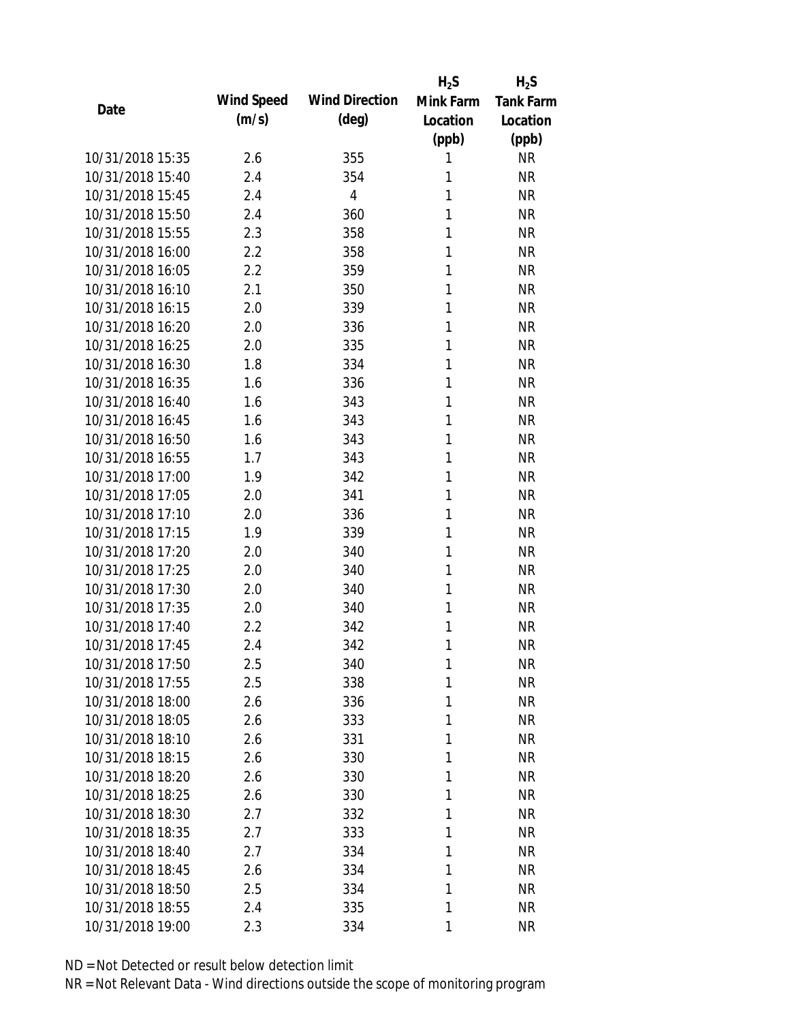|                  |            |                       | $H_2S$    | $H_2S$           |
|------------------|------------|-----------------------|-----------|------------------|
| Date             | Wind Speed | <b>Wind Direction</b> | Mink Farm | <b>Tank Farm</b> |
|                  | (m/s)      | $(\text{deg})$        | Location  | Location         |
|                  |            |                       | (ppb)     | (ppb)            |
| 10/31/2018 15:35 | 2.6        | 355                   | 1         | <b>NR</b>        |
| 10/31/2018 15:40 | 2.4        | 354                   | 1         | <b>NR</b>        |
| 10/31/2018 15:45 | 2.4        | $\overline{4}$        | 1         | <b>NR</b>        |
| 10/31/2018 15:50 | 2.4        | 360                   | 1         | <b>NR</b>        |
| 10/31/2018 15:55 | 2.3        | 358                   | 1         | <b>NR</b>        |
| 10/31/2018 16:00 | 2.2        | 358                   | 1         | <b>NR</b>        |
| 10/31/2018 16:05 | 2.2        | 359                   | 1         | <b>NR</b>        |
| 10/31/2018 16:10 | 2.1        | 350                   | 1         | <b>NR</b>        |
| 10/31/2018 16:15 | 2.0        | 339                   | 1         | <b>NR</b>        |
| 10/31/2018 16:20 | 2.0        | 336                   | 1         | <b>NR</b>        |
| 10/31/2018 16:25 | 2.0        | 335                   | 1         | <b>NR</b>        |
| 10/31/2018 16:30 | 1.8        | 334                   | 1         | <b>NR</b>        |
| 10/31/2018 16:35 | 1.6        | 336                   | 1         | <b>NR</b>        |
| 10/31/2018 16:40 | 1.6        | 343                   | 1         | <b>NR</b>        |
| 10/31/2018 16:45 | 1.6        | 343                   | 1         | <b>NR</b>        |
| 10/31/2018 16:50 | 1.6        | 343                   | 1         | <b>NR</b>        |
| 10/31/2018 16:55 | 1.7        | 343                   | 1         | <b>NR</b>        |
| 10/31/2018 17:00 | 1.9        | 342                   | 1         | <b>NR</b>        |
| 10/31/2018 17:05 | 2.0        | 341                   | 1         | <b>NR</b>        |
| 10/31/2018 17:10 | 2.0        | 336                   | 1         | <b>NR</b>        |
| 10/31/2018 17:15 | 1.9        | 339                   | 1         | <b>NR</b>        |
| 10/31/2018 17:20 | 2.0        | 340                   | 1         | <b>NR</b>        |
| 10/31/2018 17:25 | 2.0        | 340                   | 1         | <b>NR</b>        |
| 10/31/2018 17:30 | 2.0        | 340                   | 1         | <b>NR</b>        |
| 10/31/2018 17:35 | 2.0        | 340                   | 1         | <b>NR</b>        |
| 10/31/2018 17:40 | 2.2        | 342                   | 1         | <b>NR</b>        |
| 10/31/2018 17:45 | 2.4        | 342                   | 1         | <b>NR</b>        |
| 10/31/2018 17:50 | 2.5        | 340                   | 1         | <b>NR</b>        |
| 10/31/2018 17:55 | 2.5        | 338                   | 1         | <b>NR</b>        |
| 10/31/2018 18:00 | 2.6        | 336                   | 1         | <b>NR</b>        |
| 10/31/2018 18:05 | 2.6        | 333                   | 1         | <b>NR</b>        |
| 10/31/2018 18:10 | 2.6        | 331                   | 1         | <b>NR</b>        |
| 10/31/2018 18:15 | 2.6        | 330                   | 1         | <b>NR</b>        |
| 10/31/2018 18:20 | 2.6        | 330                   | 1         | <b>NR</b>        |
| 10/31/2018 18:25 | 2.6        | 330                   | 1         | <b>NR</b>        |
| 10/31/2018 18:30 | 2.7        | 332                   | 1         | <b>NR</b>        |
| 10/31/2018 18:35 | 2.7        | 333                   | 1         | <b>NR</b>        |
| 10/31/2018 18:40 | 2.7        | 334                   | 1         | <b>NR</b>        |
| 10/31/2018 18:45 | 2.6        | 334                   | 1         | <b>NR</b>        |
| 10/31/2018 18:50 | 2.5        | 334                   | 1         | <b>NR</b>        |
| 10/31/2018 18:55 | 2.4        | 335                   | 1         | <b>NR</b>        |
| 10/31/2018 19:00 | 2.3        | 334                   | 1         | <b>NR</b>        |
|                  |            |                       |           |                  |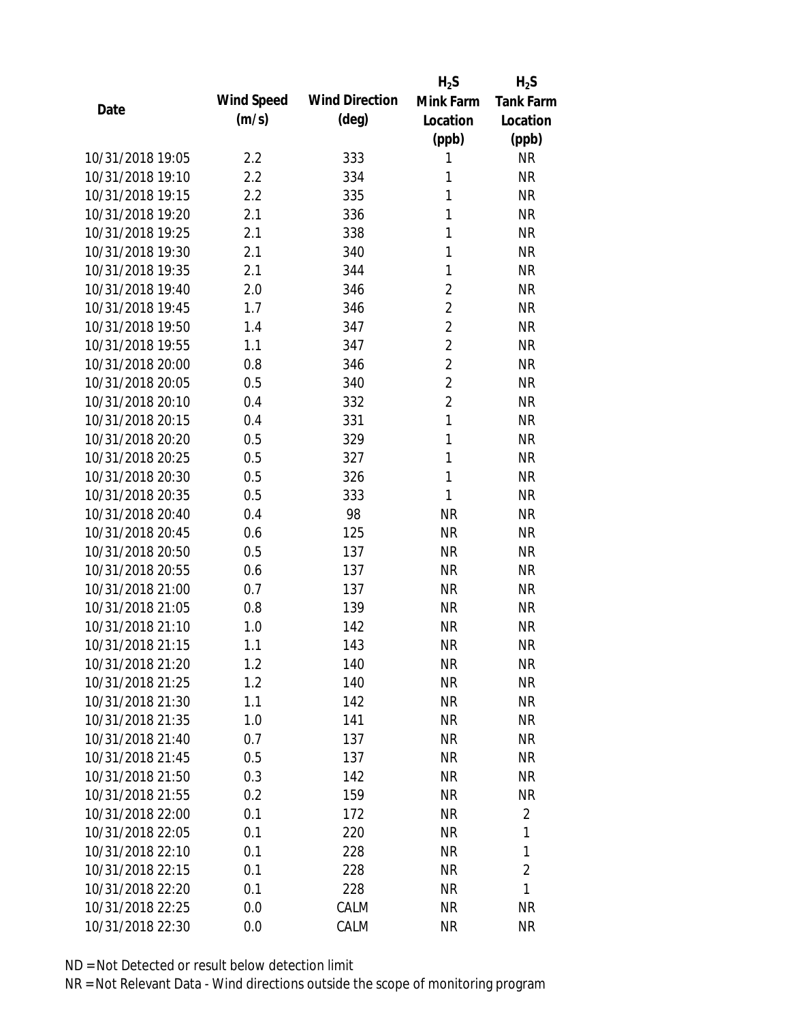|                  |            |                       | $H_2S$         | $H_2S$           |
|------------------|------------|-----------------------|----------------|------------------|
| Date             | Wind Speed | <b>Wind Direction</b> | Mink Farm      | <b>Tank Farm</b> |
|                  | (m/s)      | $(\text{deg})$        | Location       | Location         |
|                  |            |                       | (ppb)          | (ppb)            |
| 10/31/2018 19:05 | 2.2        | 333                   | 1              | <b>NR</b>        |
| 10/31/2018 19:10 | 2.2        | 334                   | 1              | <b>NR</b>        |
| 10/31/2018 19:15 | 2.2        | 335                   | 1              | <b>NR</b>        |
| 10/31/2018 19:20 | 2.1        | 336                   | 1              | <b>NR</b>        |
| 10/31/2018 19:25 | 2.1        | 338                   | 1              | <b>NR</b>        |
| 10/31/2018 19:30 | 2.1        | 340                   | 1              | <b>NR</b>        |
| 10/31/2018 19:35 | 2.1        | 344                   | 1              | <b>NR</b>        |
| 10/31/2018 19:40 | 2.0        | 346                   | $\overline{2}$ | <b>NR</b>        |
| 10/31/2018 19:45 | 1.7        | 346                   | $\overline{2}$ | <b>NR</b>        |
| 10/31/2018 19:50 | 1.4        | 347                   | $\overline{2}$ | <b>NR</b>        |
| 10/31/2018 19:55 | 1.1        | 347                   | $\overline{2}$ | <b>NR</b>        |
| 10/31/2018 20:00 | 0.8        | 346                   | $\overline{2}$ | <b>NR</b>        |
| 10/31/2018 20:05 | 0.5        | 340                   | $\overline{2}$ | <b>NR</b>        |
| 10/31/2018 20:10 | 0.4        | 332                   | $\overline{2}$ | <b>NR</b>        |
| 10/31/2018 20:15 | 0.4        | 331                   | $\mathbf{1}$   | <b>NR</b>        |
| 10/31/2018 20:20 | 0.5        | 329                   | $\mathbf{1}$   | <b>NR</b>        |
| 10/31/2018 20:25 | 0.5        | 327                   | 1              | <b>NR</b>        |
| 10/31/2018 20:30 | 0.5        | 326                   | $\mathbf{1}$   | <b>NR</b>        |
| 10/31/2018 20:35 | 0.5        | 333                   | 1              | <b>NR</b>        |
| 10/31/2018 20:40 | 0.4        | 98                    | <b>NR</b>      | <b>NR</b>        |
| 10/31/2018 20:45 | 0.6        | 125                   | <b>NR</b>      | <b>NR</b>        |
| 10/31/2018 20:50 | 0.5        | 137                   | <b>NR</b>      | <b>NR</b>        |
| 10/31/2018 20:55 | 0.6        | 137                   | <b>NR</b>      | <b>NR</b>        |
| 10/31/2018 21:00 | 0.7        | 137                   | <b>NR</b>      | <b>NR</b>        |
| 10/31/2018 21:05 | 0.8        | 139                   | <b>NR</b>      | <b>NR</b>        |
| 10/31/2018 21:10 | 1.0        | 142                   | <b>NR</b>      | <b>NR</b>        |
| 10/31/2018 21:15 | 1.1        | 143                   | <b>NR</b>      | <b>NR</b>        |
| 10/31/2018 21:20 | 1.2        | 140                   | <b>NR</b>      | <b>NR</b>        |
| 10/31/2018 21:25 | 1.2        | 140                   | <b>NR</b>      | <b>NR</b>        |
| 10/31/2018 21:30 | 1.1        | 142                   | <b>NR</b>      | <b>NR</b>        |
| 10/31/2018 21:35 | 1.0        | 141                   | <b>NR</b>      | <b>NR</b>        |
| 10/31/2018 21:40 | 0.7        | 137                   | <b>NR</b>      | NR               |
| 10/31/2018 21:45 | 0.5        | 137                   | <b>NR</b>      | <b>NR</b>        |
| 10/31/2018 21:50 | 0.3        | 142                   | <b>NR</b>      | <b>NR</b>        |
| 10/31/2018 21:55 | 0.2        | 159                   | <b>NR</b>      | <b>NR</b>        |
| 10/31/2018 22:00 | 0.1        | 172                   | <b>NR</b>      | $\overline{2}$   |
| 10/31/2018 22:05 | 0.1        | 220                   | <b>NR</b>      | 1                |
| 10/31/2018 22:10 | 0.1        | 228                   | NR             | 1                |
| 10/31/2018 22:15 | 0.1        | 228                   | <b>NR</b>      | 2                |
| 10/31/2018 22:20 | 0.1        | 228                   | <b>NR</b>      | 1                |
| 10/31/2018 22:25 | 0.0        | CALM                  | <b>NR</b>      | <b>NR</b>        |
| 10/31/2018 22:30 |            |                       | <b>NR</b>      | <b>NR</b>        |
|                  | 0.0        | CALM                  |                |                  |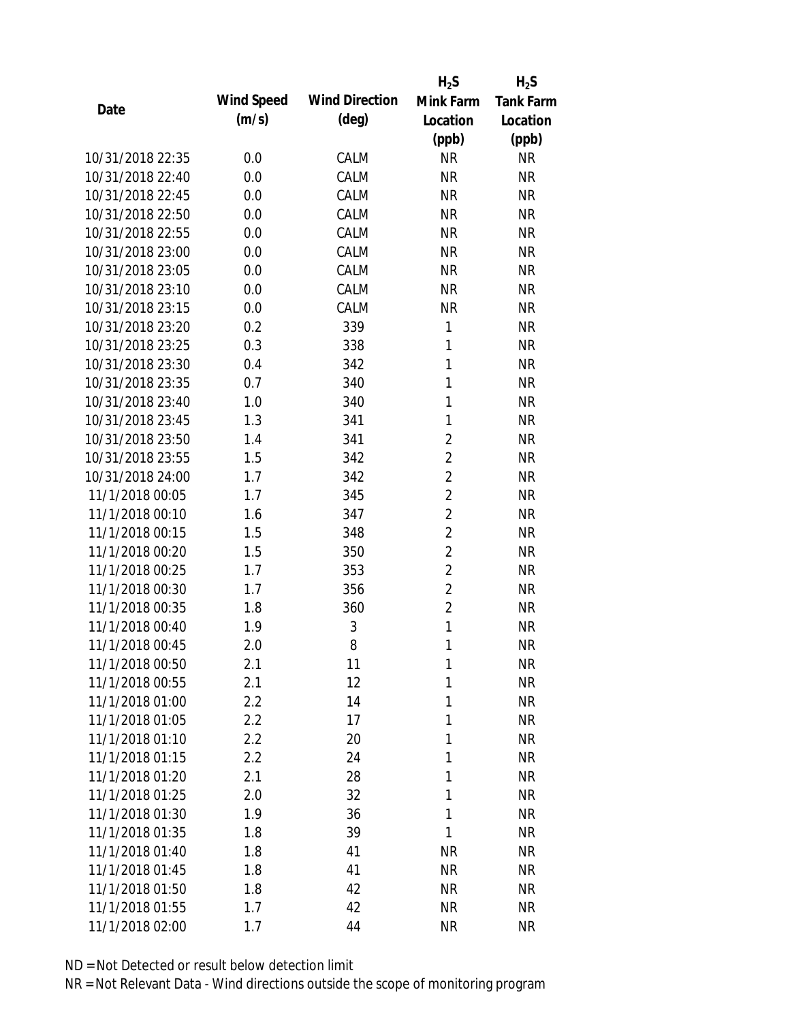|                  |            |                       | $H_2S$         | $H_2S$           |
|------------------|------------|-----------------------|----------------|------------------|
| Date             | Wind Speed | <b>Wind Direction</b> | Mink Farm      | <b>Tank Farm</b> |
|                  | (m/s)      | $(\text{deg})$        | Location       | Location         |
|                  |            |                       | (ppb)          | (ppb)            |
| 10/31/2018 22:35 | 0.0        | CALM                  | <b>NR</b>      | <b>NR</b>        |
| 10/31/2018 22:40 | 0.0        | CALM                  | <b>NR</b>      | <b>NR</b>        |
| 10/31/2018 22:45 | 0.0        | CALM                  | <b>NR</b>      | <b>NR</b>        |
| 10/31/2018 22:50 | 0.0        | CALM                  | <b>NR</b>      | <b>NR</b>        |
| 10/31/2018 22:55 | 0.0        | CALM                  | <b>NR</b>      | <b>NR</b>        |
| 10/31/2018 23:00 | 0.0        | CALM                  | <b>NR</b>      | <b>NR</b>        |
| 10/31/2018 23:05 | 0.0        | CALM                  | <b>NR</b>      | <b>NR</b>        |
| 10/31/2018 23:10 | 0.0        | CALM                  | <b>NR</b>      | <b>NR</b>        |
| 10/31/2018 23:15 | 0.0        | CALM                  | <b>NR</b>      | <b>NR</b>        |
| 10/31/2018 23:20 | 0.2        | 339                   | 1              | <b>NR</b>        |
| 10/31/2018 23:25 | 0.3        | 338                   | 1              | <b>NR</b>        |
| 10/31/2018 23:30 | 0.4        | 342                   | $\mathbf{1}$   | <b>NR</b>        |
| 10/31/2018 23:35 | 0.7        | 340                   | 1              | <b>NR</b>        |
| 10/31/2018 23:40 | 1.0        | 340                   | 1              | <b>NR</b>        |
| 10/31/2018 23:45 | 1.3        | 341                   | 1              | <b>NR</b>        |
| 10/31/2018 23:50 | 1.4        | 341                   | $\overline{2}$ | <b>NR</b>        |
| 10/31/2018 23:55 | 1.5        | 342                   | $\overline{2}$ | <b>NR</b>        |
| 10/31/2018 24:00 | 1.7        | 342                   | $\overline{2}$ | <b>NR</b>        |
| 11/1/2018 00:05  | 1.7        | 345                   | $\overline{2}$ | <b>NR</b>        |
| 11/1/2018 00:10  | 1.6        | 347                   | $\overline{2}$ | <b>NR</b>        |
| 11/1/2018 00:15  | 1.5        | 348                   | $\overline{2}$ | <b>NR</b>        |
| 11/1/2018 00:20  | 1.5        | 350                   | $\overline{2}$ | <b>NR</b>        |
| 11/1/2018 00:25  | 1.7        | 353                   | $\overline{2}$ | <b>NR</b>        |
| 11/1/2018 00:30  | 1.7        | 356                   | $\overline{2}$ | <b>NR</b>        |
| 11/1/2018 00:35  | 1.8        | 360                   | $\overline{2}$ | <b>NR</b>        |
| 11/1/2018 00:40  | 1.9        | 3                     | $\mathbf{1}$   | <b>NR</b>        |
| 11/1/2018 00:45  | 2.0        | 8                     | 1              | <b>NR</b>        |
| 11/1/2018 00:50  | 2.1        | 11                    | 1              | <b>NR</b>        |
| 11/1/2018 00:55  | 2.1        | 12                    | 1              | <b>NR</b>        |
| 11/1/2018 01:00  | 2.2        | 14                    | 1              | <b>NR</b>        |
| 11/1/2018 01:05  | 2.2        | 17                    | 1              | <b>NR</b>        |
| 11/1/2018 01:10  | 2.2        | 20                    | 1              | <b>NR</b>        |
| 11/1/2018 01:15  | 2.2        | 24                    | 1              | <b>NR</b>        |
| 11/1/2018 01:20  | 2.1        | 28                    | 1              | <b>NR</b>        |
| 11/1/2018 01:25  | 2.0        | 32                    | 1              | <b>NR</b>        |
| 11/1/2018 01:30  | 1.9        | 36                    | 1              | <b>NR</b>        |
| 11/1/2018 01:35  | 1.8        | 39                    | 1              | <b>NR</b>        |
| 11/1/2018 01:40  | 1.8        | 41                    | <b>NR</b>      | <b>NR</b>        |
| 11/1/2018 01:45  | 1.8        | 41                    | <b>NR</b>      | <b>NR</b>        |
| 11/1/2018 01:50  | 1.8        | 42                    | <b>NR</b>      | <b>NR</b>        |
| 11/1/2018 01:55  | 1.7        | 42                    | <b>NR</b>      | <b>NR</b>        |
| 11/1/2018 02:00  | 1.7        | 44                    | <b>NR</b>      | <b>NR</b>        |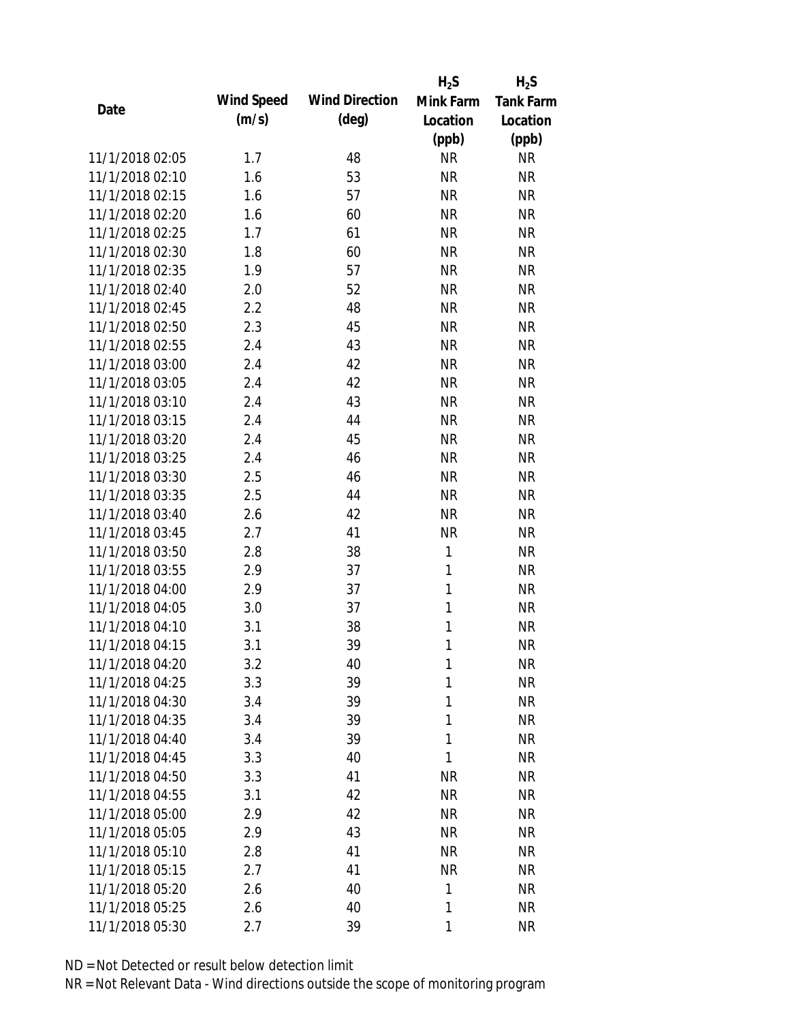|                 |            |                       | $H_2S$    | $H_2S$           |
|-----------------|------------|-----------------------|-----------|------------------|
| Date            | Wind Speed | <b>Wind Direction</b> | Mink Farm | <b>Tank Farm</b> |
|                 | (m/s)      | $(\text{deg})$        | Location  | Location         |
|                 |            |                       | (ppb)     | (ppb)            |
| 11/1/2018 02:05 | 1.7        | 48                    | <b>NR</b> | <b>NR</b>        |
| 11/1/2018 02:10 | 1.6        | 53                    | <b>NR</b> | <b>NR</b>        |
| 11/1/2018 02:15 | 1.6        | 57                    | <b>NR</b> | <b>NR</b>        |
| 11/1/2018 02:20 | 1.6        | 60                    | <b>NR</b> | <b>NR</b>        |
| 11/1/2018 02:25 | 1.7        | 61                    | <b>NR</b> | <b>NR</b>        |
| 11/1/2018 02:30 | 1.8        | 60                    | <b>NR</b> | <b>NR</b>        |
| 11/1/2018 02:35 | 1.9        | 57                    | <b>NR</b> | <b>NR</b>        |
| 11/1/2018 02:40 | 2.0        | 52                    | <b>NR</b> | <b>NR</b>        |
| 11/1/2018 02:45 | 2.2        | 48                    | <b>NR</b> | <b>NR</b>        |
| 11/1/2018 02:50 | 2.3        | 45                    | <b>NR</b> | <b>NR</b>        |
| 11/1/2018 02:55 | 2.4        | 43                    | <b>NR</b> | <b>NR</b>        |
| 11/1/2018 03:00 | 2.4        | 42                    | <b>NR</b> | <b>NR</b>        |
| 11/1/2018 03:05 | 2.4        | 42                    | <b>NR</b> | <b>NR</b>        |
| 11/1/2018 03:10 | 2.4        | 43                    | <b>NR</b> | <b>NR</b>        |
| 11/1/2018 03:15 | 2.4        | 44                    | <b>NR</b> | <b>NR</b>        |
| 11/1/2018 03:20 | 2.4        | 45                    | <b>NR</b> | <b>NR</b>        |
| 11/1/2018 03:25 | 2.4        | 46                    | <b>NR</b> | <b>NR</b>        |
| 11/1/2018 03:30 | 2.5        | 46                    | <b>NR</b> | <b>NR</b>        |
| 11/1/2018 03:35 | 2.5        | 44                    | <b>NR</b> | <b>NR</b>        |
| 11/1/2018 03:40 | 2.6        | 42                    | <b>NR</b> | <b>NR</b>        |
| 11/1/2018 03:45 | 2.7        | 41                    | <b>NR</b> | <b>NR</b>        |
| 11/1/2018 03:50 | 2.8        | 38                    | 1         | <b>NR</b>        |
| 11/1/2018 03:55 | 2.9        | 37                    | 1         | <b>NR</b>        |
| 11/1/2018 04:00 | 2.9        | 37                    | 1         | <b>NR</b>        |
| 11/1/2018 04:05 | 3.0        | 37                    | 1         | <b>NR</b>        |
| 11/1/2018 04:10 | 3.1        | 38                    | 1         | <b>NR</b>        |
| 11/1/2018 04:15 | 3.1        | 39                    | 1         | <b>NR</b>        |
| 11/1/2018 04:20 | 3.2        | 40                    | 1         | <b>NR</b>        |
| 11/1/2018 04:25 | 3.3        | 39                    | 1         | <b>NR</b>        |
| 11/1/2018 04:30 | 3.4        | 39                    | 1         | <b>NR</b>        |
| 11/1/2018 04:35 | 3.4        | 39                    | 1         | <b>NR</b>        |
| 11/1/2018 04:40 | 3.4        | 39                    | 1         | <b>NR</b>        |
| 11/1/2018 04:45 | 3.3        | 40                    | 1         | <b>NR</b>        |
| 11/1/2018 04:50 | 3.3        | 41                    | <b>NR</b> | <b>NR</b>        |
| 11/1/2018 04:55 | 3.1        | 42                    | <b>NR</b> | <b>NR</b>        |
| 11/1/2018 05:00 | 2.9        | 42                    | <b>NR</b> | <b>NR</b>        |
| 11/1/2018 05:05 | 2.9        | 43                    | <b>NR</b> | <b>NR</b>        |
| 11/1/2018 05:10 | 2.8        | 41                    | NR        | <b>NR</b>        |
| 11/1/2018 05:15 | 2.7        | 41                    | <b>NR</b> | <b>NR</b>        |
| 11/1/2018 05:20 | 2.6        | 40                    | 1         | <b>NR</b>        |
| 11/1/2018 05:25 | 2.6        | 40                    | 1         | <b>NR</b>        |
| 11/1/2018 05:30 | 2.7        | 39                    | 1         | <b>NR</b>        |
|                 |            |                       |           |                  |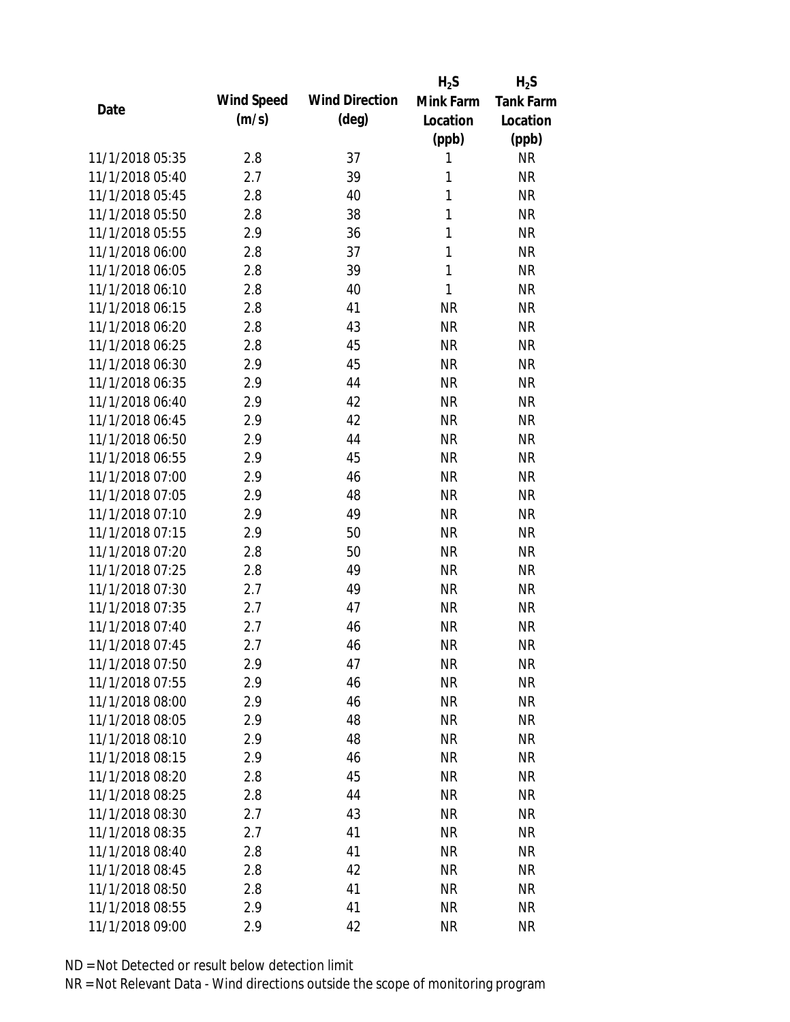|                 |            |                       | $H_2S$    | $H_2S$           |
|-----------------|------------|-----------------------|-----------|------------------|
| Date            | Wind Speed | <b>Wind Direction</b> | Mink Farm | <b>Tank Farm</b> |
|                 | (m/s)      | $(\text{deg})$        | Location  | Location         |
|                 |            |                       | (ppb)     | (ppb)            |
| 11/1/2018 05:35 | 2.8        | 37                    | 1         | <b>NR</b>        |
| 11/1/2018 05:40 | 2.7        | 39                    | 1         | <b>NR</b>        |
| 11/1/2018 05:45 | 2.8        | 40                    | 1         | <b>NR</b>        |
| 11/1/2018 05:50 | 2.8        | 38                    | 1         | <b>NR</b>        |
| 11/1/2018 05:55 | 2.9        | 36                    | 1         | <b>NR</b>        |
| 11/1/2018 06:00 | 2.8        | 37                    | 1         | <b>NR</b>        |
| 11/1/2018 06:05 | 2.8        | 39                    | 1         | <b>NR</b>        |
| 11/1/2018 06:10 | 2.8        | 40                    | 1         | <b>NR</b>        |
| 11/1/2018 06:15 | 2.8        | 41                    | <b>NR</b> | <b>NR</b>        |
| 11/1/2018 06:20 | 2.8        | 43                    | <b>NR</b> | <b>NR</b>        |
| 11/1/2018 06:25 | 2.8        | 45                    | <b>NR</b> | <b>NR</b>        |
| 11/1/2018 06:30 | 2.9        | 45                    | <b>NR</b> | <b>NR</b>        |
| 11/1/2018 06:35 | 2.9        | 44                    | <b>NR</b> | <b>NR</b>        |
| 11/1/2018 06:40 | 2.9        | 42                    | <b>NR</b> | <b>NR</b>        |
| 11/1/2018 06:45 | 2.9        | 42                    | <b>NR</b> | <b>NR</b>        |
| 11/1/2018 06:50 | 2.9        | 44                    | <b>NR</b> | <b>NR</b>        |
| 11/1/2018 06:55 | 2.9        | 45                    | <b>NR</b> | <b>NR</b>        |
| 11/1/2018 07:00 | 2.9        | 46                    | <b>NR</b> | <b>NR</b>        |
| 11/1/2018 07:05 | 2.9        | 48                    | <b>NR</b> | <b>NR</b>        |
| 11/1/2018 07:10 | 2.9        | 49                    | <b>NR</b> | <b>NR</b>        |
| 11/1/2018 07:15 | 2.9        | 50                    | <b>NR</b> | <b>NR</b>        |
| 11/1/2018 07:20 | 2.8        | 50                    | <b>NR</b> | <b>NR</b>        |
| 11/1/2018 07:25 | 2.8        | 49                    | <b>NR</b> | <b>NR</b>        |
| 11/1/2018 07:30 | 2.7        | 49                    | <b>NR</b> | <b>NR</b>        |
| 11/1/2018 07:35 | 2.7        | 47                    | <b>NR</b> | <b>NR</b>        |
| 11/1/2018 07:40 | 2.7        | 46                    | <b>NR</b> | <b>NR</b>        |
| 11/1/2018 07:45 | 2.7        | 46                    | <b>NR</b> | <b>NR</b>        |
| 11/1/2018 07:50 | 2.9        | 47                    | <b>NR</b> | <b>NR</b>        |
| 11/1/2018 07:55 | 2.9        | 46                    | <b>NR</b> | <b>NR</b>        |
| 11/1/2018 08:00 | 2.9        | 46                    | NR        | <b>NR</b>        |
| 11/1/2018 08:05 | 2.9        | 48                    | <b>NR</b> | <b>NR</b>        |
| 11/1/2018 08:10 | 2.9        | 48                    | <b>NR</b> | <b>NR</b>        |
| 11/1/2018 08:15 | 2.9        | 46                    | <b>NR</b> | <b>NR</b>        |
| 11/1/2018 08:20 | 2.8        | 45                    | <b>NR</b> | <b>NR</b>        |
| 11/1/2018 08:25 | 2.8        | 44                    | <b>NR</b> | <b>NR</b>        |
| 11/1/2018 08:30 | 2.7        | 43                    | <b>NR</b> | <b>NR</b>        |
| 11/1/2018 08:35 | 2.7        | 41                    | <b>NR</b> | <b>NR</b>        |
| 11/1/2018 08:40 |            | 41                    |           | <b>NR</b>        |
|                 | 2.8        |                       | <b>NR</b> |                  |
| 11/1/2018 08:45 | 2.8        | 42                    | <b>NR</b> | <b>NR</b>        |
| 11/1/2018 08:50 | 2.8        | 41                    | <b>NR</b> | <b>NR</b>        |
| 11/1/2018 08:55 | 2.9        | 41                    | <b>NR</b> | <b>NR</b>        |
| 11/1/2018 09:00 | 2.9        | 42                    | <b>NR</b> | <b>NR</b>        |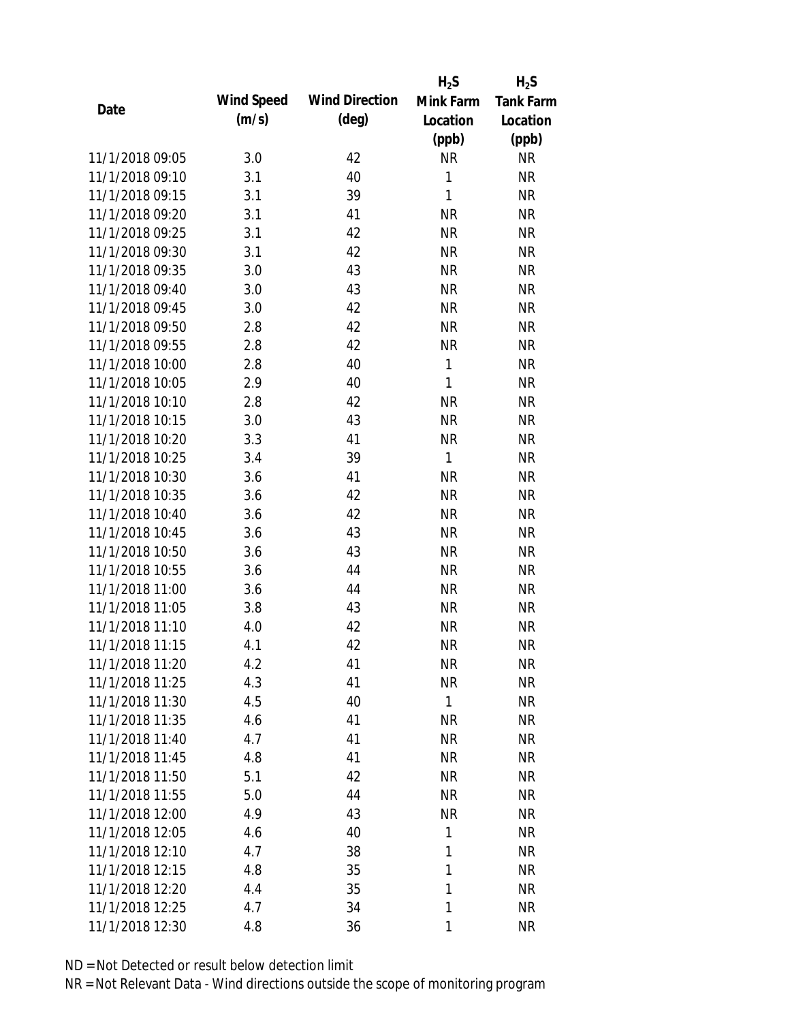|                 |            |                       | $H_2S$       | $H_2S$           |
|-----------------|------------|-----------------------|--------------|------------------|
| Date            | Wind Speed | <b>Wind Direction</b> | Mink Farm    | <b>Tank Farm</b> |
|                 | (m/s)      | $(\text{deg})$        | Location     | Location         |
|                 |            |                       | (ppb)        | (ppb)            |
| 11/1/2018 09:05 | 3.0        | 42                    | <b>NR</b>    | <b>NR</b>        |
| 11/1/2018 09:10 | 3.1        | 40                    | 1            | <b>NR</b>        |
| 11/1/2018 09:15 | 3.1        | 39                    | 1            | <b>NR</b>        |
| 11/1/2018 09:20 | 3.1        | 41                    | <b>NR</b>    | <b>NR</b>        |
| 11/1/2018 09:25 | 3.1        | 42                    | <b>NR</b>    | <b>NR</b>        |
| 11/1/2018 09:30 | 3.1        | 42                    | <b>NR</b>    | <b>NR</b>        |
| 11/1/2018 09:35 | 3.0        | 43                    | <b>NR</b>    | <b>NR</b>        |
| 11/1/2018 09:40 | 3.0        | 43                    | <b>NR</b>    | <b>NR</b>        |
| 11/1/2018 09:45 | 3.0        | 42                    | <b>NR</b>    | <b>NR</b>        |
| 11/1/2018 09:50 | 2.8        | 42                    | <b>NR</b>    | <b>NR</b>        |
| 11/1/2018 09:55 | 2.8        | 42                    | <b>NR</b>    | <b>NR</b>        |
| 11/1/2018 10:00 | 2.8        | 40                    | 1            | <b>NR</b>        |
| 11/1/2018 10:05 | 2.9        | 40                    | $\mathbf{1}$ | <b>NR</b>        |
| 11/1/2018 10:10 | 2.8        | 42                    | <b>NR</b>    | <b>NR</b>        |
| 11/1/2018 10:15 | 3.0        | 43                    | <b>NR</b>    | <b>NR</b>        |
| 11/1/2018 10:20 | 3.3        | 41                    | <b>NR</b>    | <b>NR</b>        |
| 11/1/2018 10:25 | 3.4        | 39                    | $\mathbf{1}$ | <b>NR</b>        |
| 11/1/2018 10:30 | 3.6        | 41                    | <b>NR</b>    | <b>NR</b>        |
| 11/1/2018 10:35 | 3.6        | 42                    | <b>NR</b>    | <b>NR</b>        |
| 11/1/2018 10:40 | 3.6        | 42                    | <b>NR</b>    | <b>NR</b>        |
| 11/1/2018 10:45 | 3.6        | 43                    | <b>NR</b>    | <b>NR</b>        |
| 11/1/2018 10:50 | 3.6        | 43                    | <b>NR</b>    | <b>NR</b>        |
| 11/1/2018 10:55 | 3.6        | 44                    | <b>NR</b>    | <b>NR</b>        |
| 11/1/2018 11:00 | 3.6        | 44                    | <b>NR</b>    | <b>NR</b>        |
| 11/1/2018 11:05 | 3.8        | 43                    | <b>NR</b>    | <b>NR</b>        |
| 11/1/2018 11:10 | 4.0        | 42                    | <b>NR</b>    | <b>NR</b>        |
| 11/1/2018 11:15 | 4.1        | 42                    | <b>NR</b>    | <b>NR</b>        |
| 11/1/2018 11:20 | 4.2        | 41                    | <b>NR</b>    | <b>NR</b>        |
| 11/1/2018 11:25 | 4.3        | 41                    | <b>NR</b>    | <b>NR</b>        |
| 11/1/2018 11:30 | 4.5        | 40                    | 1            | <b>NR</b>        |
| 11/1/2018 11:35 | 4.6        | 41                    | <b>NR</b>    | <b>NR</b>        |
| 11/1/2018 11:40 | 4.7        | 41                    | <b>NR</b>    | <b>NR</b>        |
| 11/1/2018 11:45 | 4.8        | 41                    | <b>NR</b>    | <b>NR</b>        |
| 11/1/2018 11:50 | 5.1        | 42                    | <b>NR</b>    | <b>NR</b>        |
| 11/1/2018 11:55 | 5.0        | 44                    | <b>NR</b>    | <b>NR</b>        |
| 11/1/2018 12:00 | 4.9        | 43                    | <b>NR</b>    | <b>NR</b>        |
| 11/1/2018 12:05 | 4.6        | 40                    | 1            | <b>NR</b>        |
| 11/1/2018 12:10 | 4.7        | 38                    | 1            | <b>NR</b>        |
| 11/1/2018 12:15 | 4.8        | 35                    | 1            | <b>NR</b>        |
| 11/1/2018 12:20 | 4.4        | 35                    | 1            | <b>NR</b>        |
| 11/1/2018 12:25 | 4.7        | 34                    | 1            | <b>NR</b>        |
| 11/1/2018 12:30 | 4.8        | 36                    | 1            | <b>NR</b>        |
|                 |            |                       |              |                  |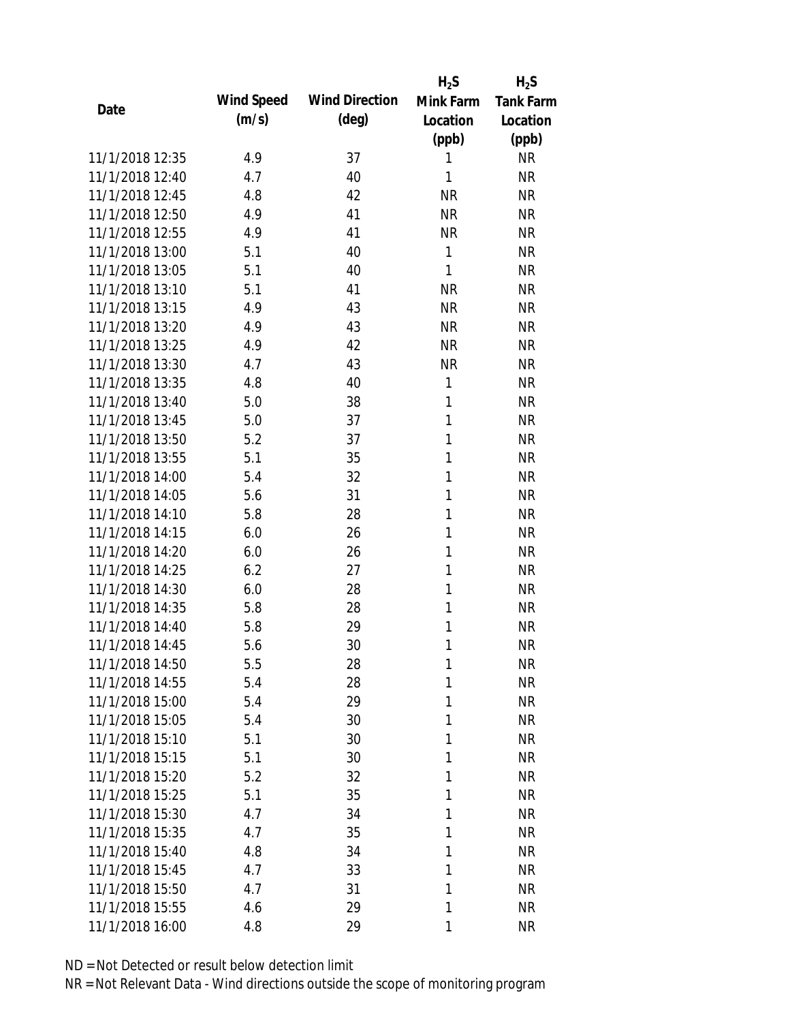|                 |            |                       | $H_2S$    | $H_2S$           |
|-----------------|------------|-----------------------|-----------|------------------|
| Date            | Wind Speed | <b>Wind Direction</b> | Mink Farm | <b>Tank Farm</b> |
|                 | (m/s)      | $(\text{deg})$        | Location  | Location         |
|                 |            |                       | (ppb)     | (ppb)            |
| 11/1/2018 12:35 | 4.9        | 37                    | 1         | <b>NR</b>        |
| 11/1/2018 12:40 | 4.7        | 40                    | 1         | <b>NR</b>        |
| 11/1/2018 12:45 | 4.8        | 42                    | <b>NR</b> | <b>NR</b>        |
| 11/1/2018 12:50 | 4.9        | 41                    | <b>NR</b> | <b>NR</b>        |
| 11/1/2018 12:55 | 4.9        | 41                    | <b>NR</b> | <b>NR</b>        |
| 11/1/2018 13:00 | 5.1        | 40                    | 1         | <b>NR</b>        |
| 11/1/2018 13:05 | 5.1        | 40                    | 1         | <b>NR</b>        |
| 11/1/2018 13:10 | 5.1        | 41                    | <b>NR</b> | <b>NR</b>        |
| 11/1/2018 13:15 | 4.9        | 43                    | <b>NR</b> | <b>NR</b>        |
| 11/1/2018 13:20 | 4.9        | 43                    | <b>NR</b> | <b>NR</b>        |
| 11/1/2018 13:25 | 4.9        | 42                    | <b>NR</b> | <b>NR</b>        |
| 11/1/2018 13:30 | 4.7        | 43                    | <b>NR</b> | <b>NR</b>        |
| 11/1/2018 13:35 | 4.8        | 40                    | 1         | <b>NR</b>        |
| 11/1/2018 13:40 | 5.0        | 38                    | 1         | <b>NR</b>        |
| 11/1/2018 13:45 | 5.0        | 37                    | 1         | <b>NR</b>        |
| 11/1/2018 13:50 | 5.2        | 37                    | 1         | <b>NR</b>        |
| 11/1/2018 13:55 | 5.1        | 35                    | 1         | <b>NR</b>        |
| 11/1/2018 14:00 | 5.4        | 32                    | 1         | <b>NR</b>        |
| 11/1/2018 14:05 | 5.6        | 31                    | 1         | <b>NR</b>        |
| 11/1/2018 14:10 | 5.8        | 28                    | 1         | <b>NR</b>        |
| 11/1/2018 14:15 | 6.0        | 26                    | 1         | <b>NR</b>        |
| 11/1/2018 14:20 | 6.0        | 26                    | 1         | <b>NR</b>        |
| 11/1/2018 14:25 | 6.2        | 27                    | 1         | <b>NR</b>        |
| 11/1/2018 14:30 | 6.0        | 28                    | 1         | <b>NR</b>        |
| 11/1/2018 14:35 | 5.8        | 28                    | 1         | <b>NR</b>        |
| 11/1/2018 14:40 | 5.8        | 29                    | 1         | <b>NR</b>        |
| 11/1/2018 14:45 | 5.6        | 30                    | 1         | <b>NR</b>        |
| 11/1/2018 14:50 | 5.5        | 28                    | 1         | <b>NR</b>        |
| 11/1/2018 14:55 | 5.4        | 28                    | 1         | <b>NR</b>        |
| 11/1/2018 15:00 | 5.4        | 29                    | 1         | <b>NR</b>        |
| 11/1/2018 15:05 | 5.4        | 30                    | 1         | <b>NR</b>        |
| 11/1/2018 15:10 | 5.1        | 30                    | 1         | <b>NR</b>        |
| 11/1/2018 15:15 | 5.1        | 30                    | 1         | <b>NR</b>        |
| 11/1/2018 15:20 | 5.2        | 32                    | 1         | <b>NR</b>        |
| 11/1/2018 15:25 | 5.1        | 35                    | 1         | <b>NR</b>        |
| 11/1/2018 15:30 | 4.7        | 34                    | 1         | <b>NR</b>        |
| 11/1/2018 15:35 | 4.7        | 35                    | 1         | <b>NR</b>        |
| 11/1/2018 15:40 | 4.8        | 34                    | 1         | <b>NR</b>        |
| 11/1/2018 15:45 | 4.7        | 33                    | 1         | <b>NR</b>        |
| 11/1/2018 15:50 | 4.7        | 31                    | 1         | <b>NR</b>        |
| 11/1/2018 15:55 | 4.6        | 29                    | 1         | <b>NR</b>        |
| 11/1/2018 16:00 | 4.8        | 29                    | 1         | <b>NR</b>        |
|                 |            |                       |           |                  |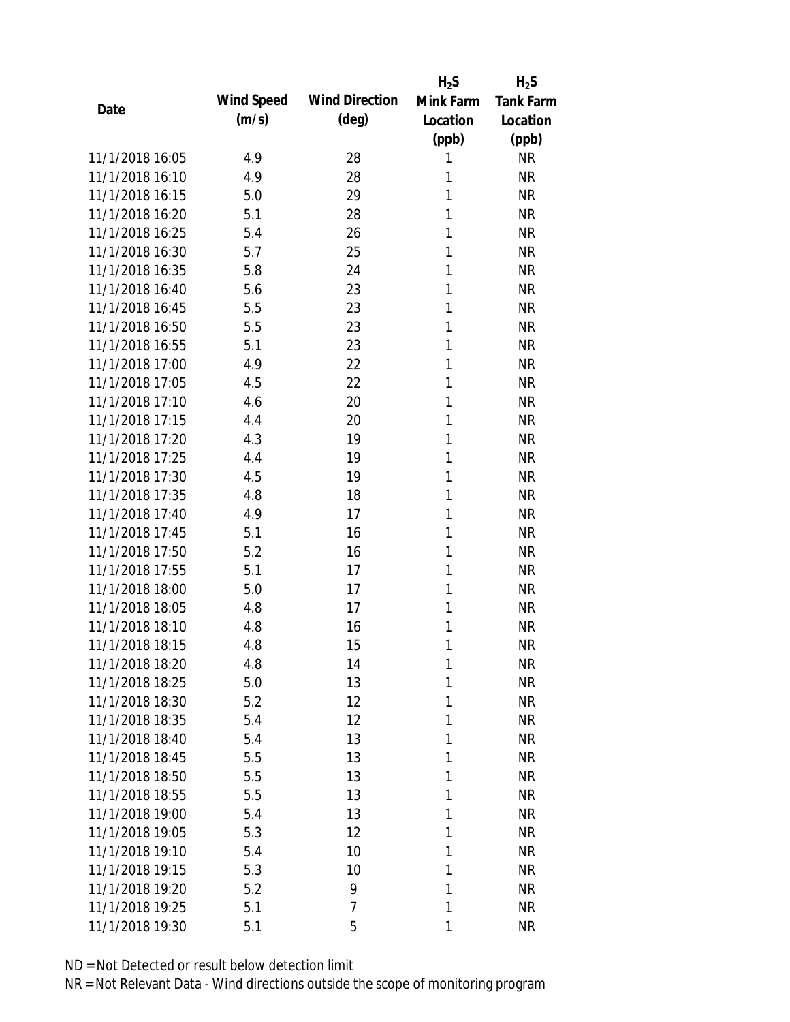|                 |            |                       | $H_2S$    | $H_2S$           |
|-----------------|------------|-----------------------|-----------|------------------|
| Date            | Wind Speed | <b>Wind Direction</b> | Mink Farm | <b>Tank Farm</b> |
|                 | (m/s)      | $(\text{deg})$        | Location  | Location         |
|                 |            |                       | (ppb)     | (ppb)            |
| 11/1/2018 16:05 | 4.9        | 28                    | 1         | <b>NR</b>        |
| 11/1/2018 16:10 | 4.9        | 28                    | 1         | <b>NR</b>        |
| 11/1/2018 16:15 | 5.0        | 29                    | 1         | <b>NR</b>        |
| 11/1/2018 16:20 | 5.1        | 28                    | 1         | <b>NR</b>        |
| 11/1/2018 16:25 | 5.4        | 26                    | 1         | <b>NR</b>        |
| 11/1/2018 16:30 | 5.7        | 25                    | 1         | <b>NR</b>        |
| 11/1/2018 16:35 | 5.8        | 24                    | 1         | <b>NR</b>        |
| 11/1/2018 16:40 | 5.6        | 23                    | 1         | <b>NR</b>        |
| 11/1/2018 16:45 | 5.5        | 23                    | 1         | <b>NR</b>        |
| 11/1/2018 16:50 | 5.5        | 23                    | 1         | <b>NR</b>        |
| 11/1/2018 16:55 | 5.1        | 23                    | 1         | <b>NR</b>        |
| 11/1/2018 17:00 | 4.9        | 22                    | 1         | <b>NR</b>        |
| 11/1/2018 17:05 | 4.5        | 22                    | 1         | <b>NR</b>        |
| 11/1/2018 17:10 | 4.6        | 20                    | 1         | <b>NR</b>        |
| 11/1/2018 17:15 | 4.4        | 20                    | 1         | <b>NR</b>        |
| 11/1/2018 17:20 | 4.3        | 19                    | 1         | <b>NR</b>        |
| 11/1/2018 17:25 | 4.4        | 19                    | 1         | <b>NR</b>        |
| 11/1/2018 17:30 | 4.5        | 19                    | 1         | <b>NR</b>        |
| 11/1/2018 17:35 | 4.8        | 18                    | 1         | <b>NR</b>        |
| 11/1/2018 17:40 | 4.9        | 17                    | 1         | <b>NR</b>        |
| 11/1/2018 17:45 | 5.1        | 16                    | 1         | <b>NR</b>        |
| 11/1/2018 17:50 | 5.2        | 16                    | 1         | <b>NR</b>        |
| 11/1/2018 17:55 | 5.1        | 17                    | 1         | <b>NR</b>        |
| 11/1/2018 18:00 | 5.0        | 17                    | 1         | <b>NR</b>        |
| 11/1/2018 18:05 | 4.8        | 17                    | 1         | <b>NR</b>        |
| 11/1/2018 18:10 | 4.8        | 16                    | 1         | <b>NR</b>        |
| 11/1/2018 18:15 | 4.8        | 15                    | 1         | <b>NR</b>        |
| 11/1/2018 18:20 | 4.8        | 14                    | 1         | <b>NR</b>        |
| 11/1/2018 18:25 | 5.0        | 13                    | 1         | <b>NR</b>        |
| 11/1/2018 18:30 | 5.2        | 12                    | 1         | <b>NR</b>        |
| 11/1/2018 18:35 | 5.4        | 12                    | 1         | <b>NR</b>        |
| 11/1/2018 18:40 | 5.4        | 13                    | 1         | <b>NR</b>        |
| 11/1/2018 18:45 | 5.5        | 13                    | 1         | <b>NR</b>        |
| 11/1/2018 18:50 | 5.5        | 13                    | 1         | <b>NR</b>        |
| 11/1/2018 18:55 | 5.5        | 13                    | 1         | <b>NR</b>        |
| 11/1/2018 19:00 | 5.4        | 13                    | 1         | <b>NR</b>        |
| 11/1/2018 19:05 | 5.3        | 12                    | 1         | <b>NR</b>        |
| 11/1/2018 19:10 | 5.4        | 10                    | 1         | <b>NR</b>        |
| 11/1/2018 19:15 | 5.3        | 10                    | 1         | <b>NR</b>        |
| 11/1/2018 19:20 | 5.2        | 9                     | 1         | <b>NR</b>        |
| 11/1/2018 19:25 | 5.1        | 7                     | 1         | <b>NR</b>        |
| 11/1/2018 19:30 | 5.1        | 5                     | 1         | <b>NR</b>        |
|                 |            |                       |           |                  |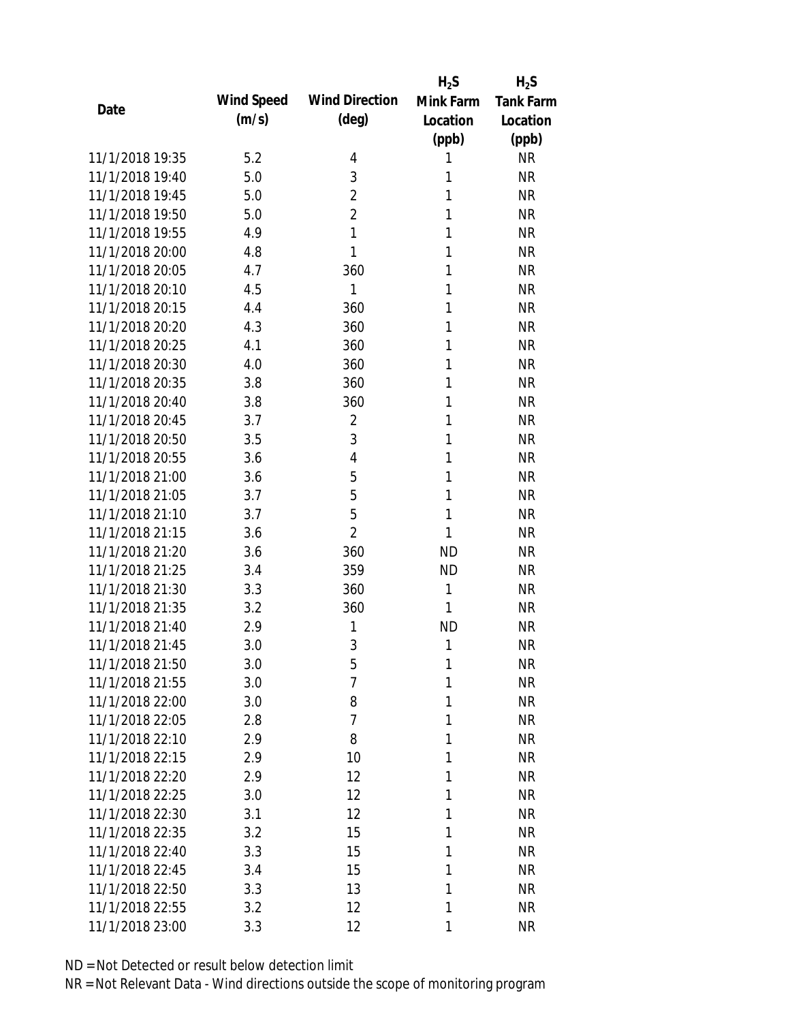|                 |            |                       | $H_2S$    | $H_2S$           |
|-----------------|------------|-----------------------|-----------|------------------|
| Date            | Wind Speed | <b>Wind Direction</b> | Mink Farm | <b>Tank Farm</b> |
|                 | (m/s)      | $(\text{deg})$        | Location  | Location         |
|                 |            |                       | (ppb)     | (ppb)            |
| 11/1/2018 19:35 | 5.2        | 4                     | 1         | <b>NR</b>        |
| 11/1/2018 19:40 | 5.0        | 3                     | 1         | <b>NR</b>        |
| 11/1/2018 19:45 | 5.0        | $\overline{2}$        | 1         | <b>NR</b>        |
| 11/1/2018 19:50 | 5.0        | $\overline{2}$        | 1         | <b>NR</b>        |
| 11/1/2018 19:55 | 4.9        | 1                     | 1         | <b>NR</b>        |
| 11/1/2018 20:00 | 4.8        | 1                     | 1         | <b>NR</b>        |
| 11/1/2018 20:05 | 4.7        | 360                   | 1         | <b>NR</b>        |
| 11/1/2018 20:10 | 4.5        | 1                     | 1         | <b>NR</b>        |
| 11/1/2018 20:15 | 4.4        | 360                   | 1         | <b>NR</b>        |
| 11/1/2018 20:20 | 4.3        | 360                   | 1         | <b>NR</b>        |
| 11/1/2018 20:25 | 4.1        | 360                   | 1         | <b>NR</b>        |
| 11/1/2018 20:30 | 4.0        | 360                   | 1         | <b>NR</b>        |
| 11/1/2018 20:35 | 3.8        | 360                   | 1         | <b>NR</b>        |
| 11/1/2018 20:40 | 3.8        | 360                   | 1         | <b>NR</b>        |
| 11/1/2018 20:45 | 3.7        | $\overline{2}$        | 1         | <b>NR</b>        |
| 11/1/2018 20:50 | 3.5        | 3                     | 1         | <b>NR</b>        |
| 11/1/2018 20:55 | 3.6        | $\overline{4}$        | 1         | <b>NR</b>        |
| 11/1/2018 21:00 | 3.6        | 5                     | 1         | <b>NR</b>        |
| 11/1/2018 21:05 | 3.7        | 5                     | 1         | <b>NR</b>        |
| 11/1/2018 21:10 | 3.7        | 5                     | 1         | <b>NR</b>        |
| 11/1/2018 21:15 | 3.6        | $\overline{2}$        | 1         | <b>NR</b>        |
| 11/1/2018 21:20 | 3.6        | 360                   | <b>ND</b> | <b>NR</b>        |
| 11/1/2018 21:25 | 3.4        | 359                   | <b>ND</b> | <b>NR</b>        |
| 11/1/2018 21:30 | 3.3        | 360                   | 1         | <b>NR</b>        |
| 11/1/2018 21:35 | 3.2        | 360                   | 1         | <b>NR</b>        |
| 11/1/2018 21:40 | 2.9        | 1                     | <b>ND</b> | <b>NR</b>        |
| 11/1/2018 21:45 | 3.0        | 3                     | 1         | <b>NR</b>        |
| 11/1/2018 21:50 | 3.0        | 5                     | 1         | <b>NR</b>        |
| 11/1/2018 21:55 | 3.0        | $\overline{7}$        | 1         | <b>NR</b>        |
| 11/1/2018 22:00 | 3.0        | 8                     | 1         | <b>NR</b>        |
| 11/1/2018 22:05 | 2.8        | $\overline{7}$        | 1         | <b>NR</b>        |
| 11/1/2018 22:10 | 2.9        | 8                     | 1         | <b>NR</b>        |
| 11/1/2018 22:15 | 2.9        | 10                    | 1         | <b>NR</b>        |
| 11/1/2018 22:20 | 2.9        | 12                    | 1         | <b>NR</b>        |
| 11/1/2018 22:25 | 3.0        | 12                    | 1         | <b>NR</b>        |
| 11/1/2018 22:30 | 3.1        | 12                    | 1         | <b>NR</b>        |
| 11/1/2018 22:35 | 3.2        | 15                    | 1         | <b>NR</b>        |
| 11/1/2018 22:40 | 3.3        | 15                    | 1         | <b>NR</b>        |
| 11/1/2018 22:45 | 3.4        | 15                    | 1         | <b>NR</b>        |
| 11/1/2018 22:50 | 3.3        | 13                    | 1         | <b>NR</b>        |
| 11/1/2018 22:55 | 3.2        | 12                    | 1         | <b>NR</b>        |
| 11/1/2018 23:00 | 3.3        | 12                    | 1         | <b>NR</b>        |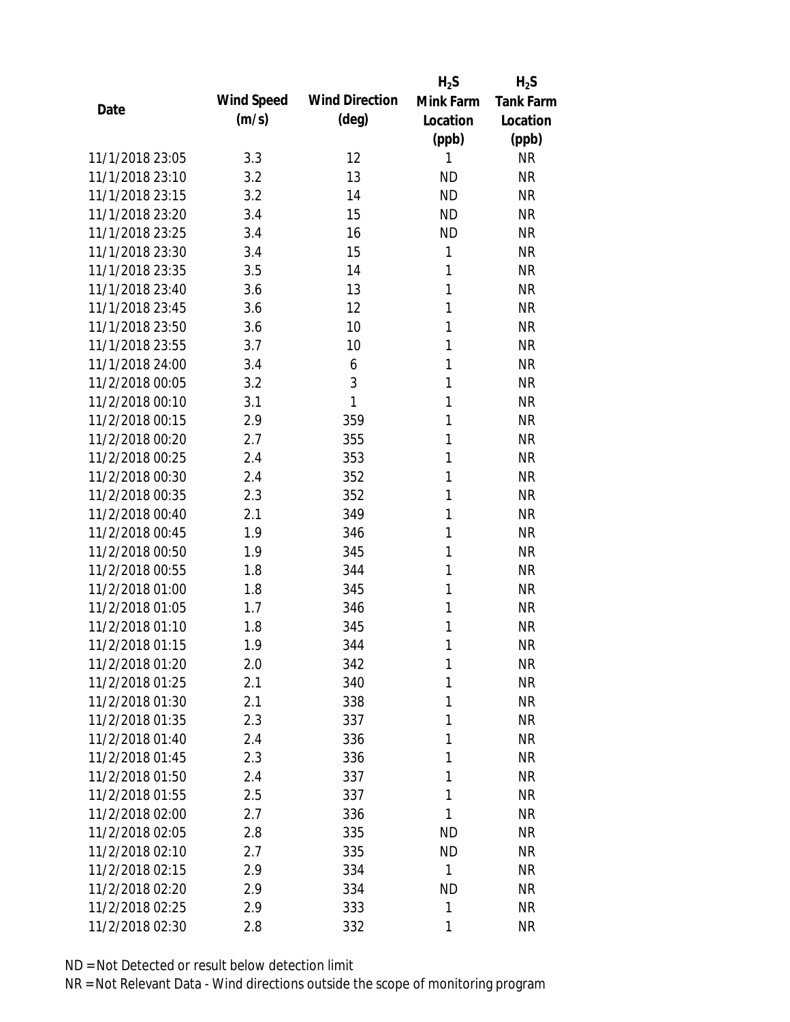|                 |            |                       | $H_2S$    | $H_2S$           |
|-----------------|------------|-----------------------|-----------|------------------|
| Date            | Wind Speed | <b>Wind Direction</b> | Mink Farm | <b>Tank Farm</b> |
|                 | (m/s)      | $(\text{deg})$        | Location  | Location         |
|                 |            |                       | (ppb)     | (ppb)            |
| 11/1/2018 23:05 | 3.3        | 12                    | 1         | <b>NR</b>        |
| 11/1/2018 23:10 | 3.2        | 13                    | <b>ND</b> | <b>NR</b>        |
| 11/1/2018 23:15 | 3.2        | 14                    | <b>ND</b> | <b>NR</b>        |
| 11/1/2018 23:20 | 3.4        | 15                    | <b>ND</b> | <b>NR</b>        |
| 11/1/2018 23:25 | 3.4        | 16                    | <b>ND</b> | <b>NR</b>        |
| 11/1/2018 23:30 | 3.4        | 15                    | 1         | <b>NR</b>        |
| 11/1/2018 23:35 | 3.5        | 14                    | 1         | <b>NR</b>        |
| 11/1/2018 23:40 | 3.6        | 13                    | 1         | <b>NR</b>        |
| 11/1/2018 23:45 | 3.6        | 12                    | 1         | <b>NR</b>        |
| 11/1/2018 23:50 | 3.6        | 10                    | 1         | <b>NR</b>        |
| 11/1/2018 23:55 | 3.7        | 10                    | 1         | <b>NR</b>        |
| 11/1/2018 24:00 | 3.4        | 6                     | 1         | <b>NR</b>        |
| 11/2/2018 00:05 | 3.2        | 3                     | 1         | <b>NR</b>        |
| 11/2/2018 00:10 | 3.1        | 1                     | 1         | <b>NR</b>        |
| 11/2/2018 00:15 | 2.9        | 359                   | 1         | <b>NR</b>        |
| 11/2/2018 00:20 | 2.7        | 355                   | 1         | <b>NR</b>        |
| 11/2/2018 00:25 | 2.4        | 353                   | 1         | <b>NR</b>        |
| 11/2/2018 00:30 | 2.4        | 352                   | 1         | <b>NR</b>        |
| 11/2/2018 00:35 | 2.3        | 352                   | 1         | <b>NR</b>        |
| 11/2/2018 00:40 | 2.1        | 349                   | 1         | <b>NR</b>        |
| 11/2/2018 00:45 | 1.9        | 346                   | 1         | <b>NR</b>        |
| 11/2/2018 00:50 | 1.9        | 345                   | 1         | <b>NR</b>        |
| 11/2/2018 00:55 | 1.8        | 344                   | 1         | <b>NR</b>        |
| 11/2/2018 01:00 | 1.8        | 345                   | 1         | <b>NR</b>        |
| 11/2/2018 01:05 | 1.7        | 346                   | 1         | <b>NR</b>        |
| 11/2/2018 01:10 | 1.8        | 345                   | 1         | <b>NR</b>        |
| 11/2/2018 01:15 | 1.9        | 344                   | 1         | <b>NR</b>        |
| 11/2/2018 01:20 | 2.0        | 342                   | 1         | <b>NR</b>        |
| 11/2/2018 01:25 | 2.1        | 340                   | 1         | <b>NR</b>        |
| 11/2/2018 01:30 | 2.1        | 338                   | 1         | <b>NR</b>        |
| 11/2/2018 01:35 | 2.3        | 337                   | 1         | <b>NR</b>        |
| 11/2/2018 01:40 | 2.4        | 336                   | 1         | NR               |
| 11/2/2018 01:45 | 2.3        | 336                   | 1         | <b>NR</b>        |
| 11/2/2018 01:50 | 2.4        | 337                   | 1         | <b>NR</b>        |
| 11/2/2018 01:55 | 2.5        | 337                   | 1         | <b>NR</b>        |
| 11/2/2018 02:00 | 2.7        | 336                   | 1         | <b>NR</b>        |
| 11/2/2018 02:05 | 2.8        | 335                   | ND        | <b>NR</b>        |
| 11/2/2018 02:10 | 2.7        | 335                   | <b>ND</b> | NR               |
| 11/2/2018 02:15 | 2.9        | 334                   | 1         | <b>NR</b>        |
| 11/2/2018 02:20 | 2.9        | 334                   | <b>ND</b> | NR               |
| 11/2/2018 02:25 | 2.9        | 333                   | 1         | <b>NR</b>        |
| 11/2/2018 02:30 | 2.8        | 332                   | 1         | <b>NR</b>        |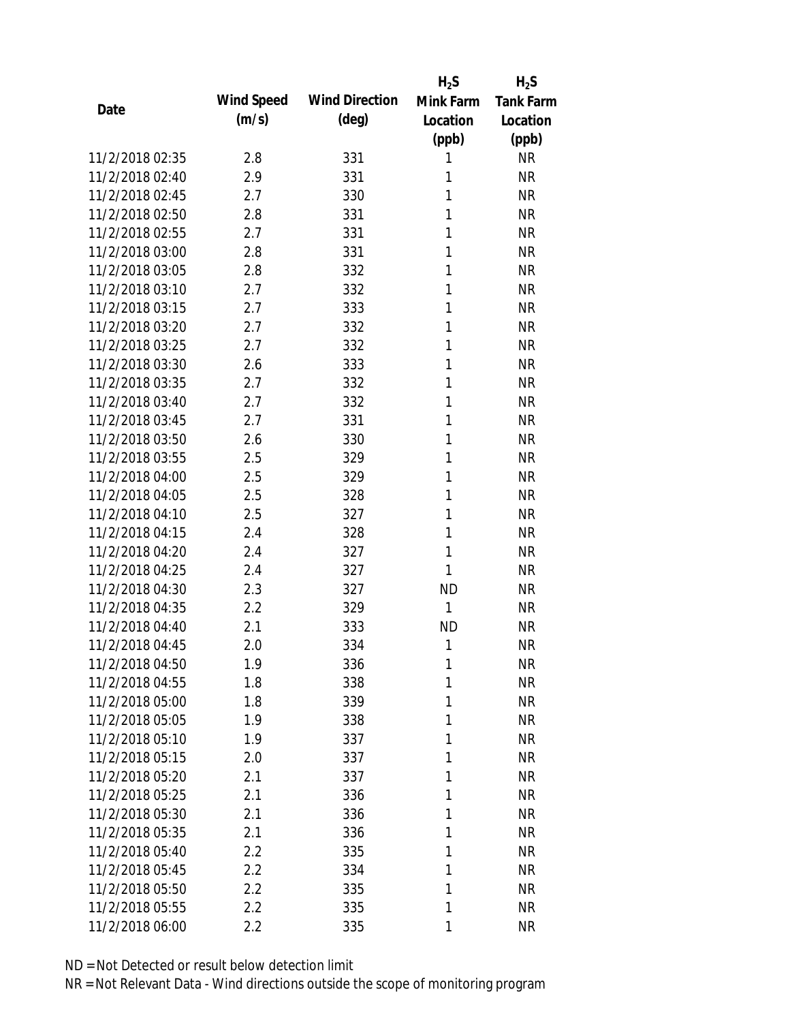|                 |            |                       | $H_2S$       | $H_2S$           |
|-----------------|------------|-----------------------|--------------|------------------|
| Date            | Wind Speed | <b>Wind Direction</b> | Mink Farm    | <b>Tank Farm</b> |
|                 | (m/s)      | $(\text{deg})$        | Location     | Location         |
|                 |            |                       | (ppb)        | (ppb)            |
| 11/2/2018 02:35 | 2.8        | 331                   | 1            | <b>NR</b>        |
| 11/2/2018 02:40 | 2.9        | 331                   | 1            | <b>NR</b>        |
| 11/2/2018 02:45 | 2.7        | 330                   | 1            | <b>NR</b>        |
| 11/2/2018 02:50 | 2.8        | 331                   | 1            | <b>NR</b>        |
| 11/2/2018 02:55 | 2.7        | 331                   | 1            | <b>NR</b>        |
| 11/2/2018 03:00 | 2.8        | 331                   | 1            | <b>NR</b>        |
| 11/2/2018 03:05 | 2.8        | 332                   | 1            | <b>NR</b>        |
| 11/2/2018 03:10 | 2.7        | 332                   | 1            | <b>NR</b>        |
| 11/2/2018 03:15 | 2.7        | 333                   | 1            | <b>NR</b>        |
| 11/2/2018 03:20 | 2.7        | 332                   | 1            | <b>NR</b>        |
| 11/2/2018 03:25 | 2.7        | 332                   | 1            | <b>NR</b>        |
| 11/2/2018 03:30 | 2.6        | 333                   | 1            | <b>NR</b>        |
| 11/2/2018 03:35 | 2.7        | 332                   | 1            | <b>NR</b>        |
| 11/2/2018 03:40 | 2.7        | 332                   | 1            | <b>NR</b>        |
| 11/2/2018 03:45 | 2.7        | 331                   | 1            | <b>NR</b>        |
| 11/2/2018 03:50 | 2.6        | 330                   | 1            | <b>NR</b>        |
| 11/2/2018 03:55 | 2.5        | 329                   | 1            | <b>NR</b>        |
| 11/2/2018 04:00 | 2.5        | 329                   | 1            | <b>NR</b>        |
| 11/2/2018 04:05 | 2.5        | 328                   | 1            | <b>NR</b>        |
| 11/2/2018 04:10 | 2.5        | 327                   | 1            | <b>NR</b>        |
| 11/2/2018 04:15 | 2.4        | 328                   | 1            | <b>NR</b>        |
| 11/2/2018 04:20 | 2.4        | 327                   | 1            | <b>NR</b>        |
| 11/2/2018 04:25 | 2.4        | 327                   | 1            | <b>NR</b>        |
| 11/2/2018 04:30 | 2.3        | 327                   | <b>ND</b>    | <b>NR</b>        |
| 11/2/2018 04:35 | 2.2        | 329                   | $\mathbf{1}$ | <b>NR</b>        |
| 11/2/2018 04:40 | 2.1        | 333                   | <b>ND</b>    | <b>NR</b>        |
| 11/2/2018 04:45 | 2.0        | 334                   | 1            | <b>NR</b>        |
| 11/2/2018 04:50 | 1.9        | 336                   | 1            | <b>NR</b>        |
| 11/2/2018 04:55 | 1.8        | 338                   | 1            | <b>NR</b>        |
| 11/2/2018 05:00 | 1.8        | 339                   | 1            | <b>NR</b>        |
| 11/2/2018 05:05 | 1.9        | 338                   | 1            | <b>NR</b>        |
| 11/2/2018 05:10 | 1.9        | 337                   | 1            | <b>NR</b>        |
| 11/2/2018 05:15 | 2.0        | 337                   | 1            | <b>NR</b>        |
| 11/2/2018 05:20 | 2.1        | 337                   | 1            | <b>NR</b>        |
| 11/2/2018 05:25 | 2.1        | 336                   | 1            | <b>NR</b>        |
| 11/2/2018 05:30 | 2.1        | 336                   | 1            | <b>NR</b>        |
| 11/2/2018 05:35 | 2.1        | 336                   | 1            | <b>NR</b>        |
| 11/2/2018 05:40 | 2.2        | 335                   | 1            | <b>NR</b>        |
| 11/2/2018 05:45 | 2.2        | 334                   | 1            | <b>NR</b>        |
| 11/2/2018 05:50 | 2.2        | 335                   | 1            | <b>NR</b>        |
| 11/2/2018 05:55 | 2.2        | 335                   | 1            | <b>NR</b>        |
| 11/2/2018 06:00 | 2.2        | 335                   | 1            | <b>NR</b>        |
|                 |            |                       |              |                  |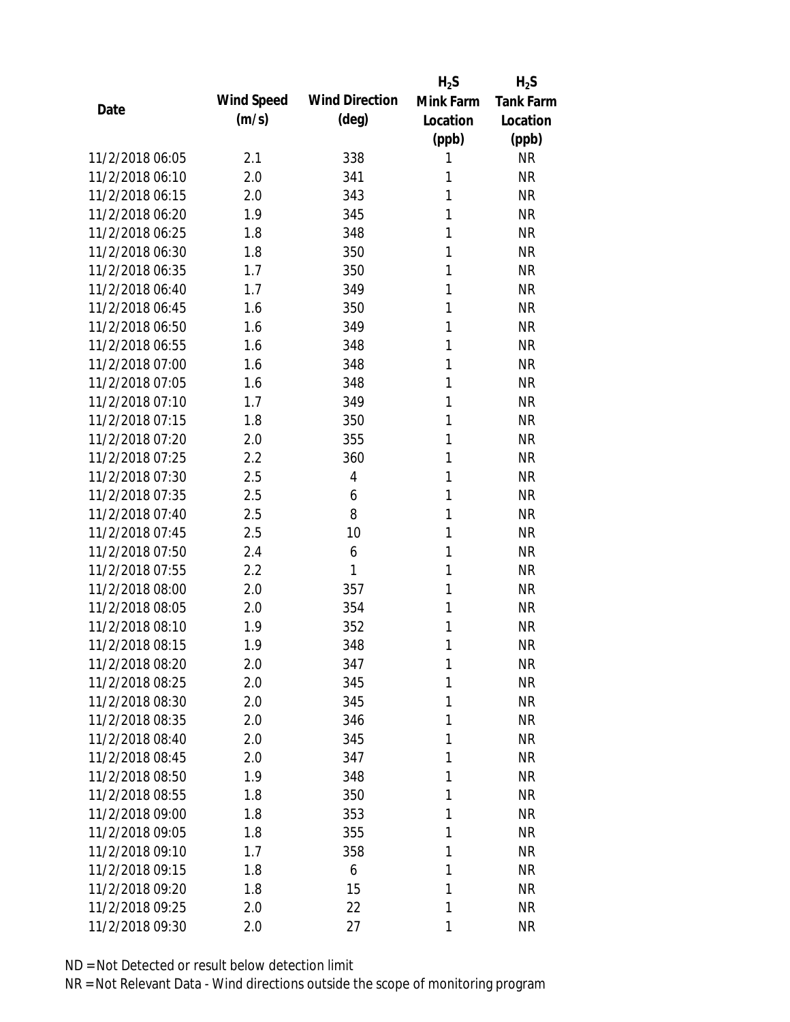|                 |            |                       | $H_2S$    | $H_2S$           |
|-----------------|------------|-----------------------|-----------|------------------|
| Date            | Wind Speed | <b>Wind Direction</b> | Mink Farm | <b>Tank Farm</b> |
|                 | (m/s)      | $(\text{deg})$        | Location  | Location         |
|                 |            |                       | (ppb)     | (ppb)            |
| 11/2/2018 06:05 | 2.1        | 338                   | 1         | <b>NR</b>        |
| 11/2/2018 06:10 | 2.0        | 341                   | 1         | <b>NR</b>        |
| 11/2/2018 06:15 | 2.0        | 343                   | 1         | <b>NR</b>        |
| 11/2/2018 06:20 | 1.9        | 345                   | 1         | <b>NR</b>        |
| 11/2/2018 06:25 | 1.8        | 348                   | 1         | <b>NR</b>        |
| 11/2/2018 06:30 | 1.8        | 350                   | 1         | <b>NR</b>        |
| 11/2/2018 06:35 | 1.7        | 350                   | 1         | <b>NR</b>        |
| 11/2/2018 06:40 | 1.7        | 349                   | 1         | <b>NR</b>        |
| 11/2/2018 06:45 | 1.6        | 350                   | 1         | <b>NR</b>        |
| 11/2/2018 06:50 | 1.6        | 349                   | 1         | <b>NR</b>        |
| 11/2/2018 06:55 | 1.6        | 348                   | 1         | <b>NR</b>        |
| 11/2/2018 07:00 | 1.6        | 348                   | 1         | <b>NR</b>        |
| 11/2/2018 07:05 | 1.6        | 348                   | 1         | <b>NR</b>        |
| 11/2/2018 07:10 | 1.7        | 349                   | 1         | <b>NR</b>        |
| 11/2/2018 07:15 | 1.8        | 350                   | 1         | <b>NR</b>        |
| 11/2/2018 07:20 | 2.0        | 355                   | 1         | <b>NR</b>        |
| 11/2/2018 07:25 | 2.2        | 360                   | 1         | <b>NR</b>        |
| 11/2/2018 07:30 | 2.5        | 4                     | 1         | <b>NR</b>        |
| 11/2/2018 07:35 | 2.5        | 6                     | 1         | <b>NR</b>        |
| 11/2/2018 07:40 | 2.5        | 8                     | 1         | <b>NR</b>        |
| 11/2/2018 07:45 | 2.5        | 10                    | 1         | <b>NR</b>        |
| 11/2/2018 07:50 | 2.4        | 6                     | 1         | <b>NR</b>        |
| 11/2/2018 07:55 | 2.2        | 1                     | 1         | <b>NR</b>        |
| 11/2/2018 08:00 | 2.0        | 357                   | 1         | <b>NR</b>        |
| 11/2/2018 08:05 | 2.0        | 354                   | 1         | <b>NR</b>        |
| 11/2/2018 08:10 | 1.9        | 352                   | 1         | <b>NR</b>        |
| 11/2/2018 08:15 | 1.9        | 348                   | 1         | <b>NR</b>        |
| 11/2/2018 08:20 | 2.0        | 347                   | 1         | <b>NR</b>        |
| 11/2/2018 08:25 | 2.0        | 345                   | 1         | <b>NR</b>        |
| 11/2/2018 08:30 | 2.0        | 345                   | 1         | <b>NR</b>        |
| 11/2/2018 08:35 | 2.0        | 346                   | 1         | <b>NR</b>        |
| 11/2/2018 08:40 | 2.0        | 345                   | 1         | <b>NR</b>        |
| 11/2/2018 08:45 | 2.0        | 347                   | 1         | <b>NR</b>        |
| 11/2/2018 08:50 | 1.9        | 348                   | 1         | <b>NR</b>        |
| 11/2/2018 08:55 | 1.8        | 350                   | 1         | <b>NR</b>        |
| 11/2/2018 09:00 | 1.8        | 353                   | 1         | <b>NR</b>        |
| 11/2/2018 09:05 | 1.8        | 355                   | 1         | <b>NR</b>        |
| 11/2/2018 09:10 | 1.7        | 358                   | 1         | <b>NR</b>        |
| 11/2/2018 09:15 | 1.8        | 6                     | 1         | <b>NR</b>        |
| 11/2/2018 09:20 | 1.8        | 15                    | 1         | <b>NR</b>        |
| 11/2/2018 09:25 | 2.0        | 22                    | 1         | <b>NR</b>        |
| 11/2/2018 09:30 | 2.0        | 27                    | 1         | <b>NR</b>        |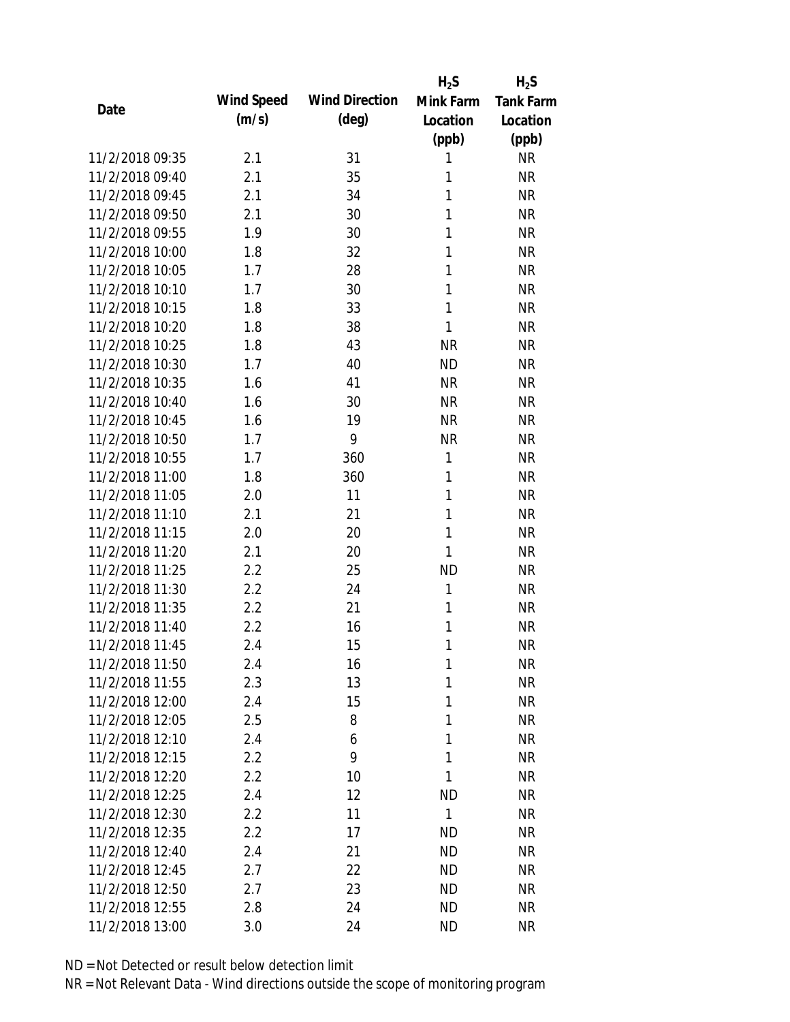|                 |            |                       | $H_2S$    | $H_2S$                 |
|-----------------|------------|-----------------------|-----------|------------------------|
| Date            | Wind Speed | <b>Wind Direction</b> | Mink Farm | <b>Tank Farm</b>       |
|                 | (m/s)      | $(\text{deg})$        | Location  | Location               |
|                 |            |                       | (ppb)     | (ppb)                  |
| 11/2/2018 09:35 | 2.1        | 31                    | 1         | <b>NR</b>              |
| 11/2/2018 09:40 | 2.1        | 35                    | 1         | <b>NR</b>              |
| 11/2/2018 09:45 | 2.1        | 34                    | 1         | <b>NR</b>              |
| 11/2/2018 09:50 | 2.1        | 30                    | 1         | <b>NR</b>              |
| 11/2/2018 09:55 | 1.9        | 30                    | 1         | <b>NR</b>              |
| 11/2/2018 10:00 | 1.8        | 32                    | 1         | <b>NR</b>              |
| 11/2/2018 10:05 | 1.7        | 28                    | 1         | <b>NR</b>              |
| 11/2/2018 10:10 | 1.7        | 30                    | 1         | <b>NR</b>              |
| 11/2/2018 10:15 | 1.8        | 33                    | 1         | <b>NR</b>              |
| 11/2/2018 10:20 | 1.8        | 38                    | 1         | <b>NR</b>              |
| 11/2/2018 10:25 | 1.8        | 43                    | <b>NR</b> | <b>NR</b>              |
| 11/2/2018 10:30 | 1.7        | 40                    | <b>ND</b> | <b>NR</b>              |
| 11/2/2018 10:35 | 1.6        | 41                    | <b>NR</b> | <b>NR</b>              |
| 11/2/2018 10:40 | 1.6        | 30                    | <b>NR</b> | <b>NR</b>              |
| 11/2/2018 10:45 | 1.6        | 19                    | <b>NR</b> | <b>NR</b>              |
| 11/2/2018 10:50 | 1.7        | 9                     | <b>NR</b> | <b>NR</b>              |
| 11/2/2018 10:55 | 1.7        | 360                   | 1         | <b>NR</b>              |
| 11/2/2018 11:00 | 1.8        | 360                   | 1         | <b>NR</b>              |
| 11/2/2018 11:05 | 2.0        | 11                    | 1         | <b>NR</b>              |
| 11/2/2018 11:10 | 2.1        | 21                    | 1         | <b>NR</b>              |
| 11/2/2018 11:15 | 2.0        | 20                    | 1         | <b>NR</b>              |
| 11/2/2018 11:20 | 2.1        | 20                    | 1         | <b>NR</b>              |
| 11/2/2018 11:25 | 2.2        | 25                    | <b>ND</b> | <b>NR</b>              |
| 11/2/2018 11:30 | 2.2        | 24                    | 1         | <b>NR</b>              |
| 11/2/2018 11:35 | 2.2        | 21                    | 1         | <b>NR</b>              |
| 11/2/2018 11:40 | 2.2        | 16                    | 1         | <b>NR</b>              |
| 11/2/2018 11:45 | 2.4        | 15                    | 1         | <b>NR</b>              |
| 11/2/2018 11:50 | 2.4        | 16                    | 1         | <b>NR</b>              |
| 11/2/2018 11:55 | 2.3        | 13                    | 1         | <b>NR</b>              |
| 11/2/2018 12:00 | 2.4        | 15                    | 1         | <b>NR</b>              |
| 11/2/2018 12:05 | 2.5        | 8                     | 1         | <b>NR</b>              |
| 11/2/2018 12:10 | 2.4        | 6                     | 1         | <b>NR</b>              |
| 11/2/2018 12:15 | 2.2        | 9                     | 1         | <b>NR</b>              |
| 11/2/2018 12:20 | 2.2        | 10                    | 1         | <b>NR</b>              |
| 11/2/2018 12:25 | 2.4        | 12                    | <b>ND</b> | <b>NR</b>              |
| 11/2/2018 12:30 |            | 11                    | 1         |                        |
| 11/2/2018 12:35 | 2.2        |                       |           | <b>NR</b><br><b>NR</b> |
|                 | 2.2        | 17                    | ND        |                        |
| 11/2/2018 12:40 | 2.4        | 21                    | <b>ND</b> | <b>NR</b>              |
| 11/2/2018 12:45 | 2.7        | 22                    | <b>ND</b> | <b>NR</b>              |
| 11/2/2018 12:50 | 2.7        | 23                    | ND        | <b>NR</b>              |
| 11/2/2018 12:55 | 2.8        | 24                    | ND        | <b>NR</b>              |
| 11/2/2018 13:00 | 3.0        | 24                    | <b>ND</b> | <b>NR</b>              |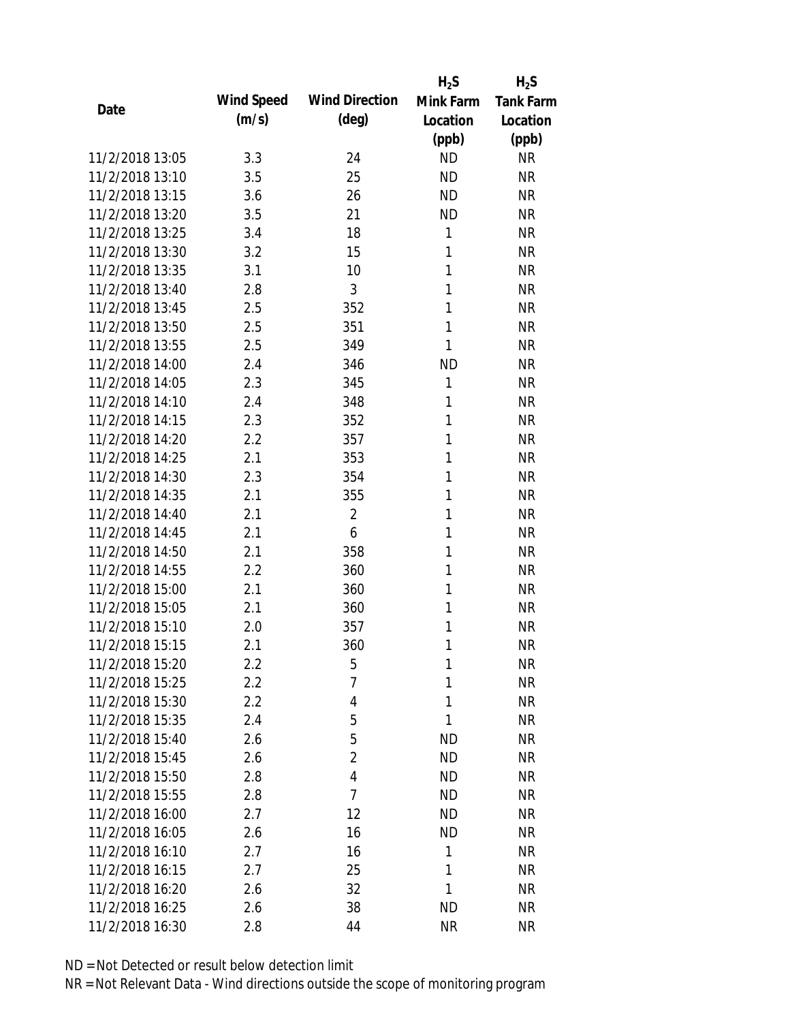|                 |            |                       | $H_2S$    | $H_2S$           |
|-----------------|------------|-----------------------|-----------|------------------|
| Date            | Wind Speed | <b>Wind Direction</b> | Mink Farm | <b>Tank Farm</b> |
|                 | (m/s)      | $(\text{deg})$        | Location  | Location         |
|                 |            |                       | (ppb)     | (ppb)            |
| 11/2/2018 13:05 | 3.3        | 24                    | <b>ND</b> | <b>NR</b>        |
| 11/2/2018 13:10 | 3.5        | 25                    | <b>ND</b> | <b>NR</b>        |
| 11/2/2018 13:15 | 3.6        | 26                    | <b>ND</b> | <b>NR</b>        |
| 11/2/2018 13:20 | 3.5        | 21                    | <b>ND</b> | <b>NR</b>        |
| 11/2/2018 13:25 | 3.4        | 18                    | 1         | <b>NR</b>        |
| 11/2/2018 13:30 | 3.2        | 15                    | 1         | <b>NR</b>        |
| 11/2/2018 13:35 | 3.1        | 10                    | 1         | <b>NR</b>        |
| 11/2/2018 13:40 | 2.8        | 3                     | 1         | <b>NR</b>        |
| 11/2/2018 13:45 | 2.5        | 352                   | 1         | <b>NR</b>        |
| 11/2/2018 13:50 | 2.5        | 351                   | 1         | <b>NR</b>        |
| 11/2/2018 13:55 | 2.5        | 349                   | 1         | <b>NR</b>        |
| 11/2/2018 14:00 | 2.4        | 346                   | <b>ND</b> | <b>NR</b>        |
| 11/2/2018 14:05 | 2.3        | 345                   | 1         | <b>NR</b>        |
| 11/2/2018 14:10 | 2.4        | 348                   | 1         | <b>NR</b>        |
| 11/2/2018 14:15 | 2.3        | 352                   | 1         | <b>NR</b>        |
| 11/2/2018 14:20 | 2.2        | 357                   | 1         | <b>NR</b>        |
| 11/2/2018 14:25 | 2.1        | 353                   | 1         | <b>NR</b>        |
| 11/2/2018 14:30 | 2.3        | 354                   | 1         | <b>NR</b>        |
| 11/2/2018 14:35 | 2.1        | 355                   | 1         | <b>NR</b>        |
| 11/2/2018 14:40 | 2.1        | $\overline{2}$        | 1         | <b>NR</b>        |
| 11/2/2018 14:45 | 2.1        | 6                     | 1         | <b>NR</b>        |
| 11/2/2018 14:50 | 2.1        | 358                   | 1         | <b>NR</b>        |
| 11/2/2018 14:55 | 2.2        | 360                   | 1         | <b>NR</b>        |
| 11/2/2018 15:00 | 2.1        | 360                   | 1         | <b>NR</b>        |
| 11/2/2018 15:05 | 2.1        | 360                   | 1         | <b>NR</b>        |
| 11/2/2018 15:10 | 2.0        | 357                   | 1         | <b>NR</b>        |
| 11/2/2018 15:15 | 2.1        | 360                   | 1         | <b>NR</b>        |
| 11/2/2018 15:20 | $2.2\,$    | 5                     | 1         | <b>NR</b>        |
| 11/2/2018 15:25 | $2.2\,$    | 7                     | 1         | <b>NR</b>        |
| 11/2/2018 15:30 | $2.2\,$    | 4                     | 1         | <b>NR</b>        |
| 11/2/2018 15:35 | 2.4        | 5                     | 1         | <b>NR</b>        |
| 11/2/2018 15:40 | 2.6        | 5                     | <b>ND</b> | NR               |
| 11/2/2018 15:45 | 2.6        | $\overline{2}$        | <b>ND</b> | NR               |
| 11/2/2018 15:50 | 2.8        | 4                     | <b>ND</b> | NR               |
| 11/2/2018 15:55 | 2.8        | 7                     | ND        | NR               |
| 11/2/2018 16:00 | 2.7        | 12                    | <b>ND</b> | NR               |
| 11/2/2018 16:05 | 2.6        | 16                    | ND        | NR               |
| 11/2/2018 16:10 | 2.7        | 16                    | 1         | NR               |
| 11/2/2018 16:15 | 2.7        | 25                    | 1         | NR               |
| 11/2/2018 16:20 | 2.6        | 32                    | 1         | NR               |
| 11/2/2018 16:25 | 2.6        | 38                    | <b>ND</b> | <b>NR</b>        |
| 11/2/2018 16:30 | 2.8        | 44                    | <b>NR</b> | <b>NR</b>        |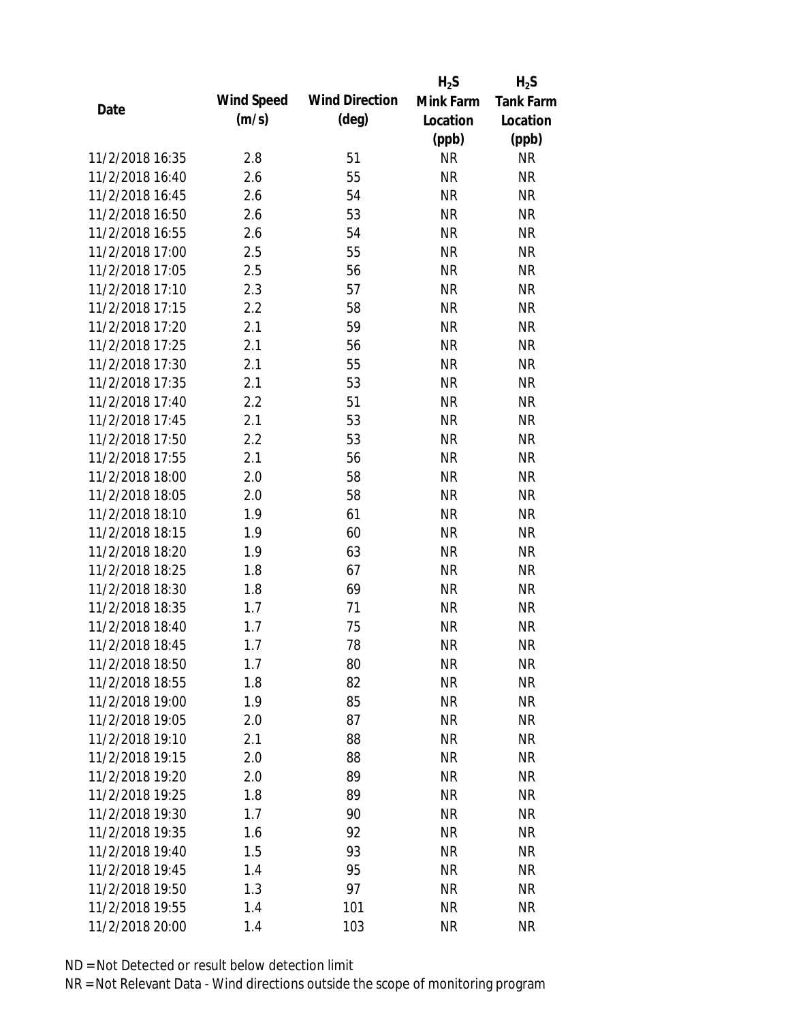|                 |            |                       | $H_2S$    | $H_2S$           |
|-----------------|------------|-----------------------|-----------|------------------|
| Date            | Wind Speed | <b>Wind Direction</b> | Mink Farm | <b>Tank Farm</b> |
|                 | (m/s)      | $(\text{deg})$        | Location  | Location         |
|                 |            |                       | (ppb)     | (ppb)            |
| 11/2/2018 16:35 | 2.8        | 51                    | <b>NR</b> | <b>NR</b>        |
| 11/2/2018 16:40 | 2.6        | 55                    | <b>NR</b> | <b>NR</b>        |
| 11/2/2018 16:45 | 2.6        | 54                    | <b>NR</b> | <b>NR</b>        |
| 11/2/2018 16:50 | 2.6        | 53                    | <b>NR</b> | <b>NR</b>        |
| 11/2/2018 16:55 | 2.6        | 54                    | <b>NR</b> | <b>NR</b>        |
| 11/2/2018 17:00 | 2.5        | 55                    | <b>NR</b> | <b>NR</b>        |
| 11/2/2018 17:05 | 2.5        | 56                    | <b>NR</b> | <b>NR</b>        |
| 11/2/2018 17:10 | 2.3        | 57                    | <b>NR</b> | <b>NR</b>        |
| 11/2/2018 17:15 | 2.2        | 58                    | <b>NR</b> | <b>NR</b>        |
| 11/2/2018 17:20 | 2.1        | 59                    | <b>NR</b> | <b>NR</b>        |
| 11/2/2018 17:25 | 2.1        | 56                    | <b>NR</b> | <b>NR</b>        |
| 11/2/2018 17:30 | 2.1        | 55                    | <b>NR</b> | <b>NR</b>        |
| 11/2/2018 17:35 | 2.1        | 53                    | <b>NR</b> | <b>NR</b>        |
| 11/2/2018 17:40 | 2.2        | 51                    | <b>NR</b> | <b>NR</b>        |
| 11/2/2018 17:45 | 2.1        | 53                    | <b>NR</b> | <b>NR</b>        |
| 11/2/2018 17:50 | 2.2        | 53                    | <b>NR</b> | <b>NR</b>        |
| 11/2/2018 17:55 | 2.1        | 56                    | <b>NR</b> | <b>NR</b>        |
| 11/2/2018 18:00 | 2.0        | 58                    | <b>NR</b> | <b>NR</b>        |
| 11/2/2018 18:05 | 2.0        | 58                    | <b>NR</b> | <b>NR</b>        |
| 11/2/2018 18:10 | 1.9        | 61                    | <b>NR</b> | <b>NR</b>        |
| 11/2/2018 18:15 | 1.9        | 60                    | <b>NR</b> | <b>NR</b>        |
| 11/2/2018 18:20 | 1.9        | 63                    | <b>NR</b> | <b>NR</b>        |
| 11/2/2018 18:25 | 1.8        | 67                    | <b>NR</b> | <b>NR</b>        |
| 11/2/2018 18:30 | 1.8        | 69                    | <b>NR</b> | <b>NR</b>        |
| 11/2/2018 18:35 | 1.7        | 71                    | <b>NR</b> | <b>NR</b>        |
| 11/2/2018 18:40 | 1.7        | 75                    | <b>NR</b> | <b>NR</b>        |
| 11/2/2018 18:45 | 1.7        | 78                    | <b>NR</b> | <b>NR</b>        |
| 11/2/2018 18:50 | 1.7        | 80                    | <b>NR</b> | <b>NR</b>        |
| 11/2/2018 18:55 | 1.8        | 82                    | <b>NR</b> | <b>NR</b>        |
| 11/2/2018 19:00 | 1.9        | 85                    | <b>NR</b> | <b>NR</b>        |
| 11/2/2018 19:05 | 2.0        | 87                    | <b>NR</b> | <b>NR</b>        |
| 11/2/2018 19:10 | 2.1        | 88                    | <b>NR</b> | <b>NR</b>        |
| 11/2/2018 19:15 | 2.0        | 88                    | <b>NR</b> | <b>NR</b>        |
| 11/2/2018 19:20 | 2.0        | 89                    | <b>NR</b> | <b>NR</b>        |
| 11/2/2018 19:25 |            |                       |           |                  |
|                 | 1.8        | 89                    | <b>NR</b> | NR               |
| 11/2/2018 19:30 | 1.7        | 90                    | <b>NR</b> | <b>NR</b>        |
| 11/2/2018 19:35 | 1.6        | 92                    | <b>NR</b> | NR               |
| 11/2/2018 19:40 | 1.5        | 93                    | <b>NR</b> | <b>NR</b>        |
| 11/2/2018 19:45 | 1.4        | 95                    | <b>NR</b> | NR               |
| 11/2/2018 19:50 | 1.3        | 97                    | <b>NR</b> | NR               |
| 11/2/2018 19:55 | 1.4        | 101                   | <b>NR</b> | <b>NR</b>        |
| 11/2/2018 20:00 | 1.4        | 103                   | <b>NR</b> | <b>NR</b>        |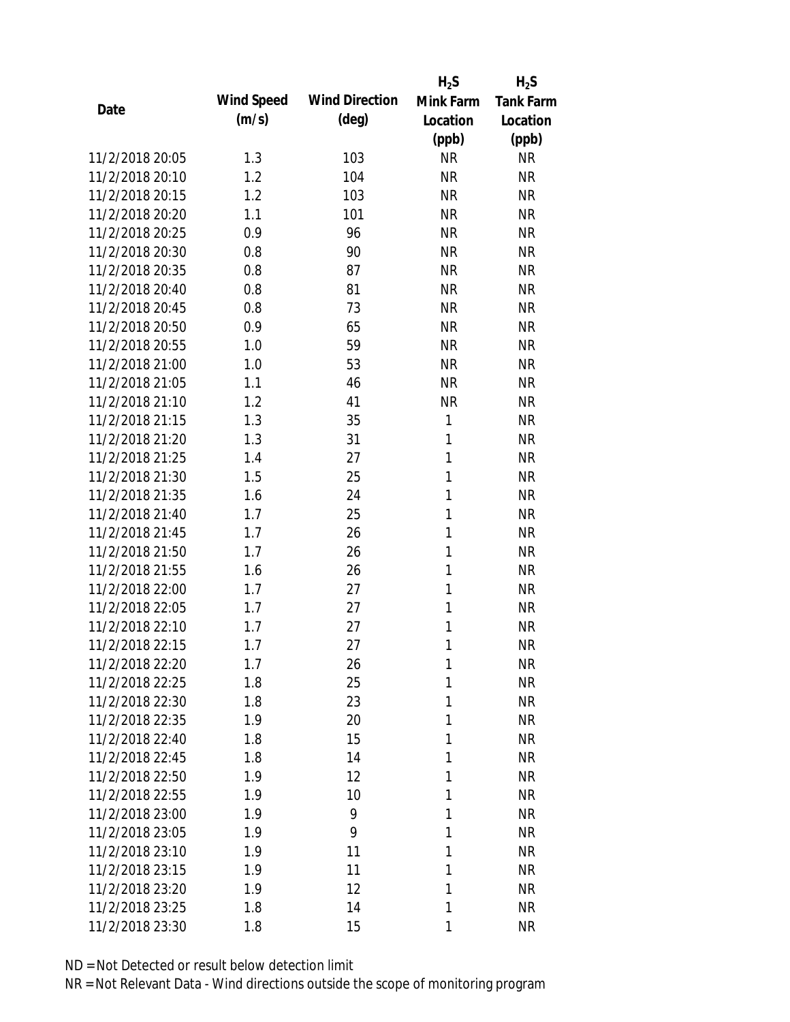|                 |            |                       | $H_2S$       | $H_2S$           |
|-----------------|------------|-----------------------|--------------|------------------|
| Date            | Wind Speed | <b>Wind Direction</b> | Mink Farm    | <b>Tank Farm</b> |
|                 | (m/s)      | $(\text{deg})$        | Location     | Location         |
|                 |            |                       | (ppb)        | (ppb)            |
| 11/2/2018 20:05 | 1.3        | 103                   | <b>NR</b>    | <b>NR</b>        |
| 11/2/2018 20:10 | 1.2        | 104                   | <b>NR</b>    | <b>NR</b>        |
| 11/2/2018 20:15 | 1.2        | 103                   | <b>NR</b>    | <b>NR</b>        |
| 11/2/2018 20:20 | 1.1        | 101                   | <b>NR</b>    | <b>NR</b>        |
| 11/2/2018 20:25 | 0.9        | 96                    | <b>NR</b>    | <b>NR</b>        |
| 11/2/2018 20:30 | 0.8        | 90                    | <b>NR</b>    | <b>NR</b>        |
| 11/2/2018 20:35 | 0.8        | 87                    | <b>NR</b>    | <b>NR</b>        |
| 11/2/2018 20:40 | 0.8        | 81                    | <b>NR</b>    | <b>NR</b>        |
| 11/2/2018 20:45 | 0.8        | 73                    | <b>NR</b>    | <b>NR</b>        |
| 11/2/2018 20:50 | 0.9        | 65                    | <b>NR</b>    | <b>NR</b>        |
| 11/2/2018 20:55 | 1.0        | 59                    | <b>NR</b>    | <b>NR</b>        |
| 11/2/2018 21:00 | 1.0        | 53                    | <b>NR</b>    | <b>NR</b>        |
| 11/2/2018 21:05 | 1.1        | 46                    | <b>NR</b>    | <b>NR</b>        |
| 11/2/2018 21:10 | 1.2        | 41                    | <b>NR</b>    | <b>NR</b>        |
| 11/2/2018 21:15 | 1.3        | 35                    | $\mathbf{1}$ | <b>NR</b>        |
| 11/2/2018 21:20 | 1.3        | 31                    | $\mathbf{1}$ | <b>NR</b>        |
| 11/2/2018 21:25 | 1.4        | 27                    | $\mathbf{1}$ | <b>NR</b>        |
| 11/2/2018 21:30 | 1.5        | 25                    | 1            | <b>NR</b>        |
| 11/2/2018 21:35 | 1.6        | 24                    | 1            | <b>NR</b>        |
| 11/2/2018 21:40 | 1.7        | 25                    | 1            | <b>NR</b>        |
| 11/2/2018 21:45 | 1.7        | 26                    | 1            | <b>NR</b>        |
| 11/2/2018 21:50 | 1.7        | 26                    | 1            | <b>NR</b>        |
| 11/2/2018 21:55 | 1.6        | 26                    | 1            | <b>NR</b>        |
| 11/2/2018 22:00 | 1.7        | 27                    | 1            | <b>NR</b>        |
| 11/2/2018 22:05 | 1.7        | 27                    | 1            | <b>NR</b>        |
| 11/2/2018 22:10 | 1.7        | 27                    | 1            | <b>NR</b>        |
| 11/2/2018 22:15 | 1.7        | 27                    | 1            | <b>NR</b>        |
| 11/2/2018 22:20 | 1.7        | 26                    | 1            | <b>NR</b>        |
| 11/2/2018 22:25 | 1.8        | 25                    | 1            | <b>NR</b>        |
| 11/2/2018 22:30 | 1.8        | 23                    | 1            | <b>NR</b>        |
| 11/2/2018 22:35 | 1.9        | 20                    | 1            | <b>NR</b>        |
| 11/2/2018 22:40 | 1.8        | 15                    | 1            | <b>NR</b>        |
| 11/2/2018 22:45 | 1.8        | 14                    | 1            | <b>NR</b>        |
| 11/2/2018 22:50 | 1.9        | 12                    | 1            | <b>NR</b>        |
| 11/2/2018 22:55 | 1.9        | 10                    | 1            | <b>NR</b>        |
| 11/2/2018 23:00 | 1.9        | 9                     | 1            | <b>NR</b>        |
| 11/2/2018 23:05 | 1.9        | 9                     | 1            | <b>NR</b>        |
| 11/2/2018 23:10 | 1.9        | 11                    | 1            | <b>NR</b>        |
| 11/2/2018 23:15 | 1.9        | 11                    | 1            | <b>NR</b>        |
| 11/2/2018 23:20 | 1.9        | 12                    | 1            | <b>NR</b>        |
| 11/2/2018 23:25 | 1.8        | 14                    | 1            | <b>NR</b>        |
| 11/2/2018 23:30 | 1.8        | 15                    | 1            | <b>NR</b>        |
|                 |            |                       |              |                  |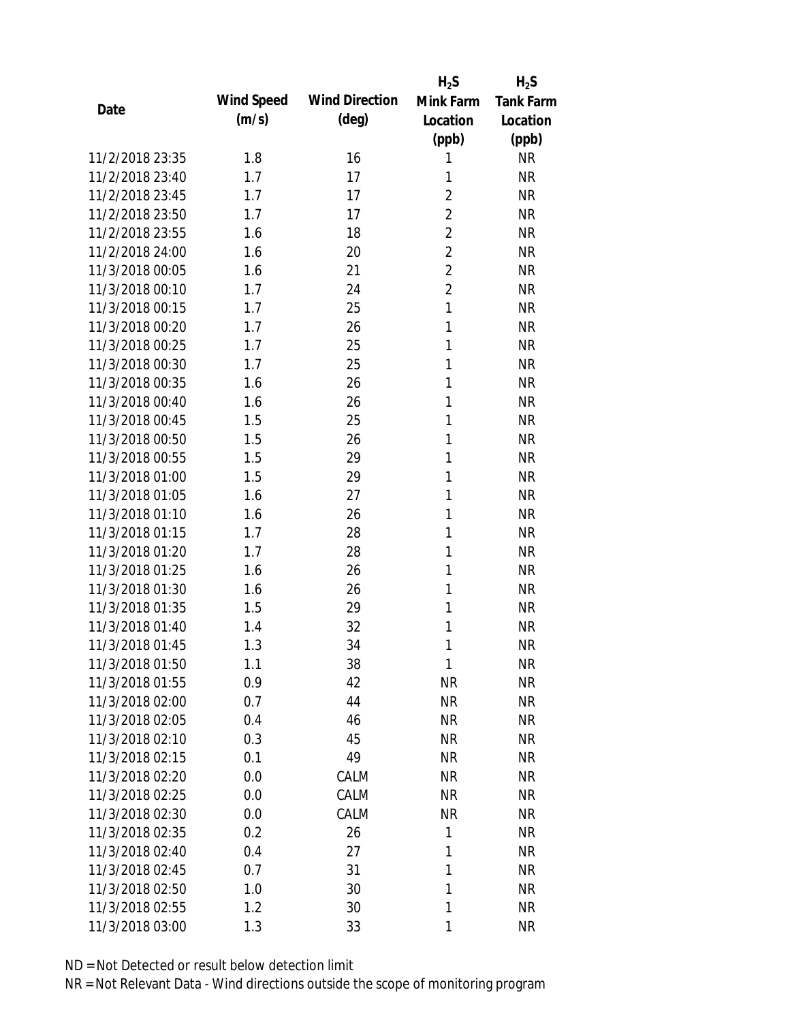|                 |            |                       | $H_2S$         | $H_2S$           |
|-----------------|------------|-----------------------|----------------|------------------|
| Date            | Wind Speed | <b>Wind Direction</b> | Mink Farm      | <b>Tank Farm</b> |
|                 | (m/s)      | $(\text{deg})$        | Location       | Location         |
|                 |            |                       | (ppb)          | (ppb)            |
| 11/2/2018 23:35 | 1.8        | 16                    | 1              | <b>NR</b>        |
| 11/2/2018 23:40 | 1.7        | 17                    | 1              | <b>NR</b>        |
| 11/2/2018 23:45 | 1.7        | 17                    | 2              | <b>NR</b>        |
| 11/2/2018 23:50 | 1.7        | 17                    | $\overline{2}$ | <b>NR</b>        |
| 11/2/2018 23:55 | 1.6        | 18                    | $\overline{2}$ | <b>NR</b>        |
| 11/2/2018 24:00 | 1.6        | 20                    | $\overline{2}$ | <b>NR</b>        |
| 11/3/2018 00:05 | 1.6        | 21                    | $\overline{2}$ | <b>NR</b>        |
| 11/3/2018 00:10 | 1.7        | 24                    | $\overline{2}$ | <b>NR</b>        |
| 11/3/2018 00:15 | 1.7        | 25                    | 1              | <b>NR</b>        |
| 11/3/2018 00:20 | 1.7        | 26                    | 1              | <b>NR</b>        |
| 11/3/2018 00:25 | 1.7        | 25                    | 1              | <b>NR</b>        |
| 11/3/2018 00:30 | 1.7        | 25                    | 1              | <b>NR</b>        |
| 11/3/2018 00:35 | 1.6        | 26                    | 1              | <b>NR</b>        |
| 11/3/2018 00:40 | 1.6        | 26                    | 1              | <b>NR</b>        |
| 11/3/2018 00:45 | 1.5        | 25                    | 1              | <b>NR</b>        |
| 11/3/2018 00:50 | 1.5        | 26                    | 1              | <b>NR</b>        |
| 11/3/2018 00:55 | 1.5        | 29                    | 1              | <b>NR</b>        |
| 11/3/2018 01:00 | 1.5        | 29                    | 1              | <b>NR</b>        |
| 11/3/2018 01:05 | 1.6        | 27                    | 1              | <b>NR</b>        |
| 11/3/2018 01:10 | 1.6        | 26                    | 1              | <b>NR</b>        |
| 11/3/2018 01:15 | 1.7        | 28                    | 1              | <b>NR</b>        |
| 11/3/2018 01:20 | 1.7        | 28                    | 1              | <b>NR</b>        |
| 11/3/2018 01:25 | 1.6        | 26                    | 1              | <b>NR</b>        |
| 11/3/2018 01:30 | 1.6        | 26                    | 1              | <b>NR</b>        |
| 11/3/2018 01:35 | 1.5        | 29                    | 1              | <b>NR</b>        |
| 11/3/2018 01:40 | 1.4        | 32                    | 1              | <b>NR</b>        |
| 11/3/2018 01:45 | 1.3        | 34                    | 1              | <b>NR</b>        |
| 11/3/2018 01:50 | 1.1        | 38                    | 1              | <b>NR</b>        |
| 11/3/2018 01:55 | 0.9        | 42                    | <b>NR</b>      | <b>NR</b>        |
| 11/3/2018 02:00 | 0.7        | 44                    | <b>NR</b>      | <b>NR</b>        |
| 11/3/2018 02:05 | 0.4        | 46                    | <b>NR</b>      | <b>NR</b>        |
| 11/3/2018 02:10 | 0.3        | 45                    | <b>NR</b>      | NR               |
| 11/3/2018 02:15 | 0.1        | 49                    | <b>NR</b>      | <b>NR</b>        |
| 11/3/2018 02:20 | 0.0        | CALM                  | <b>NR</b>      | <b>NR</b>        |
| 11/3/2018 02:25 | 0.0        | CALM                  | <b>NR</b>      | <b>NR</b>        |
| 11/3/2018 02:30 | 0.0        | CALM                  | <b>NR</b>      | NR               |
| 11/3/2018 02:35 | 0.2        | 26                    | 1              | <b>NR</b>        |
| 11/3/2018 02:40 | 0.4        | 27                    | 1              | <b>NR</b>        |
| 11/3/2018 02:45 | 0.7        | 31                    | 1              | <b>NR</b>        |
| 11/3/2018 02:50 | 1.0        | 30                    | 1              | <b>NR</b>        |
| 11/3/2018 02:55 | 1.2        | 30                    | 1              | NR               |
| 11/3/2018 03:00 | 1.3        | 33                    | 1              | <b>NR</b>        |
|                 |            |                       |                |                  |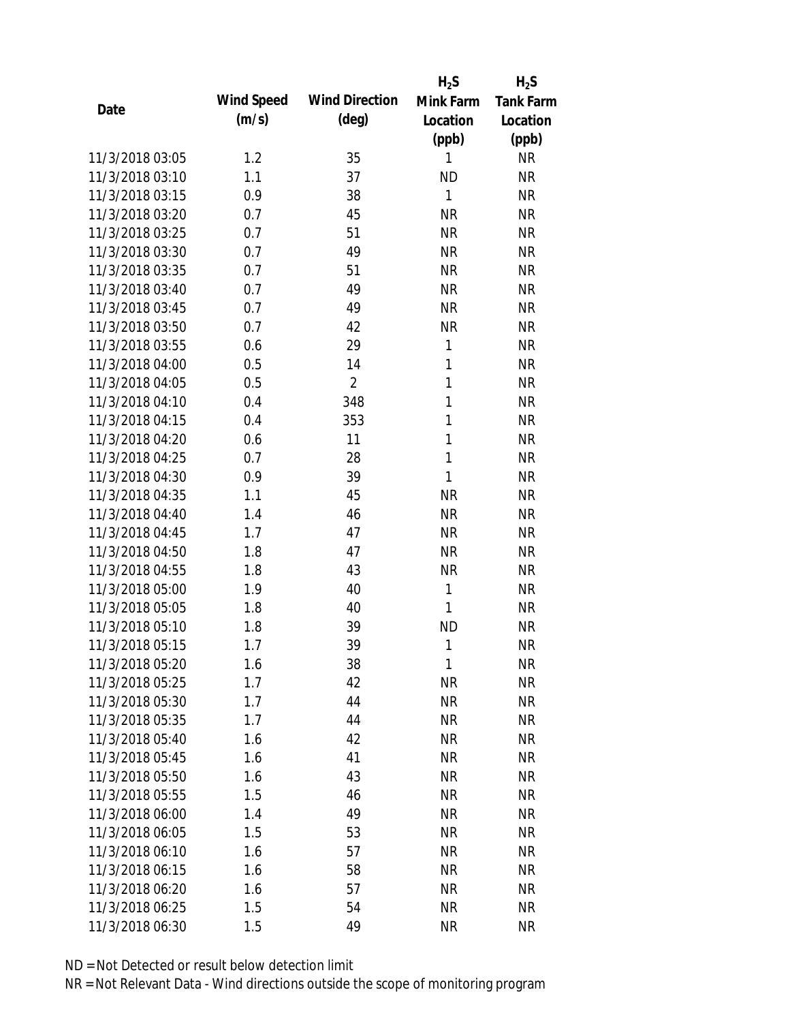|                 |            |                       | $H_2S$       | $H_2S$           |
|-----------------|------------|-----------------------|--------------|------------------|
| Date            | Wind Speed | <b>Wind Direction</b> | Mink Farm    | <b>Tank Farm</b> |
|                 | (m/s)      | $(\text{deg})$        | Location     | Location         |
|                 |            |                       | (ppb)        | (ppb)            |
| 11/3/2018 03:05 | 1.2        | 35                    | 1            | <b>NR</b>        |
| 11/3/2018 03:10 | 1.1        | 37                    | <b>ND</b>    | <b>NR</b>        |
| 11/3/2018 03:15 | 0.9        | 38                    | $\mathbf{1}$ | <b>NR</b>        |
| 11/3/2018 03:20 | 0.7        | 45                    | <b>NR</b>    | <b>NR</b>        |
| 11/3/2018 03:25 | 0.7        | 51                    | <b>NR</b>    | <b>NR</b>        |
| 11/3/2018 03:30 | 0.7        | 49                    | <b>NR</b>    | <b>NR</b>        |
| 11/3/2018 03:35 | 0.7        | 51                    | <b>NR</b>    | <b>NR</b>        |
| 11/3/2018 03:40 | 0.7        | 49                    | <b>NR</b>    | <b>NR</b>        |
| 11/3/2018 03:45 | 0.7        | 49                    | <b>NR</b>    | <b>NR</b>        |
| 11/3/2018 03:50 | 0.7        | 42                    | <b>NR</b>    | <b>NR</b>        |
| 11/3/2018 03:55 | 0.6        | 29                    | 1            | <b>NR</b>        |
| 11/3/2018 04:00 | 0.5        | 14                    | 1            | <b>NR</b>        |
| 11/3/2018 04:05 | 0.5        | $\overline{2}$        | $\mathbf{1}$ | <b>NR</b>        |
| 11/3/2018 04:10 | 0.4        | 348                   | 1            | <b>NR</b>        |
| 11/3/2018 04:15 | 0.4        | 353                   | 1            | <b>NR</b>        |
| 11/3/2018 04:20 | 0.6        | 11                    | 1            | <b>NR</b>        |
| 11/3/2018 04:25 | 0.7        | 28                    | $\mathbf{1}$ | <b>NR</b>        |
| 11/3/2018 04:30 | 0.9        | 39                    | 1            | <b>NR</b>        |
| 11/3/2018 04:35 | 1.1        | 45                    | <b>NR</b>    | <b>NR</b>        |
| 11/3/2018 04:40 | 1.4        | 46                    | <b>NR</b>    | <b>NR</b>        |
| 11/3/2018 04:45 | 1.7        | 47                    | <b>NR</b>    | <b>NR</b>        |
| 11/3/2018 04:50 | 1.8        | 47                    | <b>NR</b>    | <b>NR</b>        |
| 11/3/2018 04:55 | 1.8        | 43                    | <b>NR</b>    | <b>NR</b>        |
| 11/3/2018 05:00 | 1.9        | 40                    | 1            | <b>NR</b>        |
| 11/3/2018 05:05 | 1.8        | 40                    | 1            | <b>NR</b>        |
| 11/3/2018 05:10 | 1.8        | 39                    | <b>ND</b>    | <b>NR</b>        |
| 11/3/2018 05:15 | 1.7        | 39                    | 1            | <b>NR</b>        |
| 11/3/2018 05:20 | 1.6        | 38                    | 1            | <b>NR</b>        |
| 11/3/2018 05:25 | 1.7        | 42                    | <b>NR</b>    | <b>NR</b>        |
| 11/3/2018 05:30 | 1.7        | 44                    | <b>NR</b>    | <b>NR</b>        |
| 11/3/2018 05:35 | 1.7        | 44                    | <b>NR</b>    | <b>NR</b>        |
| 11/3/2018 05:40 | 1.6        | 42                    | <b>NR</b>    | <b>NR</b>        |
| 11/3/2018 05:45 | 1.6        | 41                    | <b>NR</b>    | <b>NR</b>        |
| 11/3/2018 05:50 | 1.6        | 43                    | <b>NR</b>    | <b>NR</b>        |
| 11/3/2018 05:55 | 1.5        | 46                    | <b>NR</b>    | <b>NR</b>        |
| 11/3/2018 06:00 | 1.4        | 49                    | <b>NR</b>    | <b>NR</b>        |
| 11/3/2018 06:05 | 1.5        | 53                    | <b>NR</b>    | <b>NR</b>        |
| 11/3/2018 06:10 | 1.6        | 57                    | <b>NR</b>    | <b>NR</b>        |
| 11/3/2018 06:15 | 1.6        | 58                    | <b>NR</b>    | <b>NR</b>        |
| 11/3/2018 06:20 | 1.6        | 57                    | <b>NR</b>    | <b>NR</b>        |
| 11/3/2018 06:25 | 1.5        | 54                    | <b>NR</b>    | <b>NR</b>        |
| 11/3/2018 06:30 | 1.5        | 49                    | <b>NR</b>    | <b>NR</b>        |
|                 |            |                       |              |                  |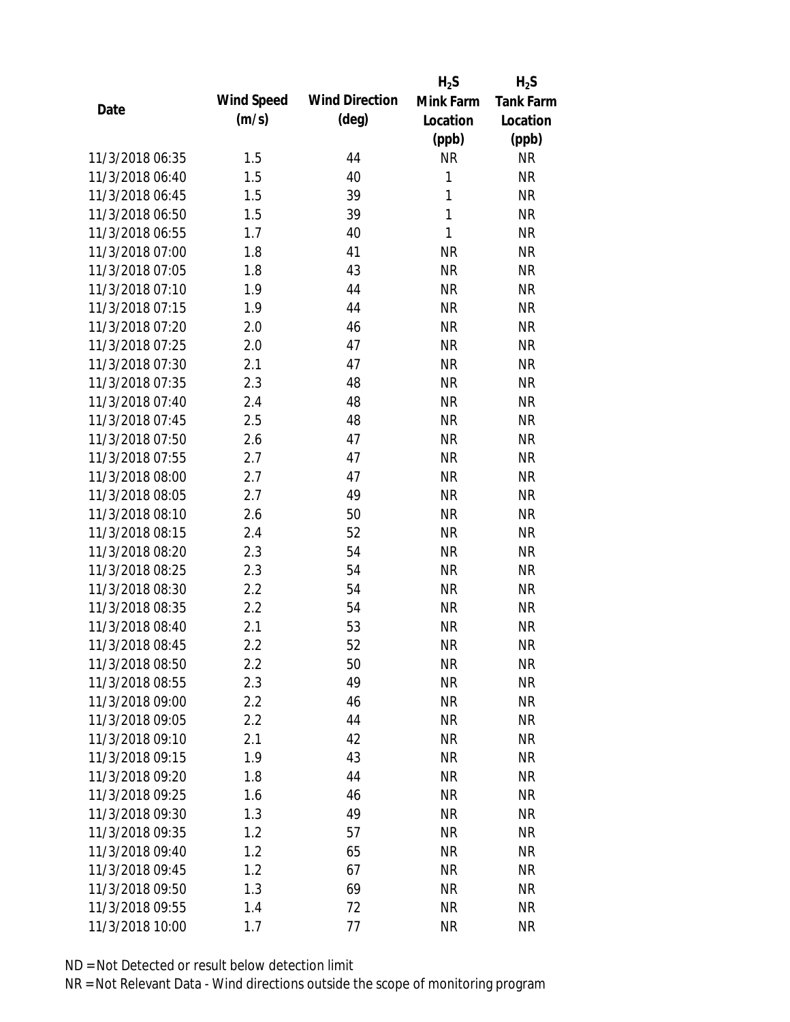|                 |            |                       | $H_2S$       | $H_2S$           |
|-----------------|------------|-----------------------|--------------|------------------|
| Date            | Wind Speed | <b>Wind Direction</b> | Mink Farm    | <b>Tank Farm</b> |
|                 | (m/s)      | $(\text{deg})$        | Location     | Location         |
|                 |            |                       | (ppb)        | (ppb)            |
| 11/3/2018 06:35 | 1.5        | 44                    | <b>NR</b>    | <b>NR</b>        |
| 11/3/2018 06:40 | 1.5        | 40                    | 1            | <b>NR</b>        |
| 11/3/2018 06:45 | 1.5        | 39                    | $\mathbf{1}$ | <b>NR</b>        |
| 11/3/2018 06:50 | 1.5        | 39                    | $\mathbf{1}$ | <b>NR</b>        |
| 11/3/2018 06:55 | 1.7        | 40                    | 1            | <b>NR</b>        |
| 11/3/2018 07:00 | 1.8        | 41                    | <b>NR</b>    | <b>NR</b>        |
| 11/3/2018 07:05 | 1.8        | 43                    | <b>NR</b>    | <b>NR</b>        |
| 11/3/2018 07:10 | 1.9        | 44                    | <b>NR</b>    | <b>NR</b>        |
| 11/3/2018 07:15 | 1.9        | 44                    | <b>NR</b>    | <b>NR</b>        |
| 11/3/2018 07:20 | 2.0        | 46                    | <b>NR</b>    | <b>NR</b>        |
| 11/3/2018 07:25 | 2.0        | 47                    | <b>NR</b>    | <b>NR</b>        |
| 11/3/2018 07:30 | 2.1        | 47                    | <b>NR</b>    | <b>NR</b>        |
| 11/3/2018 07:35 | 2.3        | 48                    | <b>NR</b>    | <b>NR</b>        |
| 11/3/2018 07:40 | 2.4        | 48                    | <b>NR</b>    | <b>NR</b>        |
| 11/3/2018 07:45 | 2.5        | 48                    | <b>NR</b>    | <b>NR</b>        |
| 11/3/2018 07:50 | 2.6        | 47                    | <b>NR</b>    | <b>NR</b>        |
| 11/3/2018 07:55 | 2.7        | 47                    | <b>NR</b>    | <b>NR</b>        |
| 11/3/2018 08:00 | 2.7        | 47                    | <b>NR</b>    | <b>NR</b>        |
| 11/3/2018 08:05 | 2.7        | 49                    | <b>NR</b>    | <b>NR</b>        |
| 11/3/2018 08:10 | 2.6        | 50                    | <b>NR</b>    | <b>NR</b>        |
| 11/3/2018 08:15 | 2.4        | 52                    | <b>NR</b>    | <b>NR</b>        |
| 11/3/2018 08:20 | 2.3        | 54                    | <b>NR</b>    | <b>NR</b>        |
| 11/3/2018 08:25 | 2.3        | 54                    | <b>NR</b>    | <b>NR</b>        |
| 11/3/2018 08:30 | 2.2        | 54                    | <b>NR</b>    | <b>NR</b>        |
| 11/3/2018 08:35 | 2.2        | 54                    | <b>NR</b>    | <b>NR</b>        |
| 11/3/2018 08:40 | 2.1        | 53                    | <b>NR</b>    | <b>NR</b>        |
| 11/3/2018 08:45 | 2.2        | 52                    | <b>NR</b>    | <b>NR</b>        |
| 11/3/2018 08:50 | $2.2\,$    | 50                    | <b>NR</b>    | <b>NR</b>        |
| 11/3/2018 08:55 | 2.3        | 49                    | <b>NR</b>    | <b>NR</b>        |
| 11/3/2018 09:00 | 2.2        | 46                    | NR           | <b>NR</b>        |
| 11/3/2018 09:05 | 2.2        | 44                    | <b>NR</b>    | <b>NR</b>        |
| 11/3/2018 09:10 | 2.1        | 42                    | <b>NR</b>    | <b>NR</b>        |
| 11/3/2018 09:15 | 1.9        | 43                    | <b>NR</b>    | <b>NR</b>        |
| 11/3/2018 09:20 | 1.8        | 44                    | <b>NR</b>    | <b>NR</b>        |
| 11/3/2018 09:25 | 1.6        | 46                    | <b>NR</b>    | <b>NR</b>        |
| 11/3/2018 09:30 | 1.3        | 49                    | <b>NR</b>    | <b>NR</b>        |
| 11/3/2018 09:35 | 1.2        | 57                    | <b>NR</b>    | <b>NR</b>        |
| 11/3/2018 09:40 | 1.2        |                       |              | <b>NR</b>        |
| 11/3/2018 09:45 |            | 65<br>67              | NR           |                  |
|                 | 1.2        |                       | <b>NR</b>    | <b>NR</b>        |
| 11/3/2018 09:50 | 1.3        | 69                    | <b>NR</b>    | <b>NR</b>        |
| 11/3/2018 09:55 | 1.4        | 72                    | <b>NR</b>    | <b>NR</b>        |
| 11/3/2018 10:00 | 1.7        | 77                    | <b>NR</b>    | <b>NR</b>        |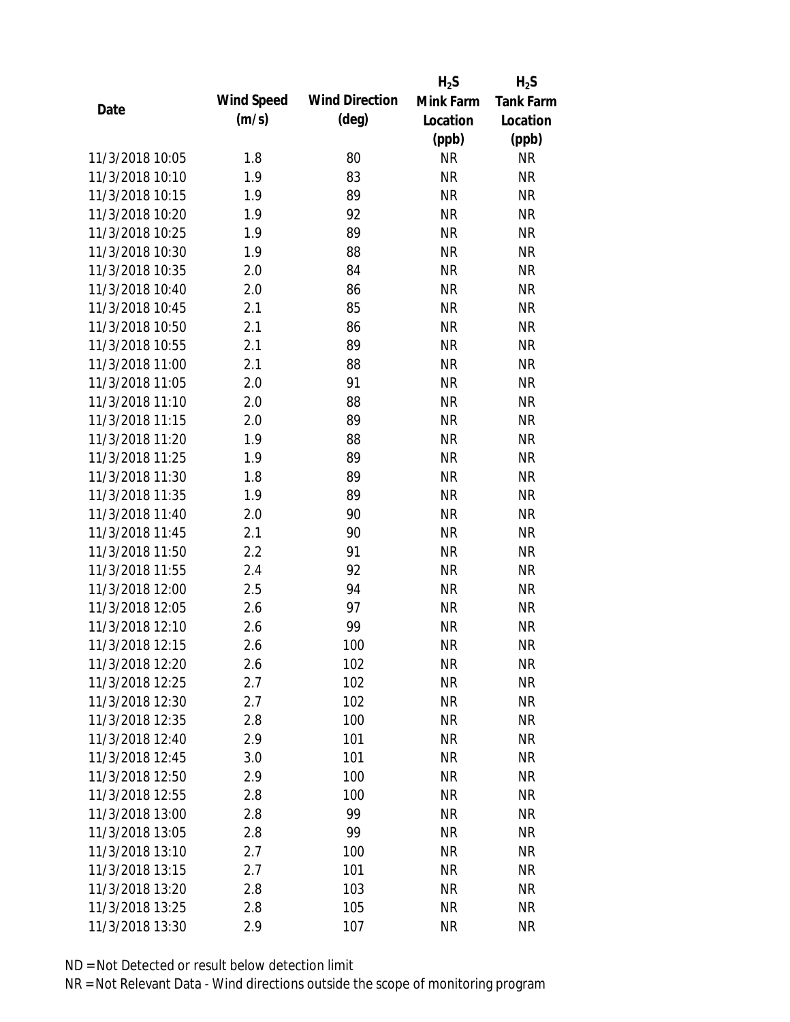|                 |            |                       | $H_2S$    | $H_2S$           |
|-----------------|------------|-----------------------|-----------|------------------|
| Date            | Wind Speed | <b>Wind Direction</b> | Mink Farm | <b>Tank Farm</b> |
|                 | (m/s)      | $(\text{deg})$        | Location  | Location         |
|                 |            |                       | (ppb)     | (ppb)            |
| 11/3/2018 10:05 | 1.8        | 80                    | <b>NR</b> | <b>NR</b>        |
| 11/3/2018 10:10 | 1.9        | 83                    | <b>NR</b> | <b>NR</b>        |
| 11/3/2018 10:15 | 1.9        | 89                    | <b>NR</b> | <b>NR</b>        |
| 11/3/2018 10:20 | 1.9        | 92                    | <b>NR</b> | <b>NR</b>        |
| 11/3/2018 10:25 | 1.9        | 89                    | <b>NR</b> | <b>NR</b>        |
| 11/3/2018 10:30 | 1.9        | 88                    | <b>NR</b> | <b>NR</b>        |
| 11/3/2018 10:35 | 2.0        | 84                    | <b>NR</b> | <b>NR</b>        |
| 11/3/2018 10:40 | 2.0        | 86                    | <b>NR</b> | <b>NR</b>        |
| 11/3/2018 10:45 | 2.1        | 85                    | <b>NR</b> | <b>NR</b>        |
| 11/3/2018 10:50 | 2.1        | 86                    | <b>NR</b> | <b>NR</b>        |
| 11/3/2018 10:55 | 2.1        | 89                    | <b>NR</b> | <b>NR</b>        |
| 11/3/2018 11:00 | 2.1        | 88                    | <b>NR</b> | <b>NR</b>        |
| 11/3/2018 11:05 | 2.0        | 91                    | <b>NR</b> | <b>NR</b>        |
| 11/3/2018 11:10 | 2.0        | 88                    | <b>NR</b> | <b>NR</b>        |
| 11/3/2018 11:15 | 2.0        | 89                    | <b>NR</b> | <b>NR</b>        |
| 11/3/2018 11:20 | 1.9        | 88                    | <b>NR</b> | <b>NR</b>        |
| 11/3/2018 11:25 | 1.9        | 89                    | <b>NR</b> | <b>NR</b>        |
| 11/3/2018 11:30 | 1.8        | 89                    | <b>NR</b> | <b>NR</b>        |
| 11/3/2018 11:35 | 1.9        | 89                    | <b>NR</b> | <b>NR</b>        |
| 11/3/2018 11:40 | 2.0        | 90                    | <b>NR</b> | <b>NR</b>        |
| 11/3/2018 11:45 | 2.1        | 90                    | <b>NR</b> | <b>NR</b>        |
| 11/3/2018 11:50 | 2.2        | 91                    | <b>NR</b> | <b>NR</b>        |
| 11/3/2018 11:55 | 2.4        | 92                    | <b>NR</b> | <b>NR</b>        |
| 11/3/2018 12:00 | 2.5        | 94                    | <b>NR</b> | <b>NR</b>        |
| 11/3/2018 12:05 | 2.6        | 97                    | <b>NR</b> | <b>NR</b>        |
| 11/3/2018 12:10 | 2.6        | 99                    | <b>NR</b> | <b>NR</b>        |
| 11/3/2018 12:15 | 2.6        | 100                   | <b>NR</b> | <b>NR</b>        |
| 11/3/2018 12:20 | 2.6        | 102                   | <b>NR</b> | <b>NR</b>        |
| 11/3/2018 12:25 | 2.7        | 102                   | <b>NR</b> | <b>NR</b>        |
| 11/3/2018 12:30 | 2.7        | 102                   | NR        | <b>NR</b>        |
| 11/3/2018 12:35 | 2.8        | 100                   | <b>NR</b> | <b>NR</b>        |
| 11/3/2018 12:40 | 2.9        | 101                   | <b>NR</b> | <b>NR</b>        |
| 11/3/2018 12:45 | 3.0        | 101                   | <b>NR</b> | <b>NR</b>        |
| 11/3/2018 12:50 | 2.9        | 100                   | <b>NR</b> | <b>NR</b>        |
| 11/3/2018 12:55 | 2.8        | 100                   | <b>NR</b> | <b>NR</b>        |
| 11/3/2018 13:00 | 2.8        | 99                    | <b>NR</b> | <b>NR</b>        |
| 11/3/2018 13:05 | 2.8        | 99                    | <b>NR</b> | <b>NR</b>        |
| 11/3/2018 13:10 | 2.7        | 100                   | <b>NR</b> | <b>NR</b>        |
| 11/3/2018 13:15 | 2.7        | 101                   | <b>NR</b> | <b>NR</b>        |
| 11/3/2018 13:20 | 2.8        | 103                   | <b>NR</b> | <b>NR</b>        |
| 11/3/2018 13:25 | 2.8        | 105                   | <b>NR</b> | <b>NR</b>        |
| 11/3/2018 13:30 | 2.9        | 107                   | <b>NR</b> | <b>NR</b>        |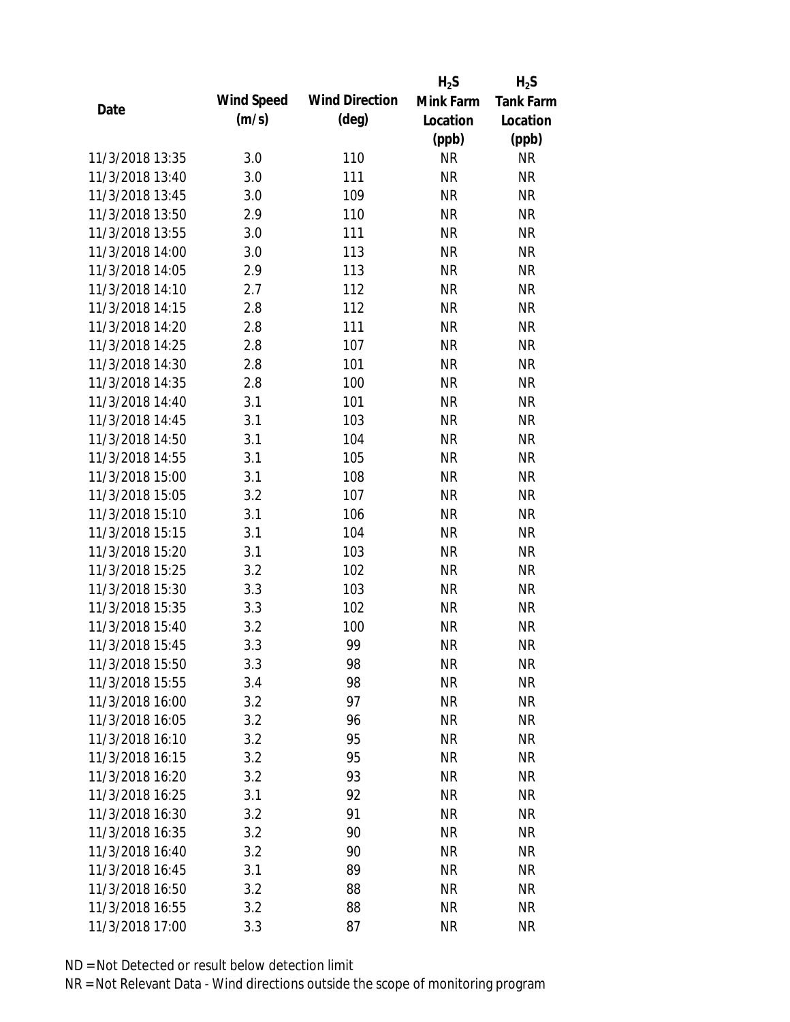|                 |            |                       | $H_2S$    | $H_2S$           |
|-----------------|------------|-----------------------|-----------|------------------|
| Date            | Wind Speed | <b>Wind Direction</b> | Mink Farm | <b>Tank Farm</b> |
|                 | (m/s)      | $(\text{deg})$        | Location  | Location         |
|                 |            |                       | (ppb)     | (ppb)            |
| 11/3/2018 13:35 | 3.0        | 110                   | <b>NR</b> | <b>NR</b>        |
| 11/3/2018 13:40 | 3.0        | 111                   | <b>NR</b> | <b>NR</b>        |
| 11/3/2018 13:45 | 3.0        | 109                   | <b>NR</b> | <b>NR</b>        |
| 11/3/2018 13:50 | 2.9        | 110                   | <b>NR</b> | <b>NR</b>        |
| 11/3/2018 13:55 | 3.0        | 111                   | <b>NR</b> | <b>NR</b>        |
| 11/3/2018 14:00 | 3.0        | 113                   | <b>NR</b> | <b>NR</b>        |
| 11/3/2018 14:05 | 2.9        | 113                   | <b>NR</b> | <b>NR</b>        |
| 11/3/2018 14:10 | 2.7        | 112                   | <b>NR</b> | <b>NR</b>        |
| 11/3/2018 14:15 | 2.8        | 112                   | <b>NR</b> | <b>NR</b>        |
| 11/3/2018 14:20 | 2.8        | 111                   | <b>NR</b> | <b>NR</b>        |
| 11/3/2018 14:25 | 2.8        | 107                   | <b>NR</b> | <b>NR</b>        |
| 11/3/2018 14:30 | 2.8        | 101                   | <b>NR</b> | <b>NR</b>        |
| 11/3/2018 14:35 | 2.8        | 100                   | <b>NR</b> | <b>NR</b>        |
| 11/3/2018 14:40 | 3.1        | 101                   | <b>NR</b> | <b>NR</b>        |
| 11/3/2018 14:45 | 3.1        | 103                   | <b>NR</b> | <b>NR</b>        |
| 11/3/2018 14:50 | 3.1        | 104                   | <b>NR</b> | <b>NR</b>        |
| 11/3/2018 14:55 | 3.1        | 105                   | <b>NR</b> | <b>NR</b>        |
| 11/3/2018 15:00 | 3.1        | 108                   | <b>NR</b> | <b>NR</b>        |
| 11/3/2018 15:05 | 3.2        | 107                   | <b>NR</b> | <b>NR</b>        |
| 11/3/2018 15:10 | 3.1        | 106                   | <b>NR</b> | <b>NR</b>        |
| 11/3/2018 15:15 | 3.1        | 104                   | <b>NR</b> | <b>NR</b>        |
| 11/3/2018 15:20 | 3.1        | 103                   | <b>NR</b> | <b>NR</b>        |
| 11/3/2018 15:25 | 3.2        | 102                   | <b>NR</b> | <b>NR</b>        |
| 11/3/2018 15:30 | 3.3        | 103                   | <b>NR</b> | <b>NR</b>        |
| 11/3/2018 15:35 | 3.3        | 102                   | <b>NR</b> | <b>NR</b>        |
| 11/3/2018 15:40 | 3.2        | 100                   | <b>NR</b> | <b>NR</b>        |
| 11/3/2018 15:45 | 3.3        | 99                    | <b>NR</b> | <b>NR</b>        |
| 11/3/2018 15:50 | 3.3        | 98                    | <b>NR</b> | <b>NR</b>        |
| 11/3/2018 15:55 | 3.4        | 98                    | <b>NR</b> | <b>NR</b>        |
| 11/3/2018 16:00 | 3.2        | 97                    | <b>NR</b> | <b>NR</b>        |
| 11/3/2018 16:05 | 3.2        | 96                    | <b>NR</b> | <b>NR</b>        |
| 11/3/2018 16:10 | 3.2        | 95                    | <b>NR</b> | <b>NR</b>        |
| 11/3/2018 16:15 | 3.2        | 95                    | <b>NR</b> | <b>NR</b>        |
| 11/3/2018 16:20 | 3.2        | 93                    | <b>NR</b> | <b>NR</b>        |
| 11/3/2018 16:25 | 3.1        | 92                    | <b>NR</b> | <b>NR</b>        |
| 11/3/2018 16:30 | 3.2        | 91                    | <b>NR</b> | <b>NR</b>        |
| 11/3/2018 16:35 | 3.2        | 90                    | <b>NR</b> | <b>NR</b>        |
| 11/3/2018 16:40 | 3.2        | 90                    | <b>NR</b> | <b>NR</b>        |
| 11/3/2018 16:45 | 3.1        | 89                    | <b>NR</b> | <b>NR</b>        |
| 11/3/2018 16:50 | 3.2        | 88                    | <b>NR</b> | <b>NR</b>        |
| 11/3/2018 16:55 | 3.2        | 88                    | <b>NR</b> | <b>NR</b>        |
| 11/3/2018 17:00 | 3.3        | 87                    | <b>NR</b> | <b>NR</b>        |
|                 |            |                       |           |                  |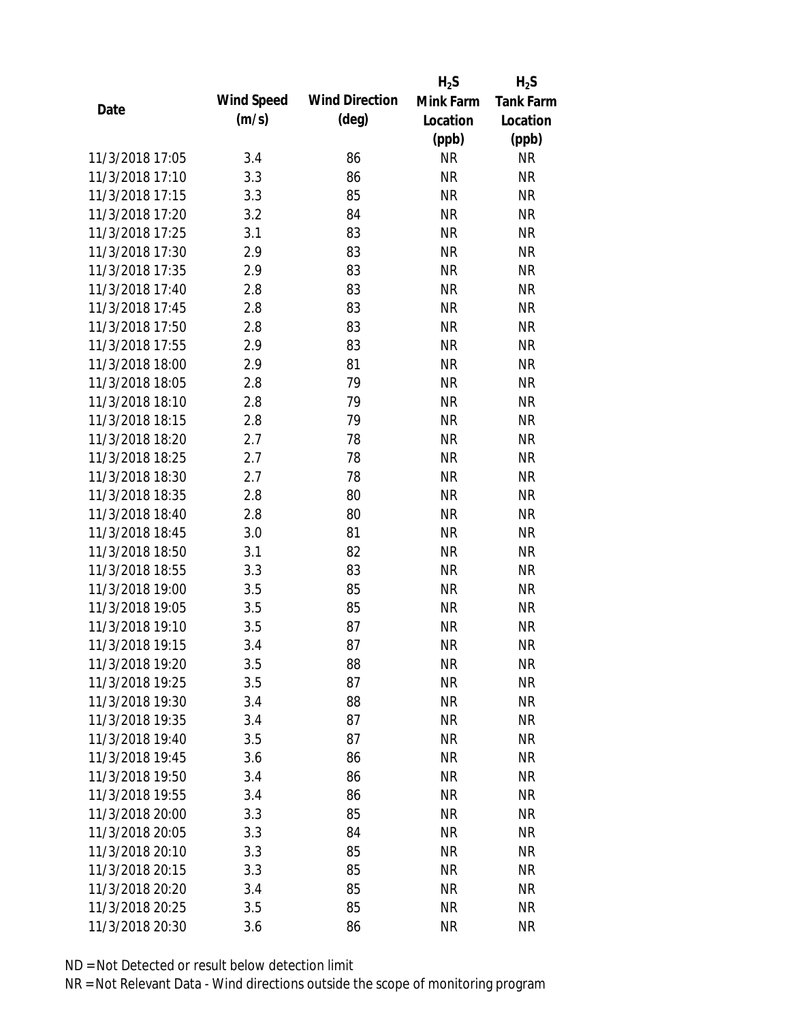|                 |            |                       | $H_2S$    | $H_2S$           |
|-----------------|------------|-----------------------|-----------|------------------|
|                 | Wind Speed | <b>Wind Direction</b> | Mink Farm | <b>Tank Farm</b> |
| Date            | (m/s)      | $(\text{deg})$        | Location  | Location         |
|                 |            |                       | (ppb)     | (ppb)            |
| 11/3/2018 17:05 | 3.4        | 86                    | <b>NR</b> | <b>NR</b>        |
| 11/3/2018 17:10 | 3.3        | 86                    | <b>NR</b> | <b>NR</b>        |
| 11/3/2018 17:15 | 3.3        | 85                    | <b>NR</b> | <b>NR</b>        |
| 11/3/2018 17:20 | 3.2        | 84                    | <b>NR</b> | <b>NR</b>        |
| 11/3/2018 17:25 | 3.1        | 83                    | <b>NR</b> | <b>NR</b>        |
| 11/3/2018 17:30 | 2.9        | 83                    | <b>NR</b> | <b>NR</b>        |
| 11/3/2018 17:35 | 2.9        | 83                    | <b>NR</b> | <b>NR</b>        |
| 11/3/2018 17:40 | 2.8        | 83                    | <b>NR</b> | <b>NR</b>        |
| 11/3/2018 17:45 | 2.8        | 83                    | <b>NR</b> | <b>NR</b>        |
| 11/3/2018 17:50 | 2.8        | 83                    | <b>NR</b> | <b>NR</b>        |
| 11/3/2018 17:55 | 2.9        | 83                    | <b>NR</b> | <b>NR</b>        |
| 11/3/2018 18:00 | 2.9        | 81                    | <b>NR</b> | <b>NR</b>        |
| 11/3/2018 18:05 | 2.8        | 79                    | <b>NR</b> | <b>NR</b>        |
| 11/3/2018 18:10 | 2.8        | 79                    | <b>NR</b> | <b>NR</b>        |
| 11/3/2018 18:15 | 2.8        | 79                    | <b>NR</b> | <b>NR</b>        |
| 11/3/2018 18:20 | 2.7        | 78                    | <b>NR</b> | <b>NR</b>        |
| 11/3/2018 18:25 | 2.7        | 78                    | <b>NR</b> | <b>NR</b>        |
| 11/3/2018 18:30 | 2.7        | 78                    | <b>NR</b> | <b>NR</b>        |
| 11/3/2018 18:35 | 2.8        | 80                    | <b>NR</b> | <b>NR</b>        |
| 11/3/2018 18:40 | 2.8        | 80                    | <b>NR</b> | <b>NR</b>        |
| 11/3/2018 18:45 | 3.0        | 81                    | <b>NR</b> | <b>NR</b>        |
| 11/3/2018 18:50 | 3.1        | 82                    | <b>NR</b> | <b>NR</b>        |
| 11/3/2018 18:55 | 3.3        | 83                    | <b>NR</b> | <b>NR</b>        |
| 11/3/2018 19:00 | 3.5        | 85                    | <b>NR</b> | <b>NR</b>        |
| 11/3/2018 19:05 | 3.5        | 85                    | <b>NR</b> | <b>NR</b>        |
| 11/3/2018 19:10 | 3.5        | 87                    | <b>NR</b> | <b>NR</b>        |
| 11/3/2018 19:15 | 3.4        | 87                    | <b>NR</b> | <b>NR</b>        |
| 11/3/2018 19:20 | 3.5        | 88                    | <b>NR</b> | <b>NR</b>        |
| 11/3/2018 19:25 | 3.5        | 87                    | <b>NR</b> | <b>NR</b>        |
| 11/3/2018 19:30 | 3.4        | 88                    | <b>NR</b> | NR               |
| 11/3/2018 19:35 | 3.4        | 87                    | <b>NR</b> | <b>NR</b>        |
| 11/3/2018 19:40 | 3.5        | 87                    | <b>NR</b> | NR               |
| 11/3/2018 19:45 | 3.6        | 86                    | <b>NR</b> | NR               |
| 11/3/2018 19:50 | 3.4        | 86                    | <b>NR</b> | <b>NR</b>        |
| 11/3/2018 19:55 | 3.4        | 86                    | <b>NR</b> | NR               |
| 11/3/2018 20:00 | 3.3        | 85                    | <b>NR</b> | NR               |
| 11/3/2018 20:05 | 3.3        | 84                    | <b>NR</b> | <b>NR</b>        |
| 11/3/2018 20:10 | 3.3        | 85                    | <b>NR</b> | <b>NR</b>        |
| 11/3/2018 20:15 | 3.3        | 85                    | <b>NR</b> | NR               |
| 11/3/2018 20:20 | 3.4        | 85                    | <b>NR</b> | NR               |
| 11/3/2018 20:25 | 3.5        | 85                    | <b>NR</b> | <b>NR</b>        |
| 11/3/2018 20:30 | 3.6        | 86                    | <b>NR</b> | <b>NR</b>        |
|                 |            |                       |           |                  |